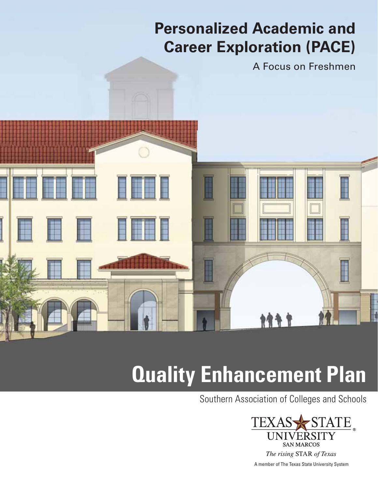## **Personalized Academic and Career Exploration (PACE)**

A Focus on Freshmen



# **Quality Enhancement Plan**

Southern Association of Colleges and Schools

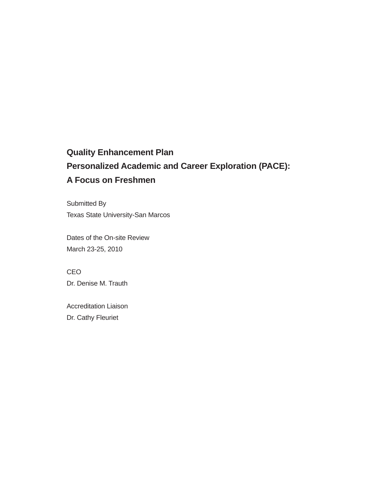### **Quality Enhancement Plan Personalized Academic and Career Exploration (PACE): A Focus on Freshmen**

Submitted By Texas State University-San Marcos

Dates of the On-site Review March 23-25, 2010

CEO Dr. Denise M. Trauth

Accreditation Liaison Dr. Cathy Fleuriet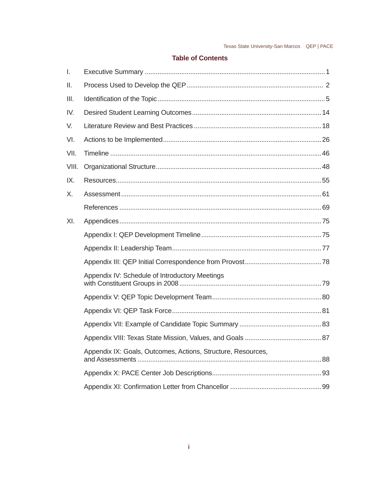#### **Table of Contents**

| l.    |                                                              |  |
|-------|--------------------------------------------------------------|--|
| II.   |                                                              |  |
| III.  |                                                              |  |
| IV.   |                                                              |  |
| V.    |                                                              |  |
| VI.   |                                                              |  |
| VII.  |                                                              |  |
| VIII. |                                                              |  |
| IX.   |                                                              |  |
| X.    |                                                              |  |
|       |                                                              |  |
| XI.   |                                                              |  |
|       |                                                              |  |
|       |                                                              |  |
|       |                                                              |  |
|       | Appendix IV: Schedule of Introductory Meetings               |  |
|       |                                                              |  |
|       |                                                              |  |
|       |                                                              |  |
|       |                                                              |  |
|       | Appendix IX: Goals, Outcomes, Actions, Structure, Resources, |  |
|       |                                                              |  |
|       |                                                              |  |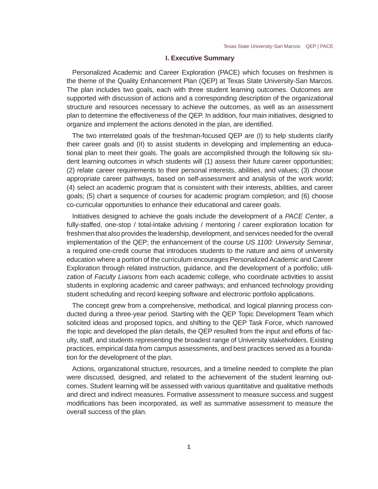#### **I. Executive Summary**

Personalized Academic and Career Exploration (PACE) which focuses on freshmen is the theme of the Quality Enhancement Plan (QEP) at Texas State University-San Marcos. The plan includes two goals, each with three student learning outcomes. Outcomes are supported with discussion of actions and a corresponding description of the organizational structure and resources necessary to achieve the outcomes, as well as an assessment plan to determine the effectiveness of the QEP. In addition, four main initiatives, designed to organize and implement the actions denoted in the plan, are identified.

The two interrelated goals of the freshman-focused QEP are (I) to help students clarify their career goals and (II) to assist students in developing and implementing an educational plan to meet their goals. The goals are accomplished through the following six student learning outcomes in which students will (1) assess their future career opportunities; (2) relate career requirements to their personal interests, abilities, and values; (3) choose appropriate career pathways, based on self-assessment and analysis of the work world; (4) select an academic program that is consistent with their interests, abilities, and career goals; (5) chart a sequence of courses for academic program completion; and (6) choose co-curricular opportunities to enhance their educational and career goals.

Initiatives designed to achieve the goals include the development of a *PACE Center*, a fully-staffed, one-stop / total-intake advising / mentoring / career exploration location for freshmen that also provides the leadership, development, and services needed for the overall implementation of the QEP; the enhancement of the course *US 1100: University Seminar*, a required one-credit course that introduces students to the nature and aims of university education where a portion of the curriculum encourages Personalized Academic and Career Exploration through related instruction, guidance, and the development of a portfolio; utilization of *Faculty Liaisons* from each academic college, who coordinate activities to assist students in exploring academic and career pathways; and enhanced technology providing student scheduling and record keeping software and electronic portfolio applications.

The concept grew from a comprehensive, methodical, and logical planning process conducted during a three-year period. Starting with the QEP Topic Development Team which solicited ideas and proposed topics, and shifting to the QEP Task Force, which narrowed the topic and developed the plan details, the QEP resulted from the input and efforts of faculty, staff, and students representing the broadest range of University stakeholders. Existing practices, empirical data from campus assessments, and best practices served as a foundation for the development of the plan.

Actions, organizational structure, resources, and a timeline needed to complete the plan were discussed, designed, and related to the achievement of the student learning outcomes. Student learning will be assessed with various quantitative and qualitative methods and direct and indirect measures. Formative assessment to measure success and suggest modifications has been incorporated, as well as summative assessment to measure the overall success of the plan.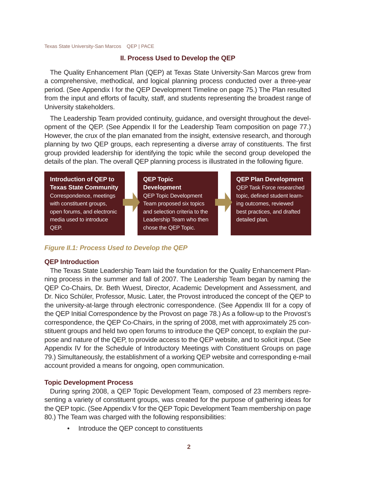#### **II. Process Used to Develop the QEP**

The Quality Enhancement Plan (QEP) at Texas State University-San Marcos grew from a comprehensive, methodical, and logical planning process conducted over a three-year period. (See Appendix I for the QEP Development Timeline on page 75.) The Plan resulted from the input and efforts of faculty, staff, and students representing the broadest range of University stakeholders.

The Leadership Team provided continuity, guidance, and oversight throughout the development of the QEP. (See Appendix II for the Leadership Team composition on page 77.) However, the crux of the plan emanated from the insight, extensive research, and thorough planning by two QEP groups, each representing a diverse array of constituents. The first group provided leadership for identifying the topic while the second group developed the details of the plan. The overall QEP planning process is illustrated in the following figure.

**Introduction of QEP to Texas State Community** Correspondence, meetings with constituent groups, open forums, and electronic media used to introduce QEP.

#### **QEP Topic Development**

QEP Topic Development Team proposed six topics and selection criteria to the Leadership Team who then chose the QEP Topic.

**QEP Plan Development** QEP Task Force researched topic, defined student learning outcomes, reviewed best practices, and drafted detailed plan.

#### *Figure II.1: Process Used to Develop the QEP*

#### **QEP Introduction**

The Texas State Leadership Team laid the foundation for the Quality Enhancement Planning process in the summer and fall of 2007. The Leadership Team began by naming the QEP Co-Chairs, Dr. Beth Wuest, Director, Academic Development and Assessment, and Dr. Nico Schüler, Professor, Music. Later, the Provost introduced the concept of the QEP to the university-at-large through electronic correspondence. (See Appendix III for a copy of the QEP Initial Correspondence by the Provost on page 78.) As a follow-up to the Provost's correspondence, the QEP Co-Chairs, in the spring of 2008, met with approximately 25 constituent groups and held two open forums to introduce the QEP concept, to explain the purpose and nature of the QEP, to provide access to the QEP website, and to solicit input. (See Appendix IV for the Schedule of Introductory Meetings with Constituent Groups on page 79.) Simultaneously, the establishment of a working QEP website and corresponding e-mail account provided a means for ongoing, open communication.

#### **Topic Development Process**

During spring 2008, a QEP Topic Development Team, composed of 23 members representing a variety of constituent groups, was created for the purpose of gathering ideas for the QEP topic. (See Appendix V for the QEP Topic Development Team membership on page 80.) The Team was charged with the following responsibilities:

• Introduce the QEP concept to constituents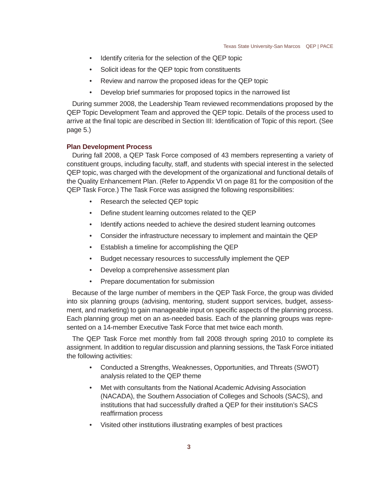- Identify criteria for the selection of the QEP topic
- Solicit ideas for the QEP topic from constituents
- Review and narrow the proposed ideas for the QEP topic
- Develop brief summaries for proposed topics in the narrowed list

During summer 2008, the Leadership Team reviewed recommendations proposed by the QEP Topic Development Team and approved the QEP topic. Details of the process used to arrive at the final topic are described in Section III: Identification of Topic of this report. (See page 5.)

#### **Plan Development Process**

During fall 2008, a QEP Task Force composed of 43 members representing a variety of constituent groups, including faculty, staff, and students with special interest in the selected QEP topic, was charged with the development of the organizational and functional details of the Quality Enhancement Plan. (Refer to Appendix VI on page 81 for the composition of the QEP Task Force.) The Task Force was assigned the following responsibilities:

- Research the selected QEP topic
- Define student learning outcomes related to the QEP
- Identify actions needed to achieve the desired student learning outcomes
- Consider the infrastructure necessary to implement and maintain the QEP
- Establish a timeline for accomplishing the QEP
- Budget necessary resources to successfully implement the QEP
- Develop a comprehensive assessment plan
- Prepare documentation for submission

Because of the large number of members in the QEP Task Force, the group was divided into six planning groups (advising, mentoring, student support services, budget, assessment, and marketing) to gain manageable input on specific aspects of the planning process. Each planning group met on an as-needed basis. Each of the planning groups was represented on a 14-member Executive Task Force that met twice each month.

The QEP Task Force met monthly from fall 2008 through spring 2010 to complete its assignment. In addition to regular discussion and planning sessions, the Task Force initiated the following activities:

- Conducted a Strengths, Weaknesses, Opportunities, and Threats (SWOT) analysis related to the QEP theme
- Met with consultants from the National Academic Advising Association (NACADA), the Southern Association of Colleges and Schools (SACS), and institutions that had successfully drafted a QEP for their institution's SACS reaffirmation process
- Visited other institutions illustrating examples of best practices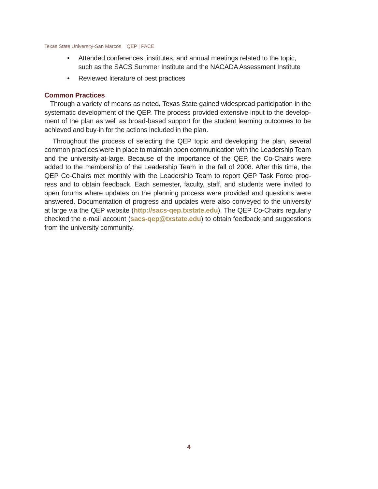- Attended conferences, institutes, and annual meetings related to the topic, such as the SACS Summer Institute and the NACADA Assessment Institute
- Reviewed literature of best practices

#### **Common Practices**

Through a variety of means as noted, Texas State gained widespread participation in the systematic development of the QEP. The process provided extensive input to the development of the plan as well as broad-based support for the student learning outcomes to be achieved and buy-in for the actions included in the plan.

 Throughout the process of selecting the QEP topic and developing the plan, several common practices were in place to maintain open communication with the Leadership Team and the university-at-large. Because of the importance of the QEP, the Co-Chairs were added to the membership of the Leadership Team in the fall of 2008. After this time, the QEP Co-Chairs met monthly with the Leadership Team to report QEP Task Force progress and to obtain feedback. Each semester, faculty, staff, and students were invited to open forums where updates on the planning process were provided and questions were answered. Documentation of progress and updates were also conveyed to the university at large via the QEP website (**http://sacs-qep.txstate.edu**). The QEP Co-Chairs regularly checked the e-mail account (**sacs-qep@txstate.edu**) to obtain feedback and suggestions from the university community.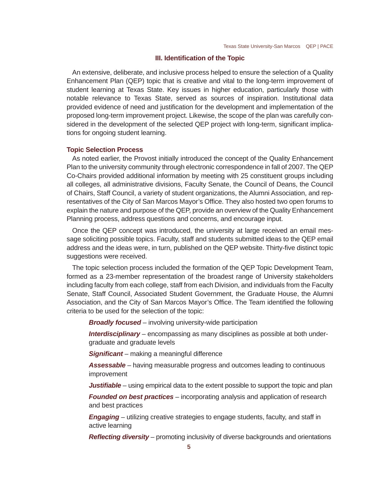#### **III. Identification of the Topic**

An extensive, deliberate, and inclusive process helped to ensure the selection of a Quality Enhancement Plan (QEP) topic that is creative and vital to the long-term improvement of student learning at Texas State. Key issues in higher education, particularly those with notable relevance to Texas State, served as sources of inspiration. Institutional data provided evidence of need and justification for the development and implementation of the proposed long-term improvement project. Likewise, the scope of the plan was carefully considered in the development of the selected QEP project with long-term, significant implications for ongoing student learning.

#### **Topic Selection Process**

As noted earlier, the Provost initially introduced the concept of the Quality Enhancement Plan to the university community through electronic correspondence in fall of 2007. The QEP Co-Chairs provided additional information by meeting with 25 constituent groups including all colleges, all administrative divisions, Faculty Senate, the Council of Deans, the Council of Chairs, Staff Council, a variety of student organizations, the Alumni Association, and representatives of the City of San Marcos Mayor's Office. They also hosted two open forums to explain the nature and purpose of the QEP, provide an overview of the Quality Enhancement Planning process, address questions and concerns, and encourage input.

Once the QEP concept was introduced, the university at large received an email message soliciting possible topics. Faculty, staff and students submitted ideas to the QEP email address and the ideas were, in turn, published on the QEP website. Thirty-five distinct topic suggestions were received.

The topic selection process included the formation of the QEP Topic Development Team, formed as a 23-member representation of the broadest range of University stakeholders including faculty from each college, staff from each Division, and individuals from the Faculty Senate, Staff Council, Associated Student Government, the Graduate House, the Alumni Association, and the City of San Marcos Mayor's Office. The Team identified the following criteria to be used for the selection of the topic:

*Broadly focused* – involving university-wide participation

*Interdisciplinary* – encompassing as many disciplines as possible at both undergraduate and graduate levels

**Significant** – making a meaningful difference

*Assessable* – having measurable progress and outcomes leading to continuous improvement

*Justifiable* – using empirical data to the extent possible to support the topic and plan

*Founded on best practices* – incorporating analysis and application of research and best practices

*Engaging* – utilizing creative strategies to engage students, faculty, and staff in active learning

**Reflecting diversity** – promoting inclusivity of diverse backgrounds and orientations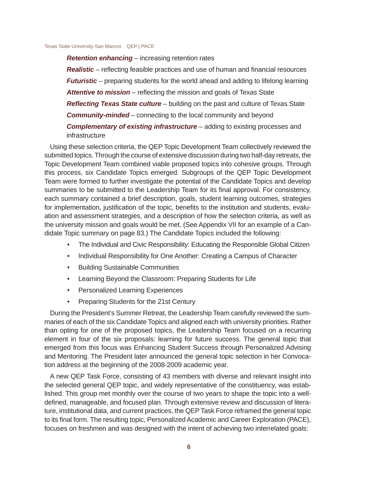*Retention enhancing* – increasing retention rates *Realistic* – reflecting feasible practices and use of human and financial resources *Futuristic* – preparing students for the world ahead and adding to lifelong learning Attentive to mission – reflecting the mission and goals of Texas State *Reflecting Texas State culture* – building on the past and culture of Texas State *Community-minded* – connecting to the local community and beyond *Complementary of existing infrastructure* – adding to existing processes and infrastructure

Using these selection criteria, the QEP Topic Development Team collectively reviewed the submitted topics. Through the course of extensive discussion during two half-day retreats, the Topic Development Team combined viable proposed topics into cohesive groups. Through this process, six Candidate Topics emerged. Subgroups of the QEP Topic Development Team were formed to further investigate the potential of the Candidate Topics and develop summaries to be submitted to the Leadership Team for its final approval. For consistency, each summary contained a brief description, goals, student learning outcomes, strategies for implementation, justification of the topic, benefits to the institution and students, evaluation and assessment strategies, and a description of how the selection criteria, as well as the university mission and goals would be met. (See Appendix VII for an example of a Candidate Topic summary on page 83.) The Candidate Topics included the following:

- The Individual and Civic Responsibility: Educating the Responsible Global Citizen
- Individual Responsibility for One Another: Creating a Campus of Character
- Building Sustainable Communities
- Learning Beyond the Classroom: Preparing Students for Life
- Personalized Learning Experiences
- Preparing Students for the 21st Century

During the President's Summer Retreat, the Leadership Team carefully reviewed the summaries of each of the six Candidate Topics and aligned each with university priorities. Rather than opting for one of the proposed topics, the Leadership Team focused on a recurring element in four of the six proposals: learning for future success. The general topic that emerged from this focus was Enhancing Student Success through Personalized Advising and Mentoring. The President later announced the general topic selection in her Convocation address at the beginning of the 2008-2009 academic year.

A new QEP Task Force, consisting of 43 members with diverse and relevant insight into the selected general QEP topic, and widely representative of the constituency, was established. This group met monthly over the course of two years to shape the topic into a welldefined, manageable, and focused plan. Through extensive review and discussion of literature, institutional data, and current practices, the QEP Task Force reframed the general topic to its final form. The resulting topic, Personalized Academic and Career Exploration (PACE), focuses on freshmen and was designed with the intent of achieving two interrelated goals: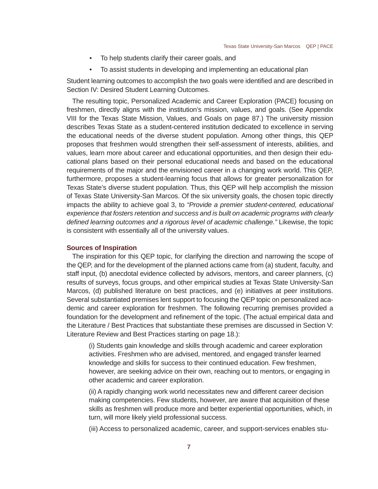- To help students clarify their career goals, and
- To assist students in developing and implementing an educational plan

Student learning outcomes to accomplish the two goals were identified and are described in Section IV: Desired Student Learning Outcomes.

The resulting topic, Personalized Academic and Career Exploration (PACE) focusing on freshmen, directly aligns with the institution's mission, values, and goals. (See Appendix VIII for the Texas State Mission, Values, and Goals on page 87.) The university mission describes Texas State as a student-centered institution dedicated to excellence in serving the educational needs of the diverse student population. Among other things, this QEP proposes that freshmen would strengthen their self-assessment of interests, abilities, and values, learn more about career and educational opportunities, and then design their educational plans based on their personal educational needs and based on the educational requirements of the major and the envisioned career in a changing work world. This QEP, furthermore, proposes a student-learning focus that allows for greater personalization for Texas State's diverse student population. Thus, this QEP will help accomplish the mission of Texas State University-San Marcos. Of the six university goals, the chosen topic directly impacts the ability to achieve goal 3, to *"Provide a premier student-centered, educational experience that fosters retention and success and is built on academic programs with clearly defi ned learning outcomes and a rigorous level of academic challenge."* Likewise, the topic is consistent with essentially all of the university values.

#### **Sources of Inspiration**

The inspiration for this QEP topic, for clarifying the direction and narrowing the scope of the QEP, and for the development of the planned actions came from (a) student, faculty, and staff input, (b) anecdotal evidence collected by advisors, mentors, and career planners, (c) results of surveys, focus groups, and other empirical studies at Texas State University-San Marcos, (d) published literature on best practices, and (e) initiatives at peer institutions. Several substantiated premises lent support to focusing the QEP topic on personalized academic and career exploration for freshmen. The following recurring premises provided a foundation for the development and refinement of the topic. (The actual empirical data and the Literature / Best Practices that substantiate these premises are discussed in Section V: Literature Review and Best Practices starting on page 18.):

(i) Students gain knowledge and skills through academic and career exploration activities. Freshmen who are advised, mentored, and engaged transfer learned knowledge and skills for success to their continued education. Few freshmen, however, are seeking advice on their own, reaching out to mentors, or engaging in other academic and career exploration.

(ii) A rapidly changing work world necessitates new and different career decision making competencies. Few students, however, are aware that acquisition of these skills as freshmen will produce more and better experiential opportunities, which, in turn, will more likely yield professional success.

(iii) Access to personalized academic, career, and support-services enables stu-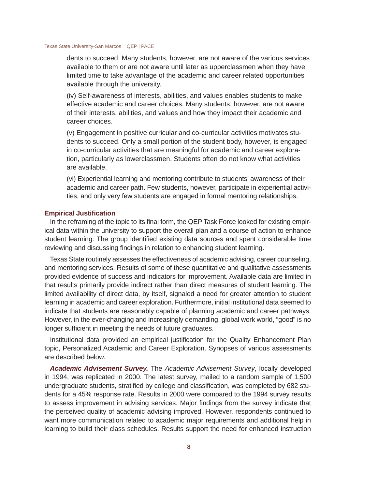dents to succeed. Many students, however, are not aware of the various services available to them or are not aware until later as upperclassmen when they have limited time to take advantage of the academic and career related opportunities available through the university.

(iv) Self-awareness of interests, abilities, and values enables students to make effective academic and career choices. Many students, however, are not aware of their interests, abilities, and values and how they impact their academic and career choices.

(v) Engagement in positive curricular and co-curricular activities motivates students to succeed. Only a small portion of the student body, however, is engaged in co-curricular activities that are meaningful for academic and career exploration, particularly as lowerclassmen. Students often do not know what activities are available.

(vi) Experiential learning and mentoring contribute to students' awareness of their academic and career path. Few students, however, participate in experiential activities, and only very few students are engaged in formal mentoring relationships.

#### **Empirical Justification**

In the reframing of the topic to its final form, the QEP Task Force looked for existing empirical data within the university to support the overall plan and a course of action to enhance student learning. The group identified existing data sources and spent considerable time reviewing and discussing findings in relation to enhancing student learning.

Texas State routinely assesses the effectiveness of academic advising, career counseling, and mentoring services. Results of some of these quantitative and qualitative assessments provided evidence of success and indicators for improvement. Available data are limited in that results primarily provide indirect rather than direct measures of student learning. The limited availability of direct data, by itself, signaled a need for greater attention to student learning in academic and career exploration. Furthermore, initial institutional data seemed to indicate that students are reasonably capable of planning academic and career pathways. However, in the ever-changing and increasingly demanding, global work world, "good" is no longer sufficient in meeting the needs of future graduates.

Institutional data provided an empirical justification for the Quality Enhancement Plan topic, Personalized Academic and Career Exploration. Synopses of various assessments are described below.

*Academic Advisement Survey.* The *Academic Advisement Survey*, locally developed in 1994, was replicated in 2000. The latest survey, mailed to a random sample of 1,500 undergraduate students, stratified by college and classification, was completed by 682 students for a 45% response rate. Results in 2000 were compared to the 1994 survey results to assess improvement in advising services. Major findings from the survey indicate that the perceived quality of academic advising improved. However, respondents continued to want more communication related to academic major requirements and additional help in learning to build their class schedules. Results support the need for enhanced instruction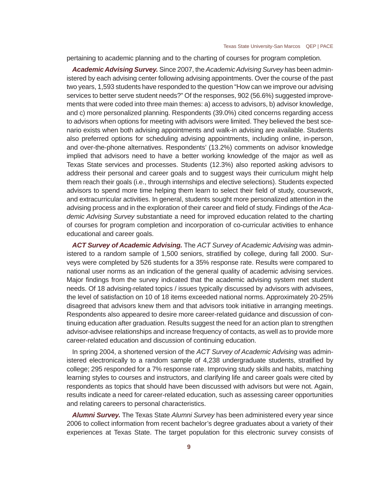pertaining to academic planning and to the charting of courses for program completion.

*Academic Advising Survey.* Since 2007, the *Academic Advising Survey* has been administered by each advising center following advising appointments. Over the course of the past two years, 1,593 students have responded to the question "How can we improve our advising services to better serve student needs?" Of the responses, 902 (56.6%) suggested improvements that were coded into three main themes: a) access to advisors, b) advisor knowledge, and c) more personalized planning. Respondents (39.0%) cited concerns regarding access to advisors when options for meeting with advisors were limited. They believed the best scenario exists when both advising appointments and walk-in advising are available. Students also preferred options for scheduling advising appointments, including online, in-person, and over-the-phone alternatives. Respondents' (13.2%) comments on advisor knowledge implied that advisors need to have a better working knowledge of the major as well as Texas State services and processes. Students (12.3%) also reported asking advisors to address their personal and career goals and to suggest ways their curriculum might help them reach their goals (i.e., through internships and elective selections). Students expected advisors to spend more time helping them learn to select their field of study, coursework, and extracurricular activities. In general, students sought more personalized attention in the advising process and in the exploration of their career and field of study. Findings of the Aca*demic Advising Survey* substantiate a need for improved education related to the charting of courses for program completion and incorporation of co-curricular activities to enhance educational and career goals.

*ACT Survey of Academic Advising.* The *ACT Survey of Academic Advising* was administered to a random sample of 1,500 seniors, stratified by college, during fall 2000. Surveys were completed by 526 students for a 35% response rate. Results were compared to national user norms as an indication of the general quality of academic advising services. Major findings from the survey indicated that the academic advising system met student needs. Of 18 advising-related topics / issues typically discussed by advisors with advisees, the level of satisfaction on 10 of 18 items exceeded national norms. Approximately 20-25% disagreed that advisors knew them and that advisors took initiative in arranging meetings. Respondents also appeared to desire more career-related guidance and discussion of continuing education after graduation. Results suggest the need for an action plan to strengthen advisor-advisee relationships and increase frequency of contacts, as well as to provide more career-related education and discussion of continuing education.

In spring 2004, a shortened version of the *ACT Survey of Academic Advising* was administered electronically to a random sample of 4,238 undergraduate students, stratified by college; 295 responded for a 7% response rate. Improving study skills and habits, matching learning styles to courses and instructors, and clarifying life and career goals were cited by respondents as topics that should have been discussed with advisors but were not. Again, results indicate a need for career-related education, such as assessing career opportunities and relating careers to personal characteristics.

*Alumni Survey.* The Texas State *Alumni Survey* has been administered every year since 2006 to collect information from recent bachelor's degree graduates about a variety of their experiences at Texas State. The target population for this electronic survey consists of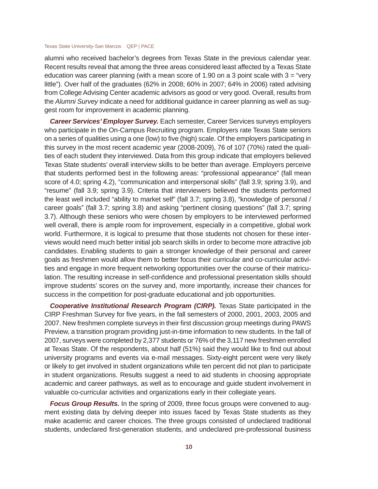alumni who received bachelor's degrees from Texas State in the previous calendar year. Recent results reveal that among the three areas considered least affected by a Texas State education was career planning (with a mean score of 1.90 on a 3 point scale with  $3 =$  "very" little"). Over half of the graduates (62% in 2008; 60% in 2007; 64% in 2006) rated advising from College Advising Center academic advisors as good or very good. Overall, results from the *Alumni Survey* indicate a need for additional guidance in career planning as well as suggest room for improvement in academic planning.

*Career Services' Employer Survey.* Each semester, Career Services surveys employers who participate in the On-Campus Recruiting program. Employers rate Texas State seniors on a series of qualities using a one (low) to five (high) scale. Of the employers participating in this survey in the most recent academic year (2008-2009), 76 of 107 (70%) rated the qualities of each student they interviewed. Data from this group indicate that employers believed Texas State students' overall interview skills to be better than average. Employers perceive that students performed best in the following areas: "professional appearance" (fall mean score of 4.0; spring 4.2), "communication and interpersonal skills" (fall 3.9; spring 3.9), and "resume" (fall 3.9; spring 3.9). Criteria that interviewers believed the students performed the least well included "ability to market self" (fall 3.7; spring 3.8), "knowledge of personal / career goals" (fall 3.7; spring 3.8) and asking "pertinent closing questions" (fall 3.7; spring 3.7). Although these seniors who were chosen by employers to be interviewed performed well overall, there is ample room for improvement, especially in a competitive, global work world. Furthermore, it is logical to presume that those students not chosen for these interviews would need much better initial job search skills in order to become more attractive job candidates. Enabling students to gain a stronger knowledge of their personal and career goals as freshmen would allow them to better focus their curricular and co-curricular activities and engage in more frequent networking opportunities over the course of their matriculation. The resulting increase in self-confidence and professional presentation skills should improve students' scores on the survey and, more importantly, increase their chances for success in the competition for post-graduate educational and job opportunities.

*Cooperative Institutional Research Program (CIRP).* Texas State participated in the CIRP Freshman Survey for five years, in the fall semesters of 2000, 2001, 2003, 2005 and 2007. New freshmen complete surveys in their first discussion group meetings during PAWS Preview, a transition program providing just-in-time information to new students. In the fall of 2007, surveys were completed by 2,377 students or 76% of the 3,117 new freshmen enrolled at Texas State. Of the respondents, about half (51%) said they would like to find out about university programs and events via e-mail messages. Sixty-eight percent were very likely or likely to get involved in student organizations while ten percent did not plan to participate in student organizations. Results suggest a need to aid students in choosing appropriate academic and career pathways, as well as to encourage and guide student involvement in valuable co-curricular activities and organizations early in their collegiate years.

*Focus Group Results.* In the spring of 2009, three focus groups were convened to augment existing data by delving deeper into issues faced by Texas State students as they make academic and career choices. The three groups consisted of undeclared traditional students, undeclared first-generation students, and undeclared pre-professional business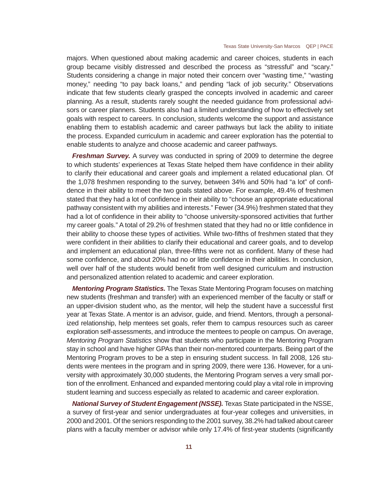majors. When questioned about making academic and career choices, students in each group became visibly distressed and described the process as "stressful" and "scary." Students considering a change in major noted their concern over "wasting time," "wasting money," needing "to pay back loans," and pending "lack of job security." Observations indicate that few students clearly grasped the concepts involved in academic and career planning. As a result, students rarely sought the needed guidance from professional advisors or career planners. Students also had a limited understanding of how to effectively set goals with respect to careers. In conclusion, students welcome the support and assistance enabling them to establish academic and career pathways but lack the ability to initiate the process. Expanded curriculum in academic and career exploration has the potential to enable students to analyze and choose academic and career pathways.

**Freshman Survey.** A survey was conducted in spring of 2009 to determine the degree to which students' experiences at Texas State helped them have confidence in their ability to clarify their educational and career goals and implement a related educational plan. Of the 1,078 freshmen responding to the survey, between 34% and 50% had "a lot" of confidence in their ability to meet the two goals stated above. For example, 49.4% of freshmen stated that they had a lot of confidence in their ability to "choose an appropriate educational pathway consistent with my abilities and interests." Fewer (34.9%) freshmen stated that they had a lot of confidence in their ability to "choose university-sponsored activities that further my career goals." A total of 29.2% of freshmen stated that they had no or little confidence in their ability to choose these types of activities. While two-fifths of freshmen stated that they were confident in their abilities to clarify their educational and career goals, and to develop and implement an educational plan, three-fifths were not as confident. Many of these had some confidence, and about 20% had no or little confidence in their abilities. In conclusion, well over half of the students would benefit from well designed curriculum and instruction and personalized attention related to academic and career exploration.

*Mentoring Program Statistics.* The Texas State Mentoring Program focuses on matching new students (freshman and transfer) with an experienced member of the faculty or staff or an upper-division student who, as the mentor, will help the student have a successful first year at Texas State. A mentor is an advisor, guide, and friend. Mentors, through a personalized relationship, help mentees set goals, refer them to campus resources such as career exploration self-assessments, and introduce the mentees to people on campus. On average, *Mentoring Program Statistics* show that students who participate in the Mentoring Program stay in school and have higher GPAs than their non-mentored counterparts. Being part of the Mentoring Program proves to be a step in ensuring student success. In fall 2008, 126 students were mentees in the program and in spring 2009, there were 136. However, for a university with approximately 30,000 students, the Mentoring Program serves a very small portion of the enrollment. Enhanced and expanded mentoring could play a vital role in improving student learning and success especially as related to academic and career exploration.

*National Survey of Student Engagement (NSSE).* Texas State participated in the NSSE, a survey of first-year and senior undergraduates at four-year colleges and universities, in 2000 and 2001. Of the seniors responding to the 2001 survey, 38.2% had talked about career plans with a faculty member or advisor while only 17.4% of first-year students (significantly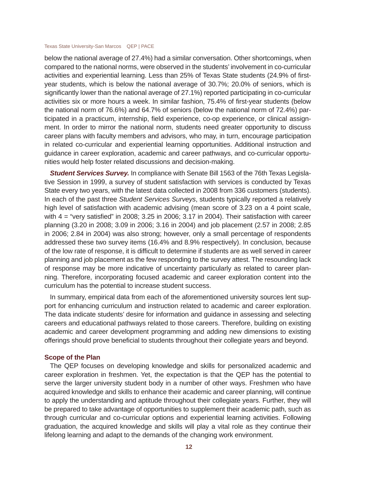below the national average of 27.4%) had a similar conversation. Other shortcomings, when compared to the national norms, were observed in the students' involvement in co-curricular activities and experiential learning. Less than 25% of Texas State students (24.9% of firstyear students, which is below the national average of 30.7%; 20.0% of seniors, which is significantly lower than the national average of 27.1%) reported participating in co-curricular activities six or more hours a week. In similar fashion, 75.4% of first-year students (below the national norm of 76.6%) and 64.7% of seniors (below the national norm of 72.4%) participated in a practicum, internship, field experience, co-op experience, or clinical assignment. In order to mirror the national norm, students need greater opportunity to discuss career plans with faculty members and advisors, who may, in turn, encourage participation in related co-curricular and experiential learning opportunities. Additional instruction and guidance in career exploration, academic and career pathways, and co-curricular opportunities would help foster related discussions and decision-making.

*Student Services Survey.* In compliance with Senate Bill 1563 of the 76th Texas Legislative Session in 1999, a survey of student satisfaction with services is conducted by Texas State every two years, with the latest data collected in 2008 from 336 customers (students). In each of the past three *Student Services Surveys*, students typically reported a relatively high level of satisfaction with academic advising (mean score of 3.23 on a 4 point scale, with  $4 =$  "very satisfied" in 2008; 3.25 in 2006; 3.17 in 2004). Their satisfaction with career planning (3.20 in 2008; 3.09 in 2006; 3.16 in 2004) and job placement (2.57 in 2008; 2.85 in 2006; 2.84 in 2004) was also strong; however, only a small percentage of respondents addressed these two survey items (16.4% and 8.9% respectively). In conclusion, because of the low rate of response, it is difficult to determine if students are as well served in career planning and job placement as the few responding to the survey attest. The resounding lack of response may be more indicative of uncertainty particularly as related to career planning. Therefore, incorporating focused academic and career exploration content into the curriculum has the potential to increase student success.

In summary, empirical data from each of the aforementioned university sources lent support for enhancing curriculum and instruction related to academic and career exploration. The data indicate students' desire for information and guidance in assessing and selecting careers and educational pathways related to those careers. Therefore, building on existing academic and career development programming and adding new dimensions to existing offerings should prove beneficial to students throughout their collegiate years and beyond.

#### **Scope of the Plan**

The QEP focuses on developing knowledge and skills for personalized academic and career exploration in freshmen. Yet, the expectation is that the QEP has the potential to serve the larger university student body in a number of other ways. Freshmen who have acquired knowledge and skills to enhance their academic and career planning, will continue to apply the understanding and aptitude throughout their collegiate years. Further, they will be prepared to take advantage of opportunities to supplement their academic path, such as through curricular and co-curricular options and experiential learning activities. Following graduation, the acquired knowledge and skills will play a vital role as they continue their lifelong learning and adapt to the demands of the changing work environment.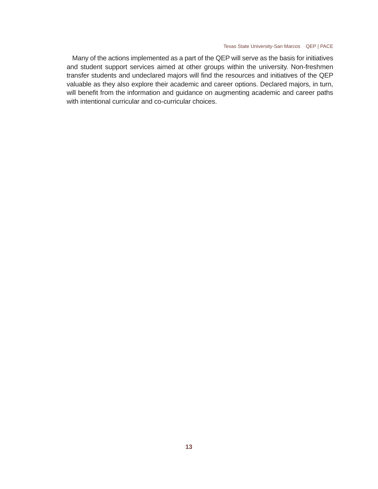Many of the actions implemented as a part of the QEP will serve as the basis for initiatives and student support services aimed at other groups within the university. Non-freshmen transfer students and undeclared majors will find the resources and initiatives of the QEP valuable as they also explore their academic and career options. Declared majors, in turn, will benefit from the information and guidance on augmenting academic and career paths with intentional curricular and co-curricular choices.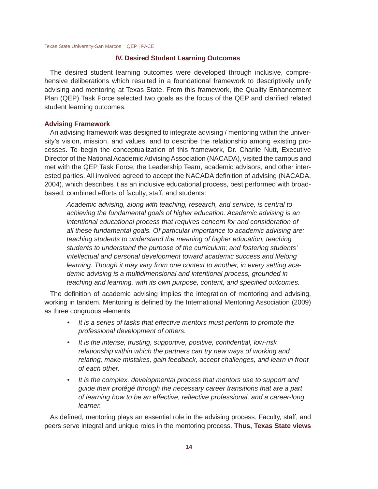#### **IV. Desired Student Learning Outcomes**

The desired student learning outcomes were developed through inclusive, comprehensive deliberations which resulted in a foundational framework to descriptively unify advising and mentoring at Texas State. From this framework, the Quality Enhancement Plan (QEP) Task Force selected two goals as the focus of the QEP and clarified related student learning outcomes.

#### **Advising Framework**

An advising framework was designed to integrate advising / mentoring within the university's vision, mission, and values, and to describe the relationship among existing processes. To begin the conceptualization of this framework, Dr. Charlie Nutt, Executive Director of the National Academic Advising Association (NACADA), visited the campus and met with the QEP Task Force, the Leadership Team, academic advisors, and other interested parties. All involved agreed to accept the NACADA definition of advising (NACADA, 2004), which describes it as an inclusive educational process, best performed with broadbased, combined efforts of faculty, staff, and students:

*Academic advising, along with teaching, research, and service, is central to achieving the fundamental goals of higher education. Academic advising is an intentional educational process that requires concern for and consideration of all these fundamental goals. Of particular importance to academic advising are: teaching students to understand the meaning of higher education; teaching students to understand the purpose of the curriculum; and fostering students' intellectual and personal development toward academic success and lifelong learning. Though it may vary from one context to another, in every setting academic advising is a multidimensional and intentional process, grounded in teaching and learning, with its own purpose, content, and specified outcomes.* 

The definition of academic advising implies the integration of mentoring and advising, working in tandem. Mentoring is defined by the International Mentoring Association (2009) as three congruous elements:

- *It is a series of tasks that effective mentors must perform to promote the professional development of others.*
- It is the intense, trusting, supportive, positive, confidential, low-risk *relationship within which the partners can try new ways of working and relating, make mistakes, gain feedback, accept challenges, and learn in front of each other.*
- *It is the complex, developmental process that mentors use to support and guide their protégé through the necessary career transitions that are a part of learning how to be an effective, refl ective professional, and a career-long learner.*

As defined, mentoring plays an essential role in the advising process. Faculty, staff, and peers serve integral and unique roles in the mentoring process. **Thus, Texas State views**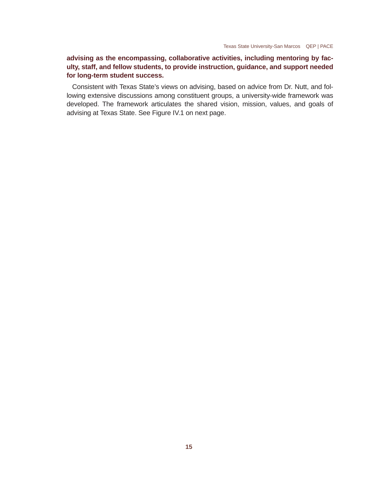#### **advising as the encompassing, collaborative activities, including mentoring by faculty, staff, and fellow students, to provide instruction, guidance, and support needed for long-term student success.**

Consistent with Texas State's views on advising, based on advice from Dr. Nutt, and following extensive discussions among constituent groups, a university-wide framework was developed. The framework articulates the shared vision, mission, values, and goals of advising at Texas State. See Figure IV.1 on next page.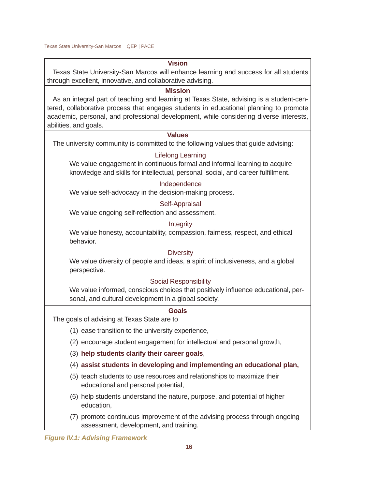#### **Vision**

Texas State University-San Marcos will enhance learning and success for all students through excellent, innovative, and collaborative advising.

#### **Mission**

As an integral part of teaching and learning at Texas State, advising is a student-centered, collaborative process that engages students in educational planning to promote academic, personal, and professional development, while considering diverse interests, abilities, and goals.

#### **Values**

The university community is committed to the following values that guide advising:

#### Lifelong Learning

We value engagement in continuous formal and informal learning to acquire knowledge and skills for intellectual, personal, social, and career fulfillment.

#### Independence

We value self-advocacy in the decision-making process.

#### Self-Appraisal

We value ongoing self-reflection and assessment.

#### Integrity

We value honesty, accountability, compassion, fairness, respect, and ethical behavior.

#### **Diversity**

We value diversity of people and ideas, a spirit of inclusiveness, and a global perspective.

#### Social Responsibility

We value informed, conscious choices that positively influence educational, personal, and cultural development in a global society.

#### **Goals**

The goals of advising at Texas State are to

- (1) ease transition to the university experience,
- (2) encourage student engagement for intellectual and personal growth,
- (3) **help students clarify their career goals**,
- (4) **assist students in developing and implementing an educational plan,**
- (5) teach students to use resources and relationships to maximize their educational and personal potential,
- (6) help students understand the nature, purpose, and potential of higher education,
- (7) promote continuous improvement of the advising process through ongoing assessment, development, and training.

*Figure IV.1: Advising Framework*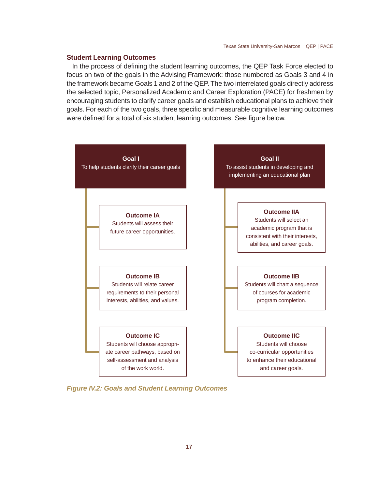#### **Student Learning Outcomes**

In the process of defining the student learning outcomes, the QEP Task Force elected to focus on two of the goals in the Advising Framework: those numbered as Goals 3 and 4 in the framework became Goals 1 and 2 of the QEP. The two interrelated goals directly address the selected topic, Personalized Academic and Career Exploration (PACE) for freshmen by encouraging students to clarify career goals and establish educational plans to achieve their goals. For each of the two goals, three specific and measurable cognitive learning outcomes were defined for a total of six student learning outcomes. See figure below.



*Figure IV.2: Goals and Student Learning Outcomes*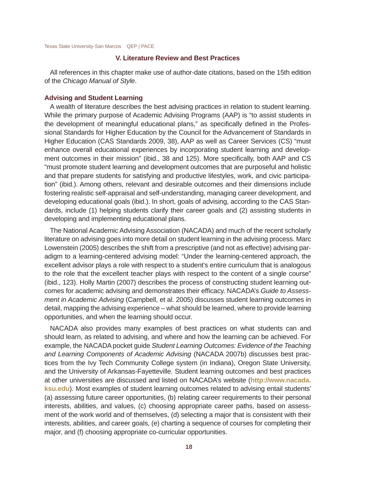#### **V. Literature Review and Best Practices**

All references in this chapter make use of author-date citations, based on the 15th edition of the *Chicago Manual of Style*.

#### **Advising and Student Learning**

A wealth of literature describes the best advising practices in relation to student learning. While the primary purpose of Academic Advising Programs (AAP) is "to assist students in the development of meaningful educational plans," as specifically defined in the Professional Standards for Higher Education by the Council for the Advancement of Standards in Higher Education (CAS Standards 2009, 38), AAP as well as Career Services (CS) "must enhance overall educational experiences by incorporating student learning and development outcomes in their mission" (ibid., 38 and 125). More specifically, both AAP and CS "must promote student learning and development outcomes that are purposeful and holistic and that prepare students for satisfying and productive lifestyles, work, and civic participation" (ibid.). Among others, relevant and desirable outcomes and their dimensions include fostering realistic self-appraisal and self-understanding, managing career development, and developing educational goals (ibid.). In short, goals of advising, according to the CAS Standards, include (1) helping students clarify their career goals and (2) assisting students in developing and implementing educational plans.

The National Academic Advising Association (NACADA) and much of the recent scholarly literature on advising goes into more detail on student learning in the advising process. Marc Lowenstein (2005) describes the shift from a prescriptive (and not as effective) advising paradigm to a learning-centered advising model: "Under the learning-centered approach, the excellent advisor plays a role with respect to a student's entire curriculum that is analogous to the role that the excellent teacher plays with respect to the content of a single course" (ibid., 123). Holly Martin (2007) describes the process of constructing student learning outcomes for academic advising and demonstrates their efficacy. NACADA's *Guide to Assessment in Academic Advising* (Campbell, et al. 2005) discusses student learning outcomes in detail, mapping the advising experience – what should be learned, where to provide learning opportunities, and when the learning should occur.

NACADA also provides many examples of best practices on what students can and should learn, as related to advising, and where and how the learning can be achieved. For example, the NACADA pocket guide *Student Learning Outcomes: Evidence of the Teaching and Learning Components of Academic Advising* (NACADA 2007b) discusses best practices from the Ivy Tech Community College system (in Indiana), Oregon State University, and the University of Arkansas-Fayetteville. Student learning outcomes and best practices at other universities are discussed and listed on NACADA's website (**http://www.nacada. ksu.edu**). Most examples of student learning outcomes related to advising entail students' (a) assessing future career opportunities, (b) relating career requirements to their personal interests, abilities, and values, (c) choosing appropriate career paths, based on assessment of the work world and of themselves, (d) selecting a major that is consistent with their interests, abilities, and career goals, (e) charting a sequence of courses for completing their major, and (f) choosing appropriate co-curricular opportunities.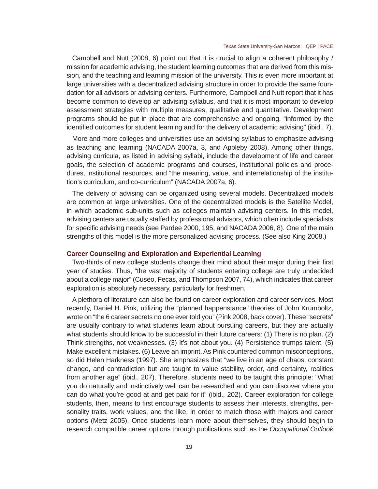Campbell and Nutt (2008, 6) point out that it is crucial to align a coherent philosophy / mission for academic advising, the student learning outcomes that are derived from this mission, and the teaching and learning mission of the university. This is even more important at large universities with a decentralized advising structure in order to provide the same foundation for all advisors or advising centers. Furthermore, Campbell and Nutt report that it has become common to develop an advising syllabus, and that it is most important to develop assessment strategies with multiple measures, qualitative and quantitative. Development programs should be put in place that are comprehensive and ongoing, "informed by the identified outcomes for student learning and for the delivery of academic advising" (ibid., 7).

More and more colleges and universities use an advising syllabus to emphasize advising as teaching and learning (NACADA 2007a, 3, and Appleby 2008). Among other things, advising curricula, as listed in advising syllabi, include the development of life and career goals, the selection of academic programs and courses, institutional policies and procedures, institutional resources, and "the meaning, value, and interrelationship of the institution's curriculum, and co-curriculum" (NACADA 2007a, 6).

The delivery of advising can be organized using several models. Decentralized models are common at large universities. One of the decentralized models is the Satellite Model, in which academic sub-units such as colleges maintain advising centers. In this model, advising centers are usually staffed by professional advisors, which often include specialists for specific advising needs (see Pardee 2000, 195, and NACADA 2006, 8). One of the main strengths of this model is the more personalized advising process. (See also King 2008.)

#### **Career Counseling and Exploration and Experiential Learning**

Two-thirds of new college students change their mind about their major during their first year of studies. Thus, "the vast majority of students entering college are truly undecided about a college major" (Cuseo, Fecas, and Thompson 2007, 74), which indicates that career exploration is absolutely necessary, particularly for freshmen.

A plethora of literature can also be found on career exploration and career services. Most recently, Daniel H. Pink, utilizing the "planned happenstance" theories of John Krumboltz, wrote on "the 6 career secrets no one ever told you" (Pink 2008, back cover). These "secrets" are usually contrary to what students learn about pursuing careers, but they are actually what students should know to be successful in their future careers: (1) There is no plan. (2) Think strengths, not weaknesses. (3) It's not about you. (4) Persistence trumps talent. (5) Make excellent mistakes. (6) Leave an imprint. As Pink countered common misconceptions, so did Helen Harkness (1997). She emphasizes that "we live in an age of chaos, constant change, and contradiction but are taught to value stability, order, and certainty, realities from another age" (ibid., 207). Therefore, students need to be taught this principle: "What you do naturally and instinctively well can be researched and you can discover where you can do what you're good at and get paid for it" (ibid., 202). Career exploration for college students, then, means to first encourage students to assess their interests, strengths, personality traits, work values, and the like, in order to match those with majors and career options (Metz 2005). Once students learn more about themselves, they should begin to research compatible career options through publications such as the *Occupational Outlook*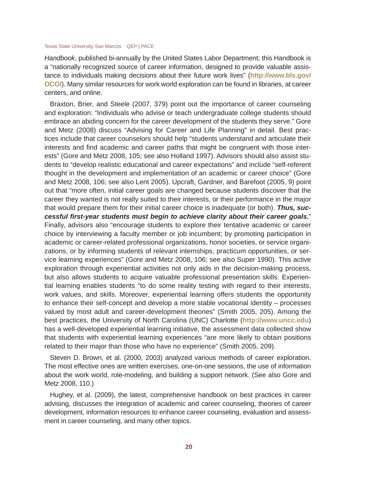*Handbook*, published bi-annually by the United States Labor Department; this Handbook is a "nationally recognized source of career information, designed to provide valuable assistance to individuals making decisions about their future work lives" (**http://www.bls.gov/ OCO/**). Many similar resources for work world exploration can be found in libraries, at career centers, and online.

Braxton, Brier, and Steele (2007, 379) point out the importance of career counseling and exploration: "Individuals who advise or teach undergraduate college students should embrace an abiding concern for the career development of the students they serve." Gore and Metz (2008) discuss "Advising for Career and Life Planning" in detail. Best practices include that career counselors should help "students understand and articulate their interests and find academic and career paths that might be congruent with those interests" (Gore and Metz 2008, 105; see also Holland 1997). Advisors should also assist students to "develop realistic educational and career expectations" and include "self-referent thought in the development and implementation of an academic or career choice" (Gore and Metz 2008, 106; see also Lent 2005). Upcraft, Gardner, and Barefoot (2005, 9) point out that "more often, initial career goals are changed because students discover that the career they wanted is not really suited to their interests, or their performance in the major that would prepare them for their initial career choice is inadequate (or both). *Thus, successful fi rst-year students must begin to achieve clarity about their career goals.*" Finally, advisors also "encourage students to explore their tentative academic or career choice by interviewing a faculty member or job incumbent; by promoting participation in academic or career-related professional organizations, honor societies, or service organizations, or by informing students of relevant internships, practicum opportunities, or service learning experiences" (Gore and Metz 2008, 106; see also Super 1990). This active exploration through experiential activities not only aids in the decision-making process, but also allows students to acquire valuable professional presentation skills. Experiential learning enables students "to do some reality testing with regard to their interests, work values, and skills. Moreover, experiential learning offers students the opportunity to enhance their self-concept and develop a more stable vocational identity – processes valued by most adult and career-development theories" (Smith 2005, 205). Among the best practices, the University of North Carolina (UNC) Charlotte (**http://www.uncc.edu**) has a well-developed experiential learning initiative, the assessment data collected show that students with experiential learning experiences "are more likely to obtain positions related to their major than those who have no experience" (Smith 2005, 209).

Steven D. Brown, et al. (2000, 2003) analyzed various methods of career exploration. The most effective ones are written exercises, one-on-one sessions, the use of information about the work world, role-modeling, and building a support network. (See also Gore and Metz 2008, 110.)

Hughey, et al. (2009), the latest, comprehensive handbook on best practices in career advising, discusses the integration of academic and career counseling, theories of career development, information resources to enhance career counseling, evaluation and assessment in career counseling, and many other topics.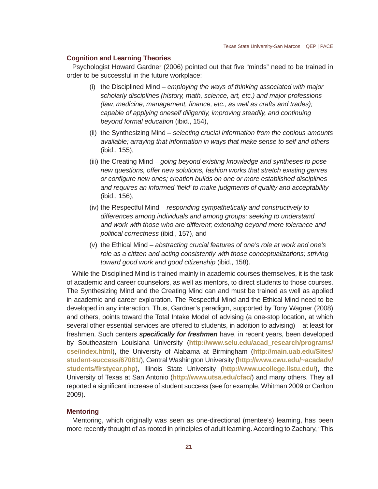#### **Cognition and Learning Theories**

Psychologist Howard Gardner (2006) pointed out that five "minds" need to be trained in order to be successful in the future workplace:

- (i) the Disciplined Mind *employing the ways of thinking associated with major scholarly disciplines (history, math, science, art, etc.) and major professions (law, medicine, management, fi nance, etc., as well as crafts and trades); capable of applying oneself diligently, improving steadily, and continuing beyond formal education* (ibid., 154),
- (ii) the Synthesizing Mind *selecting crucial information from the copious amounts available; arraying that information in ways that make sense to self and others*  (ibid., 155),
- (iii) the Creating Mind *going beyond existing knowledge and syntheses to pose new questions, offer new solutions, fashion works that stretch existing genres or confi gure new ones; creation builds on one or more established disciplines and requires an informed 'fi eld' to make judgments of quality and acceptability*  (ibid., 156),
- (iv) the Respectful Mind *responding sympathetically and constructively to differences among individuals and among groups; seeking to understand and work with those who are different; extending beyond mere tolerance and political correctness* (ibid., 157), and
- (v) the Ethical Mind *abstracting crucial features of one's role at work and one's role as a citizen and acting consistently with those conceptualizations; striving toward good work and good citizenship* (ibid., 158).

While the Disciplined Mind is trained mainly in academic courses themselves, it is the task of academic and career counselors, as well as mentors, to direct students to those courses. The Synthesizing Mind and the Creating Mind can and must be trained as well as applied in academic and career exploration. The Respectful Mind and the Ethical Mind need to be developed in any interaction. Thus, Gardner's paradigm, supported by Tony Wagner (2008) and others, points toward the Total Intake Model of advising (a one-stop location, at which several other essential services are offered to students, in addition to advising) – at least for freshmen. Such centers **specifically for freshmen** have, in recent years, been developed by Southeastern Louisiana University (**http://www.selu.edu/acad\_research/programs/ cse/index.html**), the University of Alabama at Birmingham (**http://main.uab.edu/Sites/ student-success/67081/**), Central Washington University (**http://www.cwu.edu/~acadadv/ students/fi rstyear.php**), Illinois State University (**http://www.ucollege.ilstu.edu/**), the University of Texas at San Antonio (**http://www.utsa.edu/cfac/**) and many others. They all reported a significant increase of student success (see for example, Whitman 2009 or Carlton 2009).

#### **Mentoring**

Mentoring, which originally was seen as one-directional (mentee's) learning, has been more recently thought of as rooted in principles of adult learning. According to Zachary, "This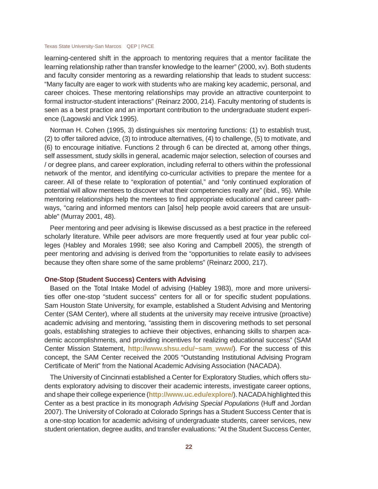learning-centered shift in the approach to mentoring requires that a mentor facilitate the learning relationship rather than transfer knowledge to the learner" (2000, xv). Both students and faculty consider mentoring as a rewarding relationship that leads to student success: "Many faculty are eager to work with students who are making key academic, personal, and career choices. These mentoring relationships may provide an attractive counterpoint to formal instructor-student interactions" (Reinarz 2000, 214). Faculty mentoring of students is seen as a best practice and an important contribution to the undergraduate student experience (Lagowski and Vick 1995).

Norman H. Cohen (1995, 3) distinguishes six mentoring functions: (1) to establish trust, (2) to offer tailored advice, (3) to introduce alternatives, (4) to challenge, (5) to motivate, and (6) to encourage initiative. Functions 2 through 6 can be directed at, among other things, self assessment, study skills in general, academic major selection, selection of courses and / or degree plans, and career exploration, including referral to others within the professional network of the mentor, and identifying co-curricular activities to prepare the mentee for a career. All of these relate to "exploration of potential," and "only continued exploration of potential will allow mentees to discover what their competencies really are" (ibid., 95). While mentoring relationships help the mentees to find appropriate educational and career pathways, "caring and informed mentors can [also] help people avoid careers that are unsuitable" (Murray 2001, 48).

Peer mentoring and peer advising is likewise discussed as a best practice in the refereed scholarly literature. While peer advisors are more frequently used at four year public colleges (Habley and Morales 1998; see also Koring and Campbell 2005), the strength of peer mentoring and advising is derived from the "opportunities to relate easily to advisees because they often share some of the same problems" (Reinarz 2000, 217).

#### **One-Stop (Student Success) Centers with Advising**

Based on the Total Intake Model of advising (Habley 1983), more and more universities offer one-stop "student success" centers for all or for specific student populations. Sam Houston State University, for example, established a Student Advising and Mentoring Center (SAM Center), where all students at the university may receive intrusive (proactive) academic advising and mentoring, "assisting them in discovering methods to set personal goals, establishing strategies to achieve their objectives, enhancing skills to sharpen academic accomplishments, and providing incentives for realizing educational success" (SAM Center Mission Statement, **http://www.shsu.edu/~sam\_www/**). For the success of this concept, the SAM Center received the 2005 "Outstanding Institutional Advising Program Certificate of Merit" from the National Academic Advising Association (NACADA).

The University of Cincinnati established a Center for Exploratory Studies, which offers students exploratory advising to discover their academic interests, investigate career options, and shape their college experience (**http://www.uc.edu/explore/**). NACADA highlighted this Center as a best practice in its monograph *Advising Special Populations* (Huff and Jordan 2007). The University of Colorado at Colorado Springs has a Student Success Center that is a one-stop location for academic advising of undergraduate students, career services, new student orientation, degree audits, and transfer evaluations: "At the Student Success Center,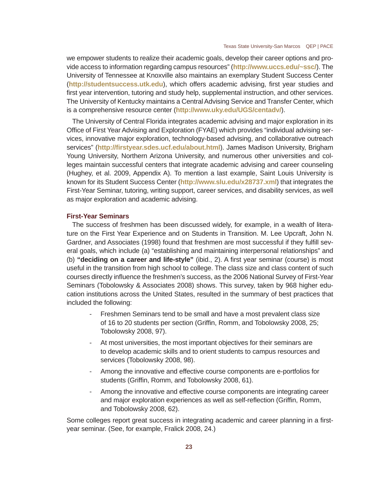we empower students to realize their academic goals, develop their career options and provide access to information regarding campus resources" (**http://www.uccs.edu/~ssc/**). The University of Tennessee at Knoxville also maintains an exemplary Student Success Center (http://studentsuccess.utk.edu), which offers academic advising, first year studies and first year intervention, tutoring and study help, supplemental instruction, and other services. The University of Kentucky maintains a Central Advising Service and Transfer Center, which is a comprehensive resource center (**http://www.uky.edu/UGS/centadv/**).

The University of Central Florida integrates academic advising and major exploration in its Office of First Year Advising and Exploration (FYAE) which provides "individual advising services, innovative major exploration, technology-based advising, and collaborative outreach services" (**http://fi rstyear.sdes.ucf.edu/about.html**). James Madison University, Brigham Young University, Northern Arizona University, and numerous other universities and colleges maintain successful centers that integrate academic advising and career counseling (Hughey, et al. 2009, Appendix A). To mention a last example, Saint Louis University is known for its Student Success Center (**http://www.slu.edu/x28737.xml**) that integrates the First-Year Seminar, tutoring, writing support, career services, and disability services, as well as major exploration and academic advising.

#### **First-Year Seminars**

The success of freshmen has been discussed widely, for example, in a wealth of literature on the First Year Experience and on Students in Transition. M. Lee Upcraft, John N. Gardner, and Associates (1998) found that freshmen are most successful if they fulfill several goals, which include (a) "establishing and maintaining interpersonal relationships" and (b) "**deciding on a career and life-style**" (ibid., 2). A first year seminar (course) is most useful in the transition from high school to college. The class size and class content of such courses directly influence the freshmen's success, as the 2006 National Survey of First-Year Seminars (Tobolowsky & Associates 2008) shows. This survey, taken by 968 higher education institutions across the United States, resulted in the summary of best practices that included the following:

- Freshmen Seminars tend to be small and have a most prevalent class size of 16 to 20 students per section (Griffin, Romm, and Tobolowsky 2008, 25; Tobolowsky 2008, 97).
- At most universities, the most important objectives for their seminars are to develop academic skills and to orient students to campus resources and services (Tobolowsky 2008, 98).
- Among the innovative and effective course components are e-portfolios for students (Griffin, Romm, and Tobolowsky 2008, 61).
- Among the innovative and effective course components are integrating career and major exploration experiences as well as self-reflection (Griffin, Romm, and Tobolowsky 2008, 62).

Some colleges report great success in integrating academic and career planning in a firstyear seminar. (See, for example, Fralick 2008, 24.)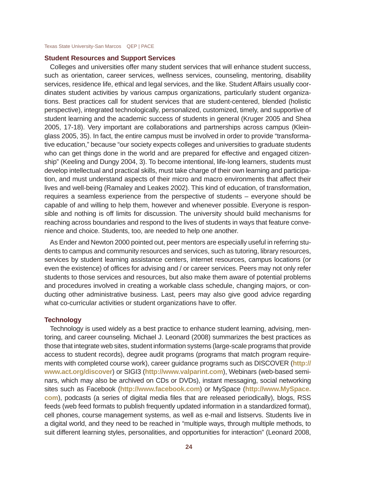#### **Student Resources and Support Services**

Colleges and universities offer many student services that will enhance student success, such as orientation, career services, wellness services, counseling, mentoring, disability services, residence life, ethical and legal services, and the like. Student Affairs usually coordinates student activities by various campus organizations, particularly student organizations. Best practices call for student services that are student-centered, blended (holistic perspective), integrated technologically, personalized, customized, timely, and supportive of student learning and the academic success of students in general (Kruger 2005 and Shea 2005, 17-18). Very important are collaborations and partnerships across campus (Kleinglass 2005, 35). In fact, the entire campus must be involved in order to provide "transformative education," because "our society expects colleges and universities to graduate students who can get things done in the world and are prepared for effective and engaged citizenship" (Keeling and Dungy 2004, 3). To become intentional, life-long learners, students must develop intellectual and practical skills, must take charge of their own learning and participation, and must understand aspects of their micro and macro environments that affect their lives and well-being (Ramaley and Leakes 2002). This kind of education, of transformation, requires a seamless experience from the perspective of students – everyone should be capable of and willing to help them, however and whenever possible. Everyone is responsible and nothing is off limits for discussion. The university should build mechanisms for reaching across boundaries and respond to the lives of students in ways that feature convenience and choice. Students, too, are needed to help one another.

As Ender and Newton 2000 pointed out, peer mentors are especially useful in referring students to campus and community resources and services, such as tutoring, library resources, services by student learning assistance centers, internet resources, campus locations (or even the existence) of offices for advising and / or career services. Peers may not only refer students to those services and resources, but also make them aware of potential problems and procedures involved in creating a workable class schedule, changing majors, or conducting other administrative business. Last, peers may also give good advice regarding what co-curricular activities or student organizations have to offer.

#### **Technology**

Technology is used widely as a best practice to enhance student learning, advising, mentoring, and career counseling. Michael J. Leonard (2008) summarizes the best practices as those that integrate web sites, student information systems (large-scale programs that provide access to student records), degree audit programs (programs that match program requirements with completed course work), career guidance programs such as DISCOVER (**http:// www.act.org/discover**) or SIGI3 (**http://www.valparint.com**), Webinars (web-based seminars, which may also be archived on CDs or DVDs), instant messaging, social networking sites such as Facebook (**http://www.facebook.com**) or MySpace (**http://www.MySpace. com**), podcasts (a series of digital media files that are released periodically), blogs, RSS feeds (web feed formats to publish frequently updated information in a standardized format), cell phones, course management systems, as well as e-mail and listservs. Students live in a digital world, and they need to be reached in "multiple ways, through multiple methods, to suit different learning styles, personalities, and opportunities for interaction" (Leonard 2008,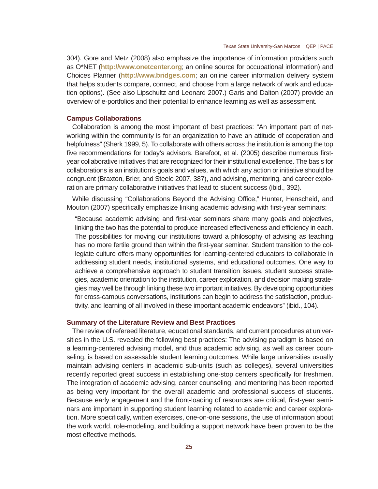304). Gore and Metz (2008) also emphasize the importance of information providers such as O\*NET (**http://www.onetcenter.org**; an online source for occupational information) and Choices Planner (**http://www.bridges.com**; an online career information delivery system that helps students compare, connect, and choose from a large network of work and education options). (See also Lipschultz and Leonard 2007.) Garis and Dalton (2007) provide an overview of e-portfolios and their potential to enhance learning as well as assessment.

#### **Campus Collaborations**

Collaboration is among the most important of best practices: "An important part of networking within the community is for an organization to have an attitude of cooperation and helpfulness" (Sherk 1999, 5). To collaborate with others across the institution is among the top five recommendations for today's advisors. Barefoot, et al. (2005) describe numerous firstyear collaborative initiatives that are recognized for their institutional excellence. The basis for collaborations is an institution's goals and values, with which any action or initiative should be congruent (Braxton, Brier, and Steele 2007, 387), and advising, mentoring, and career exploration are primary collaborative initiatives that lead to student success (ibid., 392).

While discussing "Collaborations Beyond the Advising Office," Hunter, Henscheid, and Mouton (2007) specifically emphasize linking academic advising with first-year seminars:

"Because academic advising and first-year seminars share many goals and objectives, linking the two has the potential to produce increased effectiveness and efficiency in each. The possibilities for moving our institutions toward a philosophy of advising as teaching has no more fertile ground than within the first-year seminar. Student transition to the collegiate culture offers many opportunities for learning-centered educators to collaborate in addressing student needs, institutional systems, and educational outcomes. One way to achieve a comprehensive approach to student transition issues, student success strategies, academic orientation to the institution, career exploration, and decision making strategies may well be through linking these two important initiatives. By developing opportunities for cross-campus conversations, institutions can begin to address the satisfaction, productivity, and learning of all involved in these important academic endeavors" (ibid., 104).

#### **Summary of the Literature Review and Best Practices**

The review of refereed literature, educational standards, and current procedures at universities in the U.S. revealed the following best practices: The advising paradigm is based on a learning-centered advising model, and thus academic advising, as well as career counseling, is based on assessable student learning outcomes. While large universities usually maintain advising centers in academic sub-units (such as colleges), several universities recently reported great success in establishing one-stop centers specifically for freshmen. The integration of academic advising, career counseling, and mentoring has been reported as being very important for the overall academic and professional success of students. Because early engagement and the front-loading of resources are critical, first-year seminars are important in supporting student learning related to academic and career exploration. More specifically, written exercises, one-on-one sessions, the use of information about the work world, role-modeling, and building a support network have been proven to be the most effective methods.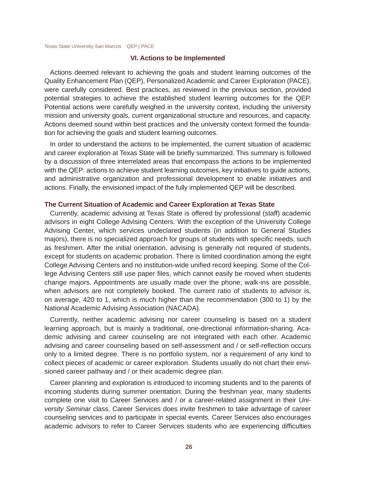#### **VI. Actions to be Implemented**

Actions deemed relevant to achieving the goals and student learning outcomes of the Quality Enhancement Plan (QEP), Personalized Academic and Career Exploration (PACE), were carefully considered. Best practices, as reviewed in the previous section, provided potential strategies to achieve the established student learning outcomes for the QEP. Potential actions were carefully weighed in the university context, including the university mission and university goals, current organizational structure and resources, and capacity. Actions deemed sound within best practices and the university context formed the foundation for achieving the goals and student learning outcomes.

In order to understand the actions to be implemented, the current situation of academic and career exploration at Texas State will be briefly summarized. This summary is followed by a discussion of three interrelated areas that encompass the actions to be implemented with the QEP: actions to achieve student learning outcomes, key initiatives to guide actions, and administrative organization and professional development to enable initiatives and actions. Finally, the envisioned impact of the fully implemented QEP will be described.

#### **The Current Situation of Academic and Career Exploration at Texas State**

Currently, academic advising at Texas State is offered by professional (staff) academic advisors in eight College Advising Centers. With the exception of the University College Advising Center, which services undeclared students (in addition to General Studies majors), there is no specialized approach for groups of students with specific needs, such as freshmen. After the initial orientation, advising is generally not required of students, except for students on academic probation. There is limited coordination among the eight College Advising Centers and no institution-wide unified record keeping. Some of the College Advising Centers still use paper files, which cannot easily be moved when students change majors. Appointments are usually made over the phone; walk-ins are possible, when advisors are not completely booked. The current ratio of students to advisor is, on average, 420 to 1, which is much higher than the recommendation (300 to 1) by the National Academic Advising Association (NACADA).

Currently, neither academic advising nor career counseling is based on a student learning approach, but is mainly a traditional, one-directional information-sharing. Academic advising and career counseling are not integrated with each other. Academic advising and career counseling based on self-assessment and / or self-reflection occurs only to a limited degree. There is no portfolio system, nor a requirement of any kind to collect pieces of academic or career exploration. Students usually do not chart their envisioned career pathway and / or their academic degree plan.

Career planning and exploration is introduced to incoming students and to the parents of incoming students during summer orientation. During the freshman year, many students complete one visit to Career Services and / or a career-related assignment in their *University Seminar* class. Career Services does invite freshmen to take advantage of career counseling services and to participate in special events. Career Services also encourages academic advisors to refer to Career Services students who are experiencing difficulties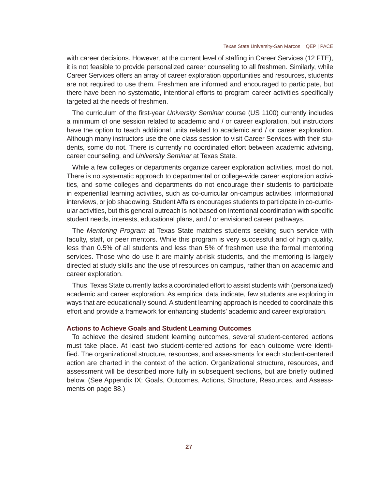with career decisions. However, at the current level of staffing in Career Services (12 FTE), it is not feasible to provide personalized career counseling to all freshmen. Similarly, while Career Services offers an array of career exploration opportunities and resources, students are not required to use them. Freshmen are informed and encouraged to participate, but there have been no systematic, intentional efforts to program career activities specifically targeted at the needs of freshmen.

The curriculum of the first-year *University Seminar* course (US 1100) currently includes a minimum of one session related to academic and / or career exploration, but instructors have the option to teach additional units related to academic and / or career exploration. Although many instructors use the one class session to visit Career Services with their students, some do not. There is currently no coordinated effort between academic advising, career counseling, and *University Seminar* at Texas State.

While a few colleges or departments organize career exploration activities, most do not. There is no systematic approach to departmental or college-wide career exploration activities, and some colleges and departments do not encourage their students to participate in experiential learning activities, such as co-curricular on-campus activities, informational interviews, or job shadowing. Student Affairs encourages students to participate in co-curricular activities, but this general outreach is not based on intentional coordination with specific student needs, interests, educational plans, and / or envisioned career pathways.

The *Mentoring Program* at Texas State matches students seeking such service with faculty, staff, or peer mentors. While this program is very successful and of high quality, less than 0.5% of all students and less than 5% of freshmen use the formal mentoring services. Those who do use it are mainly at-risk students, and the mentoring is largely directed at study skills and the use of resources on campus, rather than on academic and career exploration.

Thus, Texas State currently lacks a coordinated effort to assist students with (personalized) academic and career exploration. As empirical data indicate, few students are exploring in ways that are educationally sound. A student learning approach is needed to coordinate this effort and provide a framework for enhancing students' academic and career exploration.

#### **Actions to Achieve Goals and Student Learning Outcomes**

To achieve the desired student learning outcomes, several student-centered actions must take place. At least two student-centered actions for each outcome were identified. The organizational structure, resources, and assessments for each student-centered action are charted in the context of the action. Organizational structure, resources, and assessment will be described more fully in subsequent sections, but are briefly outlined below. (See Appendix IX: Goals, Outcomes, Actions, Structure, Resources, and Assessments on page 88.)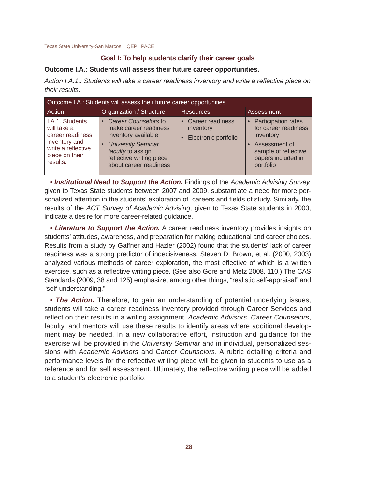#### **Goal I: To help students clarify their career goals**

#### **Outcome I.A.: Students will assess their future career opportunities.**

*Action I.A.1.: Students will take a career readiness inventory and write a refl ective piece on their results.*

| Outcome I.A.: Students will assess their future career opportunities.                                                   |                                                                                                                                                                                |                                                         |                                                                                                                                        |  |  |  |  |  |
|-------------------------------------------------------------------------------------------------------------------------|--------------------------------------------------------------------------------------------------------------------------------------------------------------------------------|---------------------------------------------------------|----------------------------------------------------------------------------------------------------------------------------------------|--|--|--|--|--|
| Action                                                                                                                  | Organization / Structure                                                                                                                                                       | <b>Resources</b>                                        | Assessment                                                                                                                             |  |  |  |  |  |
| I.A.1. Students<br>will take a<br>career readiness<br>inventory and<br>write a reflective<br>piece on their<br>results. | • Career Counselors to<br>make career readiness<br>inventory available<br><b>University Seminar</b><br>faculty to assign<br>reflective writing piece<br>about career readiness | • Career readiness<br>inventory<br>Electronic portfolio | • Participation rates<br>for career readiness<br>inventory<br>Assessment of<br>sample of reflective<br>papers included in<br>portfolio |  |  |  |  |  |

*• Institutional Need to Support the Action.* Findings of the *Academic Advising Survey,* given to Texas State students between 2007 and 2009, substantiate a need for more personalized attention in the students' exploration of careers and fields of study. Similarly, the results of the *ACT Survey of Academic Advising*, given to Texas State students in 2000, indicate a desire for more career-related guidance.

*• Literature to Support the Action.* A career readiness inventory provides insights on students' attitudes, awareness, and preparation for making educational and career choices. Results from a study by Gaffner and Hazler (2002) found that the students' lack of career readiness was a strong predictor of indecisiveness. Steven D. Brown, et al. (2000, 2003) analyzed various methods of career exploration, the most effective of which is a written exercise, such as a reflective writing piece. (See also Gore and Metz 2008, 110.) The CAS Standards (2009, 38 and 125) emphasize, among other things, "realistic self-appraisal" and "self-understanding."

*• The Action.* Therefore, to gain an understanding of potential underlying issues, students will take a career readiness inventory provided through Career Services and reflect on their results in a writing assignment. *Academic Advisors*, *Career Counselors*, faculty, and mentors will use these results to identify areas where additional development may be needed. In a new collaborative effort, instruction and guidance for the exercise will be provided in the *University Seminar* and in individual, personalized sessions with *Academic Advisors* and *Career Counselors*. A rubric detailing criteria and performance levels for the reflective writing piece will be given to students to use as a reference and for self assessment. Ultimately, the reflective writing piece will be added to a student's electronic portfolio.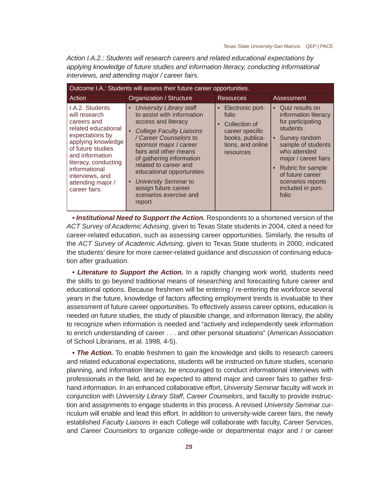*Action I.A.2.: Students will research careers and related educational expectations by applying knowledge of future studies and information literacy, conducting informational interviews, and attending major / career fairs.*

| Outcome I.A.: Students will assess their future career opportunities.                                                                                                                                                                                     |                                                                                                                                                                                                                                                                                                                                                                                     |                                                                                                                                   |                                                                                                                                                                                                                                                           |  |  |  |  |
|-----------------------------------------------------------------------------------------------------------------------------------------------------------------------------------------------------------------------------------------------------------|-------------------------------------------------------------------------------------------------------------------------------------------------------------------------------------------------------------------------------------------------------------------------------------------------------------------------------------------------------------------------------------|-----------------------------------------------------------------------------------------------------------------------------------|-----------------------------------------------------------------------------------------------------------------------------------------------------------------------------------------------------------------------------------------------------------|--|--|--|--|
| Action                                                                                                                                                                                                                                                    | Organization / Structure                                                                                                                                                                                                                                                                                                                                                            | <b>Resources</b>                                                                                                                  | Assessment                                                                                                                                                                                                                                                |  |  |  |  |
| I.A.2. Students<br>will research<br>careers and<br>related educational<br>expectations by<br>applying knowledge<br>of future studies<br>and information<br>literacy, conducting<br>informational<br>interviews, and<br>attending major /<br>career fairs. | • University Library staff<br>to assist with information<br>access and literacy<br><b>College Faculty Liaisons</b><br>/ Career Counselors to<br>sponsor major / career<br>fairs and other means<br>of gathering information<br>related to career and<br>educational opportunities<br>University Seminar to<br>$\bullet$<br>assign future career<br>scenarios exercise and<br>report | • Electronic port-<br>folio<br>Collection of<br>$\bullet$<br>career specific<br>books, publica-<br>tions, and online<br>resources | • Quiz results on<br>information literacy<br>for participating<br>students<br>• Survey random<br>sample of students<br>who attended<br>major / career fairs<br>• Rubric for sample<br>of future career<br>scenarios reports<br>included in port-<br>folio |  |  |  |  |

*• Institutional Need to Support the Action.* Respondents to a shortened version of the *ACT Survey of Academic Advising*, given to Texas State students in 2004, cited a need for career-related education, such as assessing career opportunities. Similarly, the results of the *ACT Survey of Academic Advising*, given to Texas State students in 2000, indicated the students' desire for more career-related guidance and discussion of continuing education after graduation.

*• Literature to Support the Action.* In a rapidly changing work world, students need the skills to go beyond traditional means of researching and forecasting future career and educational options. Because freshmen will be entering / re-entering the workforce several years in the future, knowledge of factors affecting employment trends is invaluable to their assessment of future career opportunities. To effectively assess career options, education is needed on future studies, the study of plausible change, and information literacy, the ability to recognize when information is needed and "actively and independently seek information to enrich understanding of career . . . and other personal situations" (American Association of School Librarians, et al. 1998, 4-5).

• **The Action.** To enable freshmen to gain the knowledge and skills to research careers and related educational expectations, students will be instructed on future studies, scenario planning, and information literacy, be encouraged to conduct informational interviews with professionals in the field, and be expected to attend major and career fairs to gather firsthand information. In an enhanced collaborative effort, *University Seminar* faculty will work in conjunction with *University Library Staff*, *Career Counselors*, and faculty to provide instruction and assignments to engage students in this process. A revised *University Seminar* curriculum will enable and lead this effort. In addition to university-wide career fairs, the newly established *Faculty Liaisons* in each College will collaborate with faculty, Career Services, and *Career Counselors* to organize college-wide or departmental major and / or career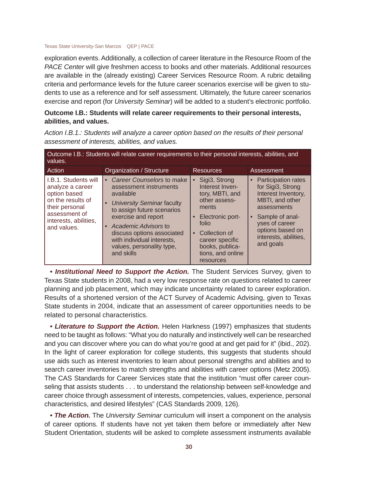exploration events. Additionally, a collection of career literature in the Resource Room of the *PACE Center* will give freshmen access to books and other materials. Additional resources are available in the (already existing) Career Services Resource Room. A rubric detailing criteria and performance levels for the future career scenarios exercise will be given to students to use as a reference and for self assessment. Ultimately, the future career scenarios exercise and report (for *University Seminar*) will be added to a student's electronic portfolio.

#### **Outcome I.B.: Students will relate career requirements to their personal interests, abilities, and values.**

*Action I.B.1.: Students will analyze a career option based on the results of their personal* 

*assessment of interests, abilities, and values.* Outcome I.B.: Students will relate career requirements to their personal interests, abilities, and values.

| values.                                                                                                                                                  |                                                                                                                                                                                                                                                                                                                       |                                                                                                                                                                                                                               |                                                                                                                                                                                                      |  |  |  |
|----------------------------------------------------------------------------------------------------------------------------------------------------------|-----------------------------------------------------------------------------------------------------------------------------------------------------------------------------------------------------------------------------------------------------------------------------------------------------------------------|-------------------------------------------------------------------------------------------------------------------------------------------------------------------------------------------------------------------------------|------------------------------------------------------------------------------------------------------------------------------------------------------------------------------------------------------|--|--|--|
| Action                                                                                                                                                   | Organization / Structure                                                                                                                                                                                                                                                                                              | <b>Resources</b>                                                                                                                                                                                                              | Assessment                                                                                                                                                                                           |  |  |  |
| I.B.1. Students will<br>analyze a career<br>option based<br>on the results of<br>their personal<br>assessment of<br>interests, abilities,<br>and values. | • Career Counselors to make<br>assessment instruments<br>available<br><b>University Seminar faculty</b><br>$\bullet$<br>to assign future scenarios<br>exercise and report<br>Academic Advisors to<br>$\bullet$<br>discuss options associated<br>with individual interests,<br>values, personality type,<br>and skills | Sigi3, Strong<br>$\bullet$<br>Interest Inven-<br>tory, MBTI, and<br>other assess-<br>ments<br>Electronic port-<br>folio<br>Collection of<br>$\bullet$<br>career specific<br>books, publica-<br>tions, and online<br>resources | • Participation rates<br>for Sigi3, Strong<br>Interest Inventory,<br>MBTI, and other<br>assessments<br>• Sample of anal-<br>yses of career<br>options based on<br>interests, abilities,<br>and goals |  |  |  |

*• Institutional Need to Support the Action.* The Student Services Survey, given to Texas State students in 2008, had a very low response rate on questions related to career planning and job placement, which may indicate uncertainty related to career exploration. Results of a shortened version of the ACT Survey of Academic Advising, given to Texas State students in 2004, indicate that an assessment of career opportunities needs to be related to personal characteristics.

*• Literature to Support the Action.* Helen Harkness (1997) emphasizes that students need to be taught as follows: "What you do naturally and instinctively well can be researched and you can discover where you can do what you're good at and get paid for it" (ibid., 202). In the light of career exploration for college students, this suggests that students should use aids such as interest inventories to learn about personal strengths and abilities and to search career inventories to match strengths and abilities with career options (Metz 2005). The CAS Standards for Career Services state that the institution "must offer career counseling that assists students . . . to understand the relationship between self-knowledge and career choice through assessment of interests, competencies, values, experience, personal characteristics, and desired lifestyles" (CAS Standards 2009, 126).

*• The Action.* The *University Seminar* curriculum will insert a component on the analysis of career options. If students have not yet taken them before or immediately after New Student Orientation, students will be asked to complete assessment instruments available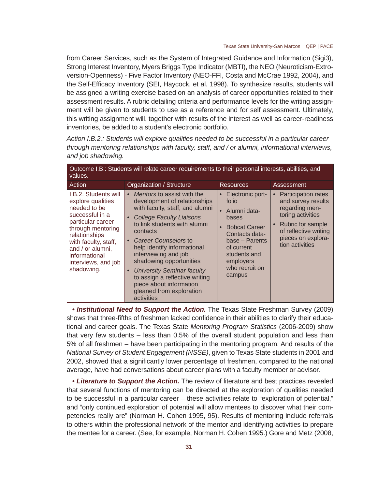from Career Services, such as the System of Integrated Guidance and Information (Sigi3), Strong Interest Inventory, Myers Briggs Type Indicator (MBTI), the NEO (Neuroticism-Extroversion-Openness) - Five Factor Inventory (NEO-FFI, Costa and McCrae 1992, 2004), and the Self-Efficacy Inventory (SEI, Haycock, et al. 1998). To synthesize results, students will be assigned a writing exercise based on an analysis of career opportunities related to their assessment results. A rubric detailing criteria and performance levels for the writing assignment will be given to students to use as a reference and for self assessment. Ultimately, this writing assignment will, together with results of the interest as well as career-readiness inventories, be added to a student's electronic portfolio.

*Action I.B.2.: Students will explore qualities needed to be successful in a particular career through mentoring relationships with faculty, staff, and / or alumni, informational interviews, and job shadowing.*

| Outcome I.B.: Students will relate career requirements to their personal interests, abilities, and<br>values.                                                                                                                             |                                                                                                                                                                                                                                                                                                                                                                                                                                                                     |                                                                                                                                                                                       |                                                                                                                                                                                             |  |
|-------------------------------------------------------------------------------------------------------------------------------------------------------------------------------------------------------------------------------------------|---------------------------------------------------------------------------------------------------------------------------------------------------------------------------------------------------------------------------------------------------------------------------------------------------------------------------------------------------------------------------------------------------------------------------------------------------------------------|---------------------------------------------------------------------------------------------------------------------------------------------------------------------------------------|---------------------------------------------------------------------------------------------------------------------------------------------------------------------------------------------|--|
| Action                                                                                                                                                                                                                                    | Organization / Structure                                                                                                                                                                                                                                                                                                                                                                                                                                            | <b>Resources</b>                                                                                                                                                                      | Assessment                                                                                                                                                                                  |  |
| I.B.2. Students will<br>explore qualities<br>needed to be<br>successful in a<br>particular career<br>through mentoring<br>relationships<br>with faculty, staff,<br>and / or alumni,<br>informational<br>interviews, and job<br>shadowing. | Mentors to assist with the<br>$\bullet$<br>development of relationships<br>with faculty, staff, and alumni<br><b>College Faculty Liaisons</b><br>to link students with alumni<br>contacts<br><b>Career Counselors to</b><br>$\bullet$<br>help identify informational<br>interviewing and job<br>shadowing opportunities<br><b>University Seminar faculty</b><br>to assign a reflective writing<br>piece about information<br>gleaned from exploration<br>activities | Electronic port-<br>folio<br>Alumni data-<br>bases<br><b>Bobcat Career</b><br>Contacts data-<br>base – Parents<br>of current<br>students and<br>employers<br>who recruit on<br>campus | <b>Participation rates</b><br>$\bullet$<br>and survey results<br>regarding men-<br>toring activities<br>Rubric for sample<br>of reflective writing<br>pieces on explora-<br>tion activities |  |

*• Institutional Need to Support the Action.* The Texas State Freshman Survey (2009) shows that three-fifths of freshmen lacked confidence in their abilities to clarify their educational and career goals. The Texas State *Mentoring Program Statistics* (2006-2009) show that very few students – less than 0.5% of the overall student population and less than 5% of all freshmen – have been participating in the mentoring program. And results of the *National Survey of Student Engagement (NSSE)*, given to Texas State students in 2001 and 2002, showed that a significantly lower percentage of freshmen, compared to the national average, have had conversations about career plans with a faculty member or advisor.

*• Literature to Support the Action.* The review of literature and best practices revealed that several functions of mentoring can be directed at the exploration of qualities needed to be successful in a particular career – these activities relate to "exploration of potential," and "only continued exploration of potential will allow mentees to discover what their competencies really are" (Norman H. Cohen 1995, 95). Results of mentoring include referrals to others within the professional network of the mentor and identifying activities to prepare the mentee for a career. (See, for example, Norman H. Cohen 1995.) Gore and Metz (2008,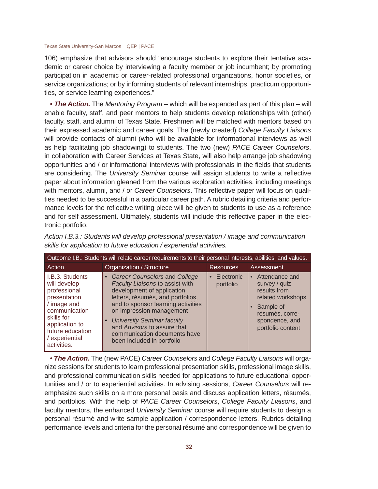106) emphasize that advisors should "encourage students to explore their tentative academic or career choice by interviewing a faculty member or job incumbent; by promoting participation in academic or career-related professional organizations, honor societies, or service organizations; or by informing students of relevant internships, practicum opportunities, or service learning experiences."

*• The Action.* The *Mentoring Program* – which will be expanded as part of this plan – will enable faculty, staff, and peer mentors to help students develop relationships with (other) faculty, staff, and alumni of Texas State. Freshmen will be matched with mentors based on their expressed academic and career goals. The (newly created) *College Faculty Liaisons*  will provide contacts of alumni (who will be available for informational interviews as well as help facilitating job shadowing) to students. The two (new) *PACE Career Counselors*, in collaboration with Career Services at Texas State, will also help arrange job shadowing opportunities and / or informational interviews with professionals in the fields that students are considering. The *University Seminar* course will assign students to write a reflective paper about information gleaned from the various exploration activities, including meetings with mentors, alumni, and / or *Career Counselors*. This reflective paper will focus on qualities needed to be successful in a particular career path. A rubric detailing criteria and performance levels for the reflective writing piece will be given to students to use as a reference and for self assessment. Ultimately, students will include this reflective paper in the electronic portfolio.

| Outcome I.B.: Students will relate career requirements to their personal interests, abilities, and values.                                                                           |                                                                                                                                                                                                                                                                                                                                                                          |                           |                                                                                                                                               |
|--------------------------------------------------------------------------------------------------------------------------------------------------------------------------------------|--------------------------------------------------------------------------------------------------------------------------------------------------------------------------------------------------------------------------------------------------------------------------------------------------------------------------------------------------------------------------|---------------------------|-----------------------------------------------------------------------------------------------------------------------------------------------|
| Action                                                                                                                                                                               | Organization / Structure                                                                                                                                                                                                                                                                                                                                                 | <b>Resources</b>          | Assessment                                                                                                                                    |
| I.B.3. Students<br>will develop<br>professional<br>presentation<br>/ image and<br>communication<br>skills for<br>application to<br>future education<br>/ experiential<br>activities. | <b>Career Counselors and College</b><br>$\bullet$<br>Faculty Liaisons to assist with<br>development of application<br>letters, résumés, and portfolios,<br>and to sponsor learning activities<br>on impression management<br><b>University Seminar faculty</b><br>$\bullet$<br>and Advisors to assure that<br>communication documents have<br>been included in portfolio | • Electronic<br>portfolio | • Attendance and<br>survey / quiz<br>results from<br>related workshops<br>Sample of<br>résumés, corre-<br>spondence, and<br>portfolio content |

*Action I.B.3.: Students will develop professional presentation / image and communication skills for application to future education / experiential activities.*

*• The Action.* The (new PACE) *Career Counselors* and *College Faculty Liaisons* will organize sessions for students to learn professional presentation skills, professional image skills, and professional communication skills needed for applications to future educational opportunities and / or to experiential activities. In advising sessions, *Career Counselors* will reemphasize such skills on a more personal basis and discuss application letters, résumés, and portfolios. With the help of *PACE Career Counselors*, *College Faculty Liaisons*, and faculty mentors, the enhanced *University Seminar* course will require students to design a personal résumé and write sample application / correspondence letters. Rubrics detailing performance levels and criteria for the personal résumé and correspondence will be given to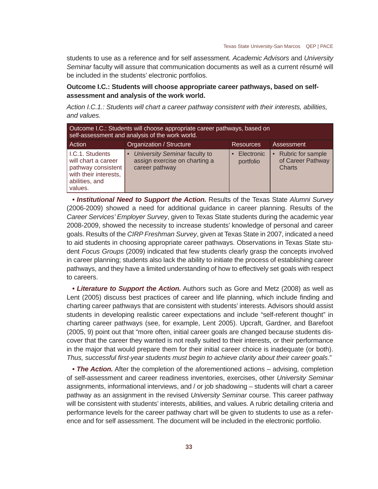students to use as a reference and for self assessment. *Academic Advisors* and *University Seminar* faculty will assure that communication documents as well as a current résumé will be included in the students' electronic portfolios.

## **Outcome I.C.: Students will choose appropriate career pathways, based on selfassessment and analysis of the work world.**

*Action I.C.1.: Students will chart a career pathway consistent with their interests, abilities, and values.* 

| Outcome I.C.: Students will choose appropriate career pathways, based on<br>self-assessment and analysis of the work world. |                                                                                  |                         |                                                               |
|-----------------------------------------------------------------------------------------------------------------------------|----------------------------------------------------------------------------------|-------------------------|---------------------------------------------------------------|
| Action                                                                                                                      | Organization / Structure                                                         | <b>Resources</b>        | <b>Assessment</b>                                             |
| I.C.1. Students<br>will chart a career<br>pathway consistent<br>with their interests,<br>abilities, and<br>values.          | University Seminar faculty to<br>assign exercise on charting a<br>career pathway | Electronic<br>portfolio | Rubric for sample<br>$\bullet$<br>of Career Pathway<br>Charts |

*• Institutional Need to Support the Action.* Results of the Texas State *Alumni Survey*  (2006-2009) showed a need for additional guidance in career planning. Results of the *Career Services' Employer Survey*, given to Texas State students during the academic year 2008-2009, showed the necessity to increase students' knowledge of personal and career goals. Results of the *CIRP Freshman Survey*, given at Texas State in 2007, indicated a need to aid students in choosing appropriate career pathways. Observations in Texas State student *Focus Groups* (2009) indicated that few students clearly grasp the concepts involved in career planning; students also lack the ability to initiate the process of establishing career pathways, and they have a limited understanding of how to effectively set goals with respect to careers.

*• Literature to Support the Action.* Authors such as Gore and Metz (2008) as well as Lent (2005) discuss best practices of career and life planning, which include finding and charting career pathways that are consistent with students' interests. Advisors should assist students in developing realistic career expectations and include "self-referent thought" in charting career pathways (see, for example, Lent 2005). Upcraft, Gardner, and Barefoot (2005, 9) point out that "more often, initial career goals are changed because students discover that the career they wanted is not really suited to their interests, or their performance in the major that would prepare them for their initial career choice is inadequate (or both). *Thus, successful fi rst-year students must begin to achieve clarity about their career goals*."

• **The Action.** After the completion of the aforementioned actions – advising, completion of self-assessment and career readiness inventories, exercises, other *University Seminar* assignments, informational interviews, and / or job shadowing – students will chart a career pathway as an assignment in the revised *University Seminar* course. This career pathway will be consistent with students' interests, abilities, and values. A rubric detailing criteria and performance levels for the career pathway chart will be given to students to use as a reference and for self assessment. The document will be included in the electronic portfolio.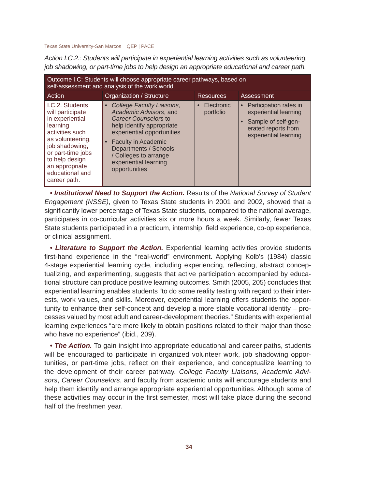*Action I.C.2.: Students will participate in experiential learning activities such as volunteering, job shadowing, or part-time jobs to help design an appropriate educational and career path.*

| Outcome I.C: Students will choose appropriate career pathways, based on<br>self-assessment and analysis of the work world.                                                                                              |                                                                                                                                                                                                                                                                                            |                                      |                                                                                                                        |  |
|-------------------------------------------------------------------------------------------------------------------------------------------------------------------------------------------------------------------------|--------------------------------------------------------------------------------------------------------------------------------------------------------------------------------------------------------------------------------------------------------------------------------------------|--------------------------------------|------------------------------------------------------------------------------------------------------------------------|--|
| Action                                                                                                                                                                                                                  | Organization / Structure                                                                                                                                                                                                                                                                   | <b>Resources</b>                     | Assessment                                                                                                             |  |
| I.C.2. Students<br>will participate<br>in experiential<br>learning<br>activities such<br>as volunteering,<br>job shadowing,<br>or part-time jobs<br>to help design<br>an appropriate<br>educational and<br>career path. | College Faculty Liaisons,<br>$\bullet$<br>Academic Advisors, and<br>Career Counselors to<br>help identify appropriate<br>experiential opportunities<br><b>Faculty in Academic</b><br>$\bullet$<br>Departments / Schools<br>/ Colleges to arrange<br>experiential learning<br>opportunities | Electronic<br>$\bullet$<br>portfolio | Participation rates in<br>experiential learning<br>Sample of self-gen-<br>erated reports from<br>experiential learning |  |

*• Institutional Need to Support the Action.* Results of the *National Survey of Student Engagement (NSSE)*, given to Texas State students in 2001 and 2002, showed that a significantly lower percentage of Texas State students, compared to the national average, participates in co-curricular activities six or more hours a week. Similarly, fewer Texas State students participated in a practicum, internship, field experience, co-op experience, or clinical assignment.

• Literature to Support the Action. Experiential learning activities provide students first-hand experience in the "real-world" environment. Applying Kolb's (1984) classic 4-stage experiential learning cycle, including experiencing, reflecting, abstract conceptualizing, and experimenting, suggests that active participation accompanied by educational structure can produce positive learning outcomes. Smith (2005, 205) concludes that experiential learning enables students "to do some reality testing with regard to their interests, work values, and skills. Moreover, experiential learning offers students the opportunity to enhance their self-concept and develop a more stable vocational identity – processes valued by most adult and career-development theories." Students with experiential learning experiences "are more likely to obtain positions related to their major than those who have no experience" (ibid., 209).

• **The Action.** To gain insight into appropriate educational and career paths, students will be encouraged to participate in organized volunteer work, job shadowing opportunities, or part-time jobs, reflect on their experience, and conceptualize learning to the development of their career pathway. *College Faculty Liaisons*, *Academic Advisors*, *Career Counselors*, and faculty from academic units will encourage students and help them identify and arrange appropriate experiential opportunities. Although some of these activities may occur in the first semester, most will take place during the second half of the freshmen year.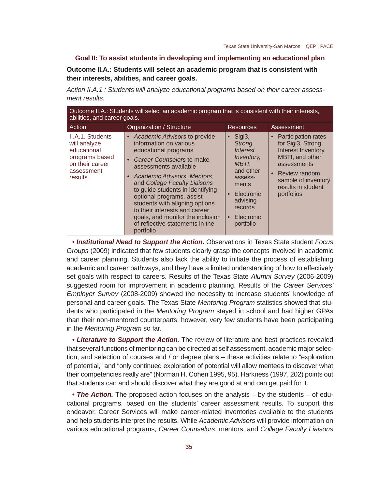## **Goal II: To assist students in developing and implementing an educational plan**

**Outcome II.A.: Students will select an academic program that is consistent with their interests, abilities, and career goals.**

*Action II.A.1.: Students will analyze educational programs based on their career assessment results.*

| Outcome II.A.: Students will select an academic program that is consistent with their interests,<br>abilities, and career goals. |                                                                                                                                                                                                                                                                                                                                                                                                                                                         |                                                                                                                                                                              |                                                                                                                                                                                   |  |  |
|----------------------------------------------------------------------------------------------------------------------------------|---------------------------------------------------------------------------------------------------------------------------------------------------------------------------------------------------------------------------------------------------------------------------------------------------------------------------------------------------------------------------------------------------------------------------------------------------------|------------------------------------------------------------------------------------------------------------------------------------------------------------------------------|-----------------------------------------------------------------------------------------------------------------------------------------------------------------------------------|--|--|
| Action                                                                                                                           | Organization / Structure                                                                                                                                                                                                                                                                                                                                                                                                                                | <b>Resources</b>                                                                                                                                                             | Assessment                                                                                                                                                                        |  |  |
| II.A.1. Students<br>will analyze<br>educational<br>programs based<br>on their career<br>assessment<br>results.                   | • Academic Advisors to provide<br>information on various<br>educational programs<br>Career Counselors to make<br>$\bullet$<br>assessments available<br>Academic Advisors, Mentors,<br>$\bullet$<br>and College Faculty Liaisons<br>to guide students in identifying<br>optional programs, assist<br>students with aligning options<br>to their interests and career<br>goals, and monitor the inclusion<br>of reflective statements in the<br>portfolio | $\bullet$ Sigi3,<br><b>Strong</b><br>Interest<br><i>Inventory.</i><br>MBTI,<br>and other<br>assess-<br>ments<br>Electronic<br>advising<br>records<br>Electronic<br>portfolio | • Participation rates<br>for Sigi3, Strong<br>Interest Inventory,<br>MBTI, and other<br>assessments<br>• Review random<br>sample of inventory<br>results in student<br>portfolios |  |  |

*• Institutional Need to Support the Action.* Observations in Texas State student *Focus Groups* (2009) indicated that few students clearly grasp the concepts involved in academic and career planning. Students also lack the ability to initiate the process of establishing academic and career pathways, and they have a limited understanding of how to effectively set goals with respect to careers. Results of the Texas State *Alumni Survey* (2006-2009) suggested room for improvement in academic planning. Results of the *Career Services' Employer Survey* (2008-2009) showed the necessity to increase students' knowledge of personal and career goals. The Texas State *Mentoring Program* statistics showed that students who participated in the *Mentoring Program* stayed in school and had higher GPAs than their non-mentored counterparts; however, very few students have been participating in the *Mentoring Program* so far.

• Literature to Support the Action. The review of literature and best practices revealed that several functions of mentoring can be directed at self assessment, academic major selection, and selection of courses and / or degree plans – these activities relate to "exploration of potential," and "only continued exploration of potential will allow mentees to discover what their competencies really are" (Norman H. Cohen 1995, 95). Harkness (1997, 202) points out that students can and should discover what they are good at and can get paid for it.

*• The Action.* The proposed action focuses on the analysis – by the students – of educational programs, based on the students' career assessment results. To support this endeavor, Career Services will make career-related inventories available to the students and help students interpret the results. While *Academic Advisors* will provide information on various educational programs, *Career Counselors*, mentors, and *College Faculty Liaisons*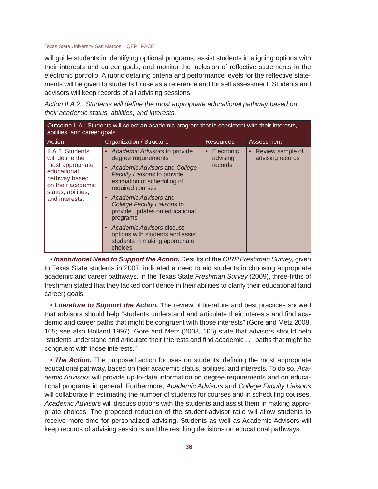will guide students in identifying optional programs, assist students in aligning options with their interests and career goals, and monitor the inclusion of reflective statements in the electronic portfolio. A rubric detailing criteria and performance levels for the reflective statements will be given to students to use as a reference and for self assessment. Students and advisors will keep records of all advising sessions.

| Action II.A.2.: Students will define the most appropriate educational pathway based on |  |
|----------------------------------------------------------------------------------------|--|
| their academic status, abilities, and interests.                                       |  |

| Outcome II.A.: Students will select an academic program that is consistent with their interests,<br>abilities, and career goals.                     |                                                                                                                                                                                                                                                                                                                                                                                                                                                   |                                   |                                        |  |
|------------------------------------------------------------------------------------------------------------------------------------------------------|---------------------------------------------------------------------------------------------------------------------------------------------------------------------------------------------------------------------------------------------------------------------------------------------------------------------------------------------------------------------------------------------------------------------------------------------------|-----------------------------------|----------------------------------------|--|
| Action                                                                                                                                               | Organization / Structure                                                                                                                                                                                                                                                                                                                                                                                                                          | <b>Resources</b>                  | Assessment                             |  |
| II.A.2. Students<br>will define the<br>most appropriate<br>educational<br>pathway based<br>on their academic<br>status, abilities,<br>and interests. | • Academic Advisors to provide<br>degree requirements<br>Academic Advisors and College<br>$\bullet$<br><b>Faculty Liaisons to provide</b><br>estimation of scheduling of<br>required courses<br>Academic Advisors and<br>$\bullet$<br><b>College Faculty Liaisons to</b><br>provide updates on educational<br>programs<br>Academic Advisors discuss<br>$\bullet$<br>options with students and assist<br>students in making appropriate<br>choices | Electronic<br>advising<br>records | • Review sample of<br>advising records |  |

*• Institutional Need to Support the Action.* Results of the *CIRP Freshman Survey,* given to Texas State students in 2007, indicated a need to aid students in choosing appropriate academic and career pathways. In the Texas State *Freshman Survey* (2009), three-fifths of freshmen stated that they lacked confidence in their abilities to clarify their educational (and career) goals.

*• Literature to Support the Action.* The review of literature and best practices showed that advisors should help "students understand and articulate their interests and find academic and career paths that might be congruent with those interests" (Gore and Metz 2008, 105; see also Holland 1997). Gore and Metz (2008, 105) state that advisors should help "students understand and articulate their interests and find academic . . . paths that might be congruent with those interests."

• The Action. The proposed action focuses on students' defining the most appropriate educational pathway, based on their academic status, abilities, and interests. To do so, *Academic Advisors* will provide up-to-date information on degree requirements and on educational programs in general. Furthermore, *Academic Advisors* and *College Faculty Liaisons*  will collaborate in estimating the number of students for courses and in scheduling courses. *Academic Advisors* will discuss options with the students and assist them in making appropriate choices. The proposed reduction of the student-advisor ratio will allow students to receive more time for personalized advising. Students as well as Academic Advisors will keep records of advising sessions and the resulting decisions on educational pathways.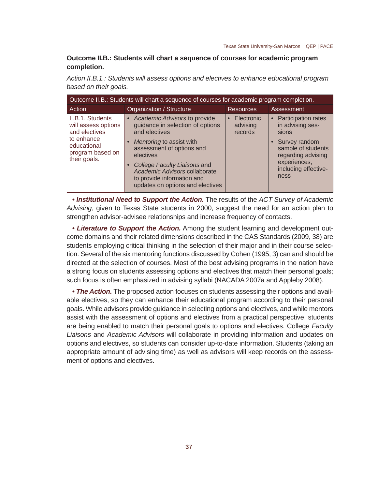# **Outcome II.B.: Students will chart a sequence of courses for academic program completion.**

*Action II.B.1.: Students will assess options and electives to enhance educational program based on their goals.*

| Outcome II.B.: Students will chart a sequence of courses for academic program completion.                                 |                                                                                                                                                                                                                                                                                              |                                                |                                                                                                                                                                   |  |
|---------------------------------------------------------------------------------------------------------------------------|----------------------------------------------------------------------------------------------------------------------------------------------------------------------------------------------------------------------------------------------------------------------------------------------|------------------------------------------------|-------------------------------------------------------------------------------------------------------------------------------------------------------------------|--|
| Action                                                                                                                    | Organization / Structure                                                                                                                                                                                                                                                                     | <b>Resources</b>                               | Assessment                                                                                                                                                        |  |
| II.B.1. Students<br>will assess options<br>and electives<br>to enhance<br>educational<br>program based on<br>their goals. | • Academic Advisors to provide<br>guidance in selection of options<br>and electives<br>Mentoring to assist with<br>assessment of options and<br>electives<br>College Faculty Liaisons and<br>Academic Advisors collaborate<br>to provide information and<br>updates on options and electives | Electronic<br>$\bullet$<br>advising<br>records | • Participation rates<br>in advising ses-<br>sions<br>• Survey random<br>sample of students<br>regarding advising<br>experiences,<br>including effective-<br>ness |  |

*• Institutional Need to Support the Action.* The results of the *ACT Survey of Academic Advising*, given to Texas State students in 2000, suggest the need for an action plan to strengthen advisor-advisee relationships and increase frequency of contacts.

*• Literature to Support the Action.* Among the student learning and development outcome domains and their related dimensions described in the CAS Standards (2009, 38) are students employing critical thinking in the selection of their major and in their course selection. Several of the six mentoring functions discussed by Cohen (1995, 3) can and should be directed at the selection of courses. Most of the best advising programs in the nation have a strong focus on students assessing options and electives that match their personal goals; such focus is often emphasized in advising syllabi (NACADA 2007a and Appleby 2008).

*• The Action.* The proposed action focuses on students assessing their options and available electives, so they can enhance their educational program according to their personal goals. While advisors provide guidance in selecting options and electives, and while mentors assist with the assessment of options and electives from a practical perspective, students are being enabled to match their personal goals to options and electives. College *Faculty Liaisons* and *Academic Advisors* will collaborate in providing information and updates on options and electives, so students can consider up-to-date information. Students (taking an appropriate amount of advising time) as well as advisors will keep records on the assessment of options and electives.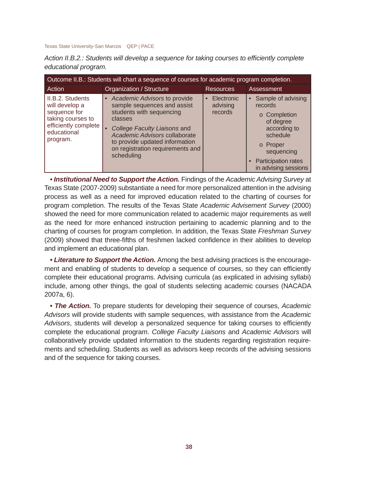| Action II.B.2.: Students will develop a sequence for taking courses to efficiently complete |  |  |  |
|---------------------------------------------------------------------------------------------|--|--|--|
| educational program.                                                                        |  |  |  |

| Outcome II.B.: Students will chart a sequence of courses for academic program completion.                                  |                                                                                                                                                                                                                                                                        |                                   |                                                                                                                                                                     |  |
|----------------------------------------------------------------------------------------------------------------------------|------------------------------------------------------------------------------------------------------------------------------------------------------------------------------------------------------------------------------------------------------------------------|-----------------------------------|---------------------------------------------------------------------------------------------------------------------------------------------------------------------|--|
| Action                                                                                                                     | Organization / Structure                                                                                                                                                                                                                                               | <b>Resources</b>                  | Assessment                                                                                                                                                          |  |
| II.B.2. Students<br>will develop a<br>sequence for<br>taking courses to<br>efficiently complete<br>educational<br>program. | • Academic Advisors to provide<br>sample sequences and assist<br>students with sequencing<br>classes<br>College Faculty Liaisons and<br>$\bullet$<br>Academic Advisors collaborate<br>to provide updated information<br>on registration requirements and<br>scheduling | Electronic<br>advising<br>records | • Sample of advising<br>records<br>o Completion<br>of degree<br>according to<br>schedule<br>o Proper<br>sequencing<br>• Participation rates<br>in advising sessions |  |

*• Institutional Need to Support the Action.* Findings of the *Academic Advising Survey* at Texas State (2007-2009) substantiate a need for more personalized attention in the advising process as well as a need for improved education related to the charting of courses for program completion. The results of the Texas State *Academic Advisement Survey* (2000) showed the need for more communication related to academic major requirements as well as the need for more enhanced instruction pertaining to academic planning and to the charting of courses for program completion. In addition, the Texas State *Freshman Survey* (2009) showed that three-fifths of freshmen lacked confidence in their abilities to develop and implement an educational plan.

*• Literature to Support the Action.* Among the best advising practices is the encouragement and enabling of students to develop a sequence of courses, so they can efficiently complete their educational programs. Advising curricula (as explicated in advising syllabi) include, among other things, the goal of students selecting academic courses (NACADA 2007a, 6).

*• The Action.* To prepare students for developing their sequence of courses, *Academic Advisors* will provide students with sample sequences, with assistance from the *Academic*  Advisors, students will develop a personalized sequence for taking courses to efficiently complete the educational program. *College Faculty Liaisons* and *Academic Advisors* will collaboratively provide updated information to the students regarding registration requirements and scheduling. Students as well as advisors keep records of the advising sessions and of the sequence for taking courses.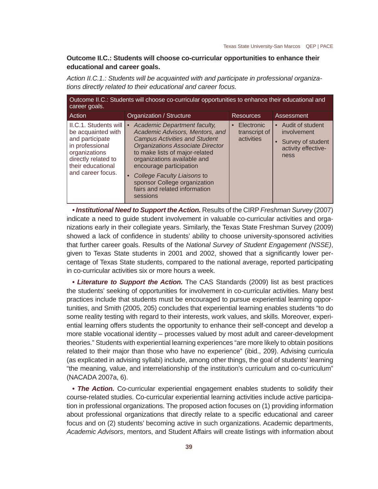# **Outcome II.C.: Students will choose co-curricular opportunities to enhance their educational and career goals.**

*Action II.C.1.: Students will be acquainted with and participate in professional organizations directly related to their educational and career focus.*

| Outcome II.C.: Students will choose co-curricular opportunities to enhance their educational and<br>career goals.                                                   |                                                                                                                                                                                                                                                                                                                                                                   |                                                        |                                                                                         |  |
|---------------------------------------------------------------------------------------------------------------------------------------------------------------------|-------------------------------------------------------------------------------------------------------------------------------------------------------------------------------------------------------------------------------------------------------------------------------------------------------------------------------------------------------------------|--------------------------------------------------------|-----------------------------------------------------------------------------------------|--|
| Action                                                                                                                                                              | Organization / Structure                                                                                                                                                                                                                                                                                                                                          | <b>Resources</b>                                       | Assessment                                                                              |  |
| II.C.1. Students will<br>be acquainted with<br>and participate<br>in professional<br>organizations<br>directly related to<br>their educational<br>and career focus. | <b>Academic Department faculty,</b><br>Academic Advisors, Mentors, and<br><b>Campus Activities and Student</b><br><b>Organizations Associate Director</b><br>to make lists of major-related<br>organizations available and<br>encourage participation<br>College Faculty Liaisons to<br>sponsor College organization<br>fairs and related information<br>sessions | Electronic<br>$\bullet$<br>transcript of<br>activities | • Audit of student<br>involvement<br>• Survey of student<br>activity effective-<br>ness |  |

*• Institutional Need to Support the Action.* Results of the CIRP *Freshman Survey* (2007) indicate a need to guide student involvement in valuable co-curricular activities and organizations early in their collegiate years. Similarly, the Texas State Freshman Survey (2009) showed a lack of confidence in students' ability to choose university-sponsored activities that further career goals. Results of the *National Survey of Student Engagement (NSSE)*, given to Texas State students in 2001 and 2002, showed that a significantly lower percentage of Texas State students, compared to the national average, reported participating in co-curricular activities six or more hours a week.

*• Literature to Support the Action.* The CAS Standards (2009) list as best practices the students' seeking of opportunities for involvement in co-curricular activities. Many best practices include that students must be encouraged to pursue experiential learning opportunities, and Smith (2005, 205) concludes that experiential learning enables students "to do some reality testing with regard to their interests, work values, and skills. Moreover, experiential learning offers students the opportunity to enhance their self-concept and develop a more stable vocational identity – processes valued by most adult and career-development theories." Students with experiential learning experiences "are more likely to obtain positions related to their major than those who have no experience" (ibid., 209). Advising curricula (as explicated in advising syllabi) include, among other things, the goal of students' learning "the meaning, value, and interrelationship of the institution's curriculum and co-curriculum" (NACADA 2007a, 6).

• **The Action.** Co-curricular experiential engagement enables students to solidify their course-related studies. Co-curricular experiential learning activities include active participation in professional organizations. The proposed action focuses on (1) providing information about professional organizations that directly relate to a specific educational and career focus and on (2) students' becoming active in such organizations. Academic departments, *Academic Advisors*, mentors, and Student Affairs will create listings with information about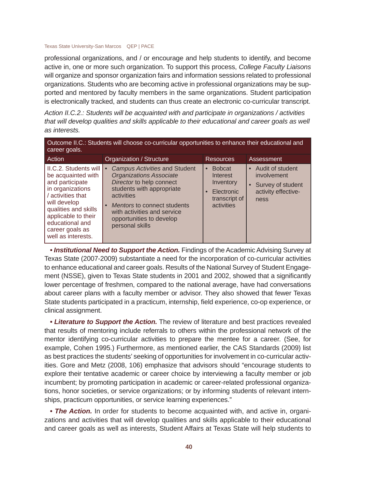professional organizations, and / or encourage and help students to identify, and become active in, one or more such organization. To support this process, *College Faculty Liaisons*  will organize and sponsor organization fairs and information sessions related to professional organizations. Students who are becoming active in professional organizations may be supported and mentored by faculty members in the same organizations. Student participation is electronically tracked, and students can thus create an electronic co-curricular transcript.

*Action II.C.2.: Students will be acquainted with and participate in organizations / activities that will develop qualities and skills applicable to their educational and career goals as well as interests.*

| Outcome II.C.: Students will choose co-curricular opportunities to enhance their educational and<br>career goals.                                                                                                                  |                                                                                                                                                                                                                                                                  |                                                                                                               |                                                                                         |  |
|------------------------------------------------------------------------------------------------------------------------------------------------------------------------------------------------------------------------------------|------------------------------------------------------------------------------------------------------------------------------------------------------------------------------------------------------------------------------------------------------------------|---------------------------------------------------------------------------------------------------------------|-----------------------------------------------------------------------------------------|--|
| Action                                                                                                                                                                                                                             | Organization / Structure                                                                                                                                                                                                                                         | <b>Resources</b>                                                                                              | Assessment                                                                              |  |
| II.C.2. Students will<br>be acquainted with<br>and participate<br>in organizations<br>/ activities that<br>will develop<br>qualities and skills<br>applicable to their<br>educational and<br>career goals as<br>well as interests. | Campus Activities and Student<br>$\bullet$<br><b>Organizations Associate</b><br>Director to help connect<br>students with appropriate<br>activities<br>Mentors to connect students<br>with activities and service<br>opportunities to develop<br>personal skills | <b>Bobcat</b><br>$\bullet$<br>Interest<br>Inventory<br>Electronic<br>$\bullet$<br>transcript of<br>activities | • Audit of student<br>involvement<br>• Survey of student<br>activity effective-<br>ness |  |

• *Institutional Need to Support the Action.* Findings of the Academic Advising Survey at Texas State (2007-2009) substantiate a need for the incorporation of co-curricular activities to enhance educational and career goals. Results of the National Survey of Student Engagement (NSSE), given to Texas State students in 2001 and 2002, showed that a significantly lower percentage of freshmen, compared to the national average, have had conversations about career plans with a faculty member or advisor. They also showed that fewer Texas State students participated in a practicum, internship, field experience, co-op experience, or clinical assignment.

• Literature to Support the Action. The review of literature and best practices revealed that results of mentoring include referrals to others within the professional network of the mentor identifying co-curricular activities to prepare the mentee for a career. (See, for example, Cohen 1995.) Furthermore, as mentioned earlier, the CAS Standards (2009) list as best practices the students' seeking of opportunities for involvement in co-curricular activities. Gore and Metz (2008, 106) emphasize that advisors should "encourage students to explore their tentative academic or career choice by interviewing a faculty member or job incumbent; by promoting participation in academic or career-related professional organizations, honor societies, or service organizations; or by informing students of relevant internships, practicum opportunities, or service learning experiences."

• **The Action.** In order for students to become acquainted with, and active in, organizations and activities that will develop qualities and skills applicable to their educational and career goals as well as interests, Student Affairs at Texas State will help students to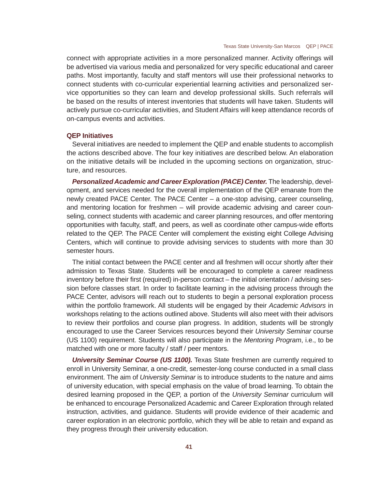connect with appropriate activities in a more personalized manner. Activity offerings will be advertised via various media and personalized for very specific educational and career paths. Most importantly, faculty and staff mentors will use their professional networks to connect students with co-curricular experiential learning activities and personalized service opportunities so they can learn and develop professional skills. Such referrals will be based on the results of interest inventories that students will have taken. Students will actively pursue co-curricular activities, and Student Affairs will keep attendance records of on-campus events and activities.

## **QEP Initiatives**

Several initiatives are needed to implement the QEP and enable students to accomplish the actions described above. The four key initiatives are described below. An elaboration on the initiative details will be included in the upcoming sections on organization, structure, and resources.

*Personalized Academic and Career Exploration (PACE) Center.* The leadership, development, and services needed for the overall implementation of the QEP emanate from the newly created PACE Center. The PACE Center – a one-stop advising, career counseling, and mentoring location for freshmen – will provide academic advising and career counseling, connect students with academic and career planning resources, and offer mentoring opportunities with faculty, staff, and peers, as well as coordinate other campus-wide efforts related to the QEP. The PACE Center will complement the existing eight College Advising Centers, which will continue to provide advising services to students with more than 30 semester hours.

The initial contact between the PACE center and all freshmen will occur shortly after their admission to Texas State. Students will be encouraged to complete a career readiness inventory before their first (required) in-person contact – the initial orientation / advising session before classes start. In order to facilitate learning in the advising process through the PACE Center, advisors will reach out to students to begin a personal exploration process within the portfolio framework. All students will be engaged by their *Academic Advisors* in workshops relating to the actions outlined above. Students will also meet with their advisors to review their portfolios and course plan progress. In addition, students will be strongly encouraged to use the Career Services resources beyond their *University Seminar* course (US 1100) requirement. Students will also participate in the *Mentoring Program*, i.e., to be matched with one or more faculty / staff / peer mentors.

**University Seminar Course (US 1100).** Texas State freshmen are currently required to enroll in University Seminar, a one-credit, semester-long course conducted in a small class environment. The aim of *University Seminar* is to introduce students to the nature and aims of university education, with special emphasis on the value of broad learning. To obtain the desired learning proposed in the QEP, a portion of the *University Seminar* curriculum will be enhanced to encourage Personalized Academic and Career Exploration through related instruction, activities, and guidance. Students will provide evidence of their academic and career exploration in an electronic portfolio, which they will be able to retain and expand as they progress through their university education.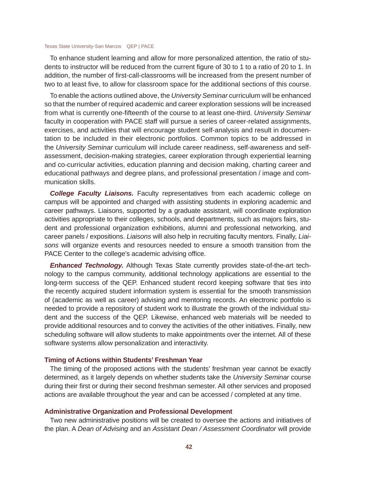To enhance student learning and allow for more personalized attention, the ratio of students to instructor will be reduced from the current figure of 30 to 1 to a ratio of 20 to 1. In addition, the number of first-call-classrooms will be increased from the present number of two to at least five, to allow for classroom space for the additional sections of this course.

To enable the actions outlined above, the *University Seminar* curriculum will be enhanced so that the number of required academic and career exploration sessions will be increased from what is currently one-fifteenth of the course to at least one-third. *University Seminar* faculty in cooperation with PACE staff will pursue a series of career-related assignments, exercises, and activities that will encourage student self-analysis and result in documentation to be included in their electronic portfolios. Common topics to be addressed in the *University Seminar* curriculum will include career readiness, self-awareness and selfassessment, decision-making strategies, career exploration through experiential learning and co-curricular activities, education planning and decision making, charting career and educational pathways and degree plans, and professional presentation / image and communication skills.

*College Faculty Liaisons.* Faculty representatives from each academic college on campus will be appointed and charged with assisting students in exploring academic and career pathways. Liaisons, supported by a graduate assistant, will coordinate exploration activities appropriate to their colleges, schools, and departments, such as majors fairs, student and professional organization exhibitions, alumni and professional networking, and career panels / expositions. *Liaisons* will also help in recruiting faculty mentors. Finally, *Liaisons* will organize events and resources needed to ensure a smooth transition from the PACE Center to the college's academic advising office.

*Enhanced Technology.* Although Texas State currently provides state-of-the-art technology to the campus community, additional technology applications are essential to the long-term success of the QEP. Enhanced student record keeping software that ties into the recently acquired student information system is essential for the smooth transmission of (academic as well as career) advising and mentoring records. An electronic portfolio is needed to provide a repository of student work to illustrate the growth of the individual student and the success of the QEP. Likewise, enhanced web materials will be needed to provide additional resources and to convey the activities of the other initiatives. Finally, new scheduling software will allow students to make appointments over the internet. All of these software systems allow personalization and interactivity.

## **Timing of Actions within Students' Freshman Year**

The timing of the proposed actions with the students' freshman year cannot be exactly determined, as it largely depends on whether students take the *University Seminar* course during their first or during their second freshman semester. All other services and proposed actions are available throughout the year and can be accessed / completed at any time.

## **Administrative Organization and Professional Development**

Two new administrative positions will be created to oversee the actions and initiatives of the plan. A *Dean of Advising* and an *Assistant Dean / Assessment Coordinator* will provide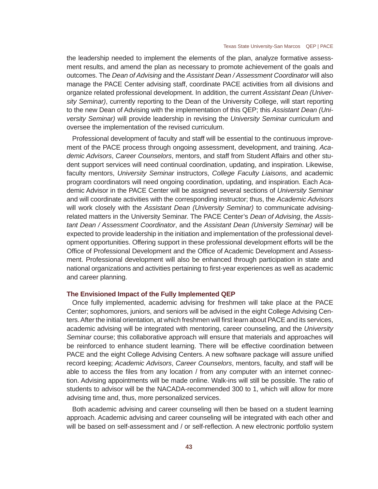the leadership needed to implement the elements of the plan, analyze formative assessment results, and amend the plan as necessary to promote achievement of the goals and outcomes. The *Dean of Advising* and the *Assistant Dean / Assessment Coordinator* will also manage the PACE Center advising staff, coordinate PACE activities from all divisions and organize related professional development. In addition, the current *Assistant Dean (University Seminar)*, currently reporting to the Dean of the University College, will start reporting to the new Dean of Advising with the implementation of this QEP; this *Assistant Dean (University Seminar)* will provide leadership in revising the *University Seminar* curriculum and oversee the implementation of the revised curriculum.

Professional development of faculty and staff will be essential to the continuous improvement of the PACE process through ongoing assessment, development, and training. *Academic Advisors*, *Career Counselors*, mentors, and staff from Student Affairs and other student support services will need continual coordination, updating, and inspiration. Likewise, faculty mentors, *University Seminar* instructors, *College Faculty Liaisons*, and academic program coordinators will need ongoing coordination, updating, and inspiration. Each Academic Advisor in the PACE Center will be assigned several sections of *University Seminar*  and will coordinate activities with the corresponding instructor; thus, the *Academic Advisors*  will work closely with the *Assistant Dean (University Seminar)* to communicate advisingrelated matters in the University Seminar. The PACE Center's *Dean of Advising*, the *Assistant Dean / Assessment Coordinator*, and the *Assistant Dean (University Seminar)* will be expected to provide leadership in the initiation and implementation of the professional development opportunities. Offering support in these professional development efforts will be the Office of Professional Development and the Office of Academic Development and Assessment. Professional development will also be enhanced through participation in state and national organizations and activities pertaining to first-year experiences as well as academic and career planning.

### **The Envisioned Impact of the Fully Implemented QEP**

Once fully implemented, academic advising for freshmen will take place at the PACE Center; sophomores, juniors, and seniors will be advised in the eight College Advising Centers. After the initial orientation, at which freshmen will first learn about PACE and its services, academic advising will be integrated with mentoring, career counseling, and the *University Seminar* course; this collaborative approach will ensure that materials and approaches will be reinforced to enhance student learning. There will be effective coordination between PACE and the eight College Advising Centers. A new software package will assure unified record keeping; *Academic Advisors*, *Career Counselors*, mentors, faculty, and staff will be able to access the files from any location / from any computer with an internet connection. Advising appointments will be made online. Walk-ins will still be possible. The ratio of students to advisor will be the NACADA-recommended 300 to 1, which will allow for more advising time and, thus, more personalized services.

Both academic advising and career counseling will then be based on a student learning approach. Academic advising and career counseling will be integrated with each other and will be based on self-assessment and / or self-reflection. A new electronic portfolio system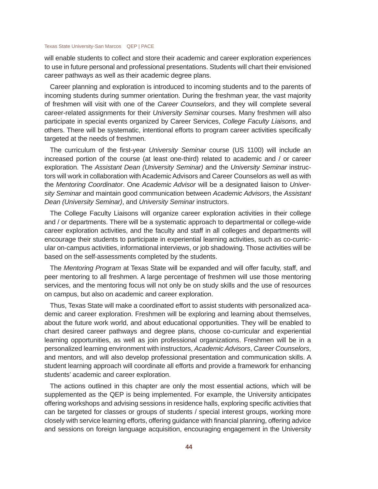will enable students to collect and store their academic and career exploration experiences to use in future personal and professional presentations. Students will chart their envisioned career pathways as well as their academic degree plans.

Career planning and exploration is introduced to incoming students and to the parents of incoming students during summer orientation. During the freshman year, the vast majority of freshmen will visit with one of the *Career Counselors*, and they will complete several career-related assignments for their *University Seminar* courses. Many freshmen will also participate in special events organized by Career Services, *College Faculty Liaisons*, and others. There will be systematic, intentional efforts to program career activities specifically targeted at the needs of freshmen.

The curriculum of the first-year *University Seminar* course (US 1100) will include an increased portion of the course (at least one-third) related to academic and / or career exploration. The *Assistant Dean (University Seminar)* and the *University Seminar* instructors will work in collaboration with Academic Advisors and Career Counselors as well as with the *Mentoring Coordinator*. One *Academic Advisor* will be a designated liaison to *University Seminar* and maintain good communication between *Academic Advisors*, the *Assistant Dean (University Seminar)*, and *University Seminar* instructors.

The College Faculty Liaisons will organize career exploration activities in their college and / or departments. There will be a systematic approach to departmental or college-wide career exploration activities, and the faculty and staff in all colleges and departments will encourage their students to participate in experiential learning activities, such as co-curricular on-campus activities, informational interviews, or job shadowing. Those activities will be based on the self-assessments completed by the students.

The *Mentoring Program* at Texas State will be expanded and will offer faculty, staff, and peer mentoring to all freshmen. A large percentage of freshmen will use those mentoring services, and the mentoring focus will not only be on study skills and the use of resources on campus, but also on academic and career exploration.

Thus, Texas State will make a coordinated effort to assist students with personalized academic and career exploration. Freshmen will be exploring and learning about themselves, about the future work world, and about educational opportunities. They will be enabled to chart desired career pathways and degree plans, choose co-curricular and experiential learning opportunities, as well as join professional organizations. Freshmen will be in a personalized learning environment with instructors, *Academic Advisors*, *Career Counselors*, and mentors, and will also develop professional presentation and communication skills. A student learning approach will coordinate all efforts and provide a framework for enhancing students' academic and career exploration.

The actions outlined in this chapter are only the most essential actions, which will be supplemented as the QEP is being implemented. For example, the University anticipates offering workshops and advising sessions in residence halls, exploring specific activities that can be targeted for classes or groups of students / special interest groups, working more closely with service learning efforts, offering guidance with financial planning, offering advice and sessions on foreign language acquisition, encouraging engagement in the University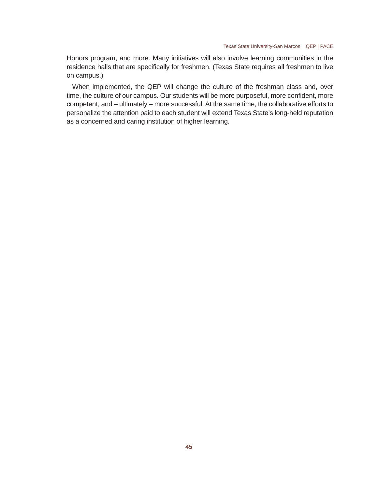Honors program, and more. Many initiatives will also involve learning communities in the residence halls that are specifically for freshmen. (Texas State requires all freshmen to live on campus.)

When implemented, the QEP will change the culture of the freshman class and, over time, the culture of our campus. Our students will be more purposeful, more confident, more competent, and – ultimately – more successful. At the same time, the collaborative efforts to personalize the attention paid to each student will extend Texas State's long-held reputation as a concerned and caring institution of higher learning.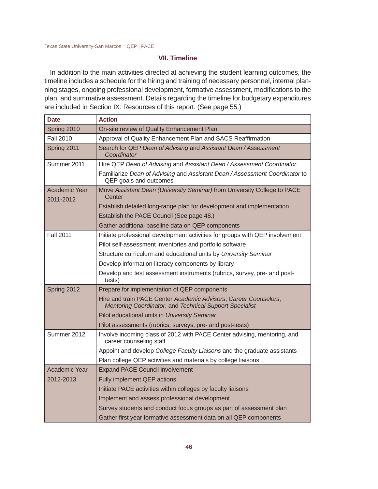# **VII. Timeline**

In addition to the main activities directed at achieving the student learning outcomes, the timeline includes a schedule for the hiring and training of necessary personnel, internal planning stages, ongoing professional development, formative assessment, modifications to the plan, and summative assessment. Details regarding the timeline for budgetary expenditures are included in Section IX: Resources of this report. (See page 55.)

| <b>Date</b>                | <b>Action</b>                                                                                                               |  |
|----------------------------|-----------------------------------------------------------------------------------------------------------------------------|--|
| Spring 2010                | On-site review of Quality Enhancement Plan                                                                                  |  |
| <b>Fall 2010</b>           | Approval of Quality Enhancement Plan and SACS Reaffirmation                                                                 |  |
| Spring 2011                | Search for QEP Dean of Advising and Assistant Dean / Assessment<br>Coordinator                                              |  |
| Summer 2011                | Hire QEP Dean of Advising and Assistant Dean / Assessment Coordinator                                                       |  |
|                            | Familiarize Dean of Advising and Assistant Dean / Assessment Coordinator to<br>QEP goals and outcomes                       |  |
| Academic Year<br>2011-2012 | Move Assistant Dean (University Seminar) from University College to PACE<br>Center                                          |  |
|                            | Establish detailed long-range plan for development and implementation                                                       |  |
|                            | Establish the PACE Council (See page 48.)                                                                                   |  |
|                            | Gather additional baseline data on QEP components                                                                           |  |
| <b>Fall 2011</b>           | Initiate professional development activities for groups with QEP involvement                                                |  |
|                            | Pilot self-assessment inventories and portfolio software                                                                    |  |
|                            | Structure curriculum and educational units by University Seminar                                                            |  |
|                            | Develop information literacy components by library                                                                          |  |
|                            | Develop and test assessment instruments (rubrics, survey, pre- and post-<br>tests)                                          |  |
| Spring 2012                | Prepare for implementation of QEP components                                                                                |  |
|                            | Hire and train PACE Center Academic Advisors, Career Counselors,<br>Mentoring Coordinator, and Technical Support Specialist |  |
|                            | Pilot educational units in University Seminar                                                                               |  |
|                            | Pilot assessments (rubrics, surveys, pre- and post-tests)                                                                   |  |
| Summer 2012                | Involve incoming class of 2012 with PACE Center advising, mentoring, and<br>career counseling staff                         |  |
|                            | Appoint and develop College Faculty Liaisons and the graduate assistants                                                    |  |
|                            | Plan college QEP activities and materials by college liaisons                                                               |  |
| Academic Year              | <b>Expand PACE Council involvement</b>                                                                                      |  |
| 2012-2013                  | Fully implement QEP actions                                                                                                 |  |
|                            | Initiate PACE activities within colleges by faculty liaisons                                                                |  |
|                            | Implement and assess professional development                                                                               |  |
|                            | Survey students and conduct focus groups as part of assessment plan                                                         |  |
|                            | Gather first year formative assessment data on all QEP components                                                           |  |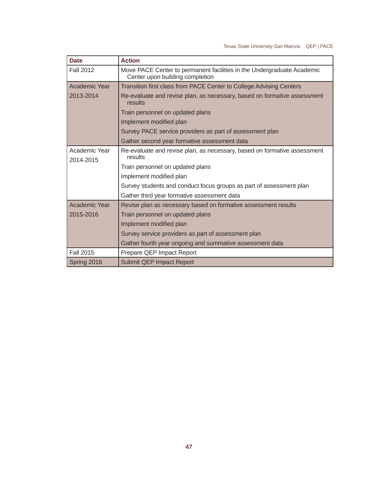| <b>Date</b>      | <b>Action</b>                                                                                             |  |  |
|------------------|-----------------------------------------------------------------------------------------------------------|--|--|
| <b>Fall 2012</b> | Move PACE Center to permanent facilities in the Undergraduate Academic<br>Center upon building completion |  |  |
| Academic Year    | Transition first class from PACE Center to College Advising Centers                                       |  |  |
| 2013-2014        | Re-evaluate and revise plan, as necessary, based on formative assessment<br>results                       |  |  |
|                  | Train personnel on updated plans                                                                          |  |  |
|                  | Implement modified plan                                                                                   |  |  |
|                  | Survey PACE service providers as part of assessment plan                                                  |  |  |
|                  | Gather second year formative assessment data                                                              |  |  |
| Academic Year    | Re-evaluate and revise plan, as necessary, based on formative assessment<br>results                       |  |  |
| 2014-2015        | Train personnel on updated plans                                                                          |  |  |
|                  | Implement modified plan                                                                                   |  |  |
|                  | Survey students and conduct focus groups as part of assessment plan                                       |  |  |
|                  | Gather third year formative assessment data                                                               |  |  |
| Academic Year    | Revise plan as necessary based on formative assessment results                                            |  |  |
| 2015-2016        | Train personnel on updated plans                                                                          |  |  |
|                  | Implement modified plan                                                                                   |  |  |
|                  | Survey service providers as part of assessment plan                                                       |  |  |
|                  | Gather fourth year ongoing and summative assessment data                                                  |  |  |
| Fall 2015        | Prepare QEP Impact Report                                                                                 |  |  |
| Spring 2016      | Submit QEP Impact Report                                                                                  |  |  |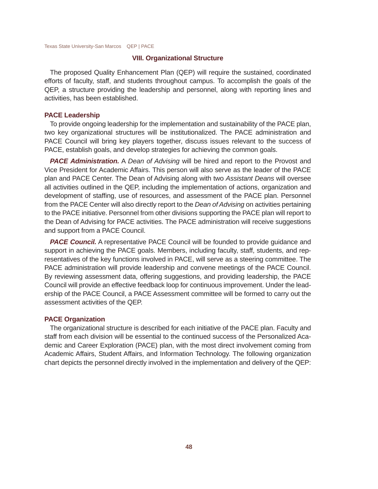### **VIII. Organizational Structure**

The proposed Quality Enhancement Plan (QEP) will require the sustained, coordinated efforts of faculty, staff, and students throughout campus. To accomplish the goals of the QEP, a structure providing the leadership and personnel, along with reporting lines and activities, has been established.

### **PACE Leadership**

To provide ongoing leadership for the implementation and sustainability of the PACE plan, two key organizational structures will be institutionalized. The PACE administration and PACE Council will bring key players together, discuss issues relevant to the success of PACE, establish goals, and develop strategies for achieving the common goals.

*PACE Administration.* A *Dean of Advising* will be hired and report to the Provost and Vice President for Academic Affairs. This person will also serve as the leader of the PACE plan and PACE Center. The Dean of Advising along with two *Assistant Deans* will oversee all activities outlined in the QEP, including the implementation of actions, organization and development of staffing, use of resources, and assessment of the PACE plan. Personnel from the PACE Center will also directly report to the *Dean of Advising* on activities pertaining to the PACE initiative. Personnel from other divisions supporting the PACE plan will report to the Dean of Advising for PACE activities. The PACE administration will receive suggestions and support from a PACE Council.

**PACE Council.** A representative PACE Council will be founded to provide quidance and support in achieving the PACE goals. Members, including faculty, staff, students, and representatives of the key functions involved in PACE, will serve as a steering committee. The PACE administration will provide leadership and convene meetings of the PACE Council. By reviewing assessment data, offering suggestions, and providing leadership, the PACE Council will provide an effective feedback loop for continuous improvement. Under the leadership of the PACE Council, a PACE Assessment committee will be formed to carry out the assessment activities of the QEP.

## **PACE Organization**

The organizational structure is described for each initiative of the PACE plan. Faculty and staff from each division will be essential to the continued success of the Personalized Academic and Career Exploration (PACE) plan, with the most direct involvement coming from Academic Affairs, Student Affairs, and Information Technology. The following organization chart depicts the personnel directly involved in the implementation and delivery of the QEP: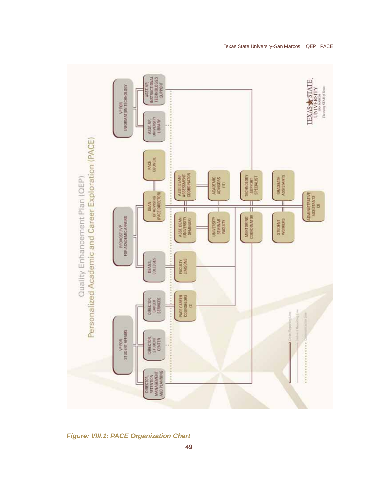

*Figure: VIII.1: PACE Organization Chart*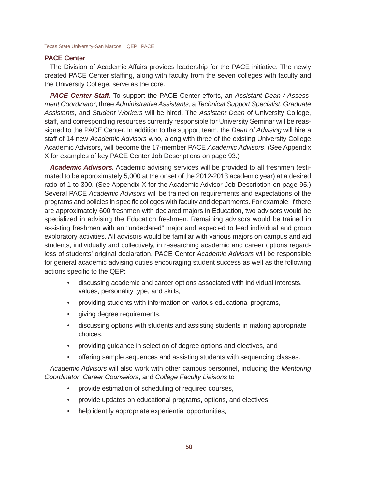## **PACE Center**

The Division of Academic Affairs provides leadership for the PACE initiative. The newly created PACE Center staffing, along with faculty from the seven colleges with faculty and the University College, serve as the core.

*PACE Center Staff.* To support the PACE Center efforts, an *Assistant Dean / Assessment Coordinator*, three *Administrative Assistants*, a *Technical Support Specialist*, *Graduate Assistants*, and *Student Workers* will be hired. The *Assistant Dean* of University College, staff, and corresponding resources currently responsible for University Seminar will be reassigned to the PACE Center. In addition to the support team, the *Dean of Advising* will hire a staff of 14 new *Academic Advisors* who, along with three of the existing University College Academic Advisors, will become the 17-member PACE *Academic Advisors*. (See Appendix X for examples of key PACE Center Job Descriptions on page 93.)

*Academic Advisors.* Academic advising services will be provided to all freshmen (estimated to be approximately 5,000 at the onset of the 2012-2013 academic year) at a desired ratio of 1 to 300. (See Appendix X for the Academic Advisor Job Description on page 95.) Several PACE *Academic Advisors* will be trained on requirements and expectations of the programs and policies in specific colleges with faculty and departments. For example, if there are approximately 600 freshmen with declared majors in Education, two advisors would be specialized in advising the Education freshmen. Remaining advisors would be trained in assisting freshmen with an "undeclared" major and expected to lead individual and group exploratory activities. All advisors would be familiar with various majors on campus and aid students, individually and collectively, in researching academic and career options regardless of students' original declaration. PACE Center *Academic Advisors* will be responsible for general academic advising duties encouraging student success as well as the following actions specific to the QEP:

- discussing academic and career options associated with individual interests, values, personality type, and skills,
- providing students with information on various educational programs,
- giving degree requirements,
- discussing options with students and assisting students in making appropriate choices,
- providing guidance in selection of degree options and electives, and
- offering sample sequences and assisting students with sequencing classes.

*Academic Advisors* will also work with other campus personnel, including the *Mentoring Coordinator*, *Career Counselors*, and *College Faculty Liaisons* to

- provide estimation of scheduling of required courses,
- provide updates on educational programs, options, and electives,
- help identify appropriate experiential opportunities,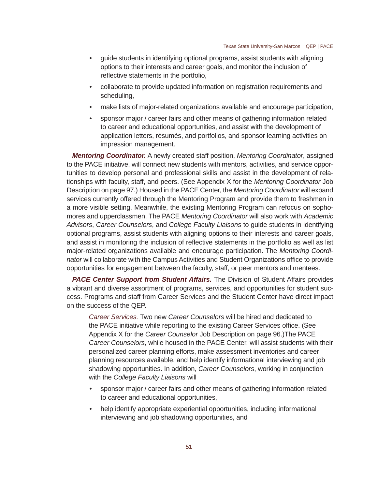- guide students in identifying optional programs, assist students with aligning options to their interests and career goals, and monitor the inclusion of reflective statements in the portfolio,
- collaborate to provide updated information on registration requirements and scheduling,
- make lists of major-related organizations available and encourage participation,
- sponsor major / career fairs and other means of gathering information related to career and educational opportunities, and assist with the development of application letters, résumés, and portfolios, and sponsor learning activities on impression management.

*Mentoring Coordinator.* A newly created staff position, *Mentoring Coordinator*, assigned to the PACE initiative, will connect new students with mentors, activities, and service opportunities to develop personal and professional skills and assist in the development of relationships with faculty, staff, and peers. (See Appendix X for the *Mentoring Coordinator* Job Description on page 97.) Housed in the PACE Center, the *Mentoring Coordinator* will expand services currently offered through the Mentoring Program and provide them to freshmen in a more visible setting. Meanwhile, the existing Mentoring Program can refocus on sophomores and upperclassmen. The PACE *Mentoring Coordinator* will also work with *Academic Advisors*, *Career Counselors*, and *College Faculty Liaisons* to guide students in identifying optional programs, assist students with aligning options to their interests and career goals, and assist in monitoring the inclusion of reflective statements in the portfolio as well as list major-related organizations available and encourage participation. The *Mentoring Coordinator* will collaborate with the Campus Activities and Student Organizations office to provide opportunities for engagement between the faculty, staff, or peer mentors and mentees.

*PACE Center Support from Student Affairs.* The Division of Student Affairs provides a vibrant and diverse assortment of programs, services, and opportunities for student success. Programs and staff from Career Services and the Student Center have direct impact on the success of the QEP.

*Career Services.* Two new *Career Counselors* will be hired and dedicated to the PACE initiative while reporting to the existing Career Services office. (See Appendix X for the *Career Counselor* Job Description on page 96.)The PACE *Career Counselors*, while housed in the PACE Center, will assist students with their personalized career planning efforts, make assessment inventories and career planning resources available, and help identify informational interviewing and job shadowing opportunities. In addition, *Career Counselors*, working in conjunction with the *College Faculty Liaisons* will

- sponsor major / career fairs and other means of gathering information related to career and educational opportunities,
- help identify appropriate experiential opportunities, including informational interviewing and job shadowing opportunities, and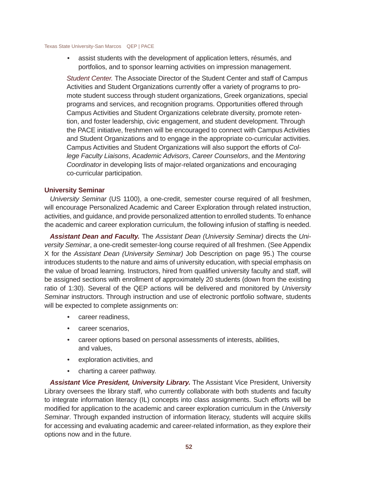assist students with the development of application letters, résumés, and portfolios, and to sponsor learning activities on impression management.

*Student Center.* The Associate Director of the Student Center and staff of Campus Activities and Student Organizations currently offer a variety of programs to promote student success through student organizations, Greek organizations, special programs and services, and recognition programs. Opportunities offered through Campus Activities and Student Organizations celebrate diversity, promote retention, and foster leadership, civic engagement, and student development. Through the PACE initiative, freshmen will be encouraged to connect with Campus Activities and Student Organizations and to engage in the appropriate co-curricular activities. Campus Activities and Student Organizations will also support the efforts of *College Faculty Liaisons*, *Academic Advisors*, *Career Counselors*, and the *Mentoring Coordinator* in developing lists of major-related organizations and encouraging co-curricular participation.

## **University Seminar**

*University Seminar* (US 1100), a one-credit, semester course required of all freshmen, will encourage Personalized Academic and Career Exploration through related instruction, activities, and guidance, and provide personalized attention to enrolled students. To enhance the academic and career exploration curriculum, the following infusion of staffing is needed.

*Assistant Dean and Faculty.* The *Assistant Dean (University Seminar)* directs the *University Seminar*, a one-credit semester-long course required of all freshmen. (See Appendix X for the *Assistant Dean (University Seminar)* Job Description on page 95.) The course introduces students to the nature and aims of university education, with special emphasis on the value of broad learning. Instructors, hired from qualified university faculty and staff, will be assigned sections with enrollment of approximately 20 students (down from the existing ratio of 1:30). Several of the QEP actions will be delivered and monitored by *University Seminar* instructors. Through instruction and use of electronic portfolio software, students will be expected to complete assignments on:

- career readiness,
- career scenarios,
- career options based on personal assessments of interests, abilities, and values,
- exploration activities, and
- charting a career pathway.

*Assistant Vice President, University Library.* The Assistant Vice President, University Library oversees the library staff, who currently collaborate with both students and faculty to integrate information literacy (IL) concepts into class assignments. Such efforts will be modified for application to the academic and career exploration curriculum in the *University Seminar*. Through expanded instruction of information literacy, students will acquire skills for accessing and evaluating academic and career-related information, as they explore their options now and in the future.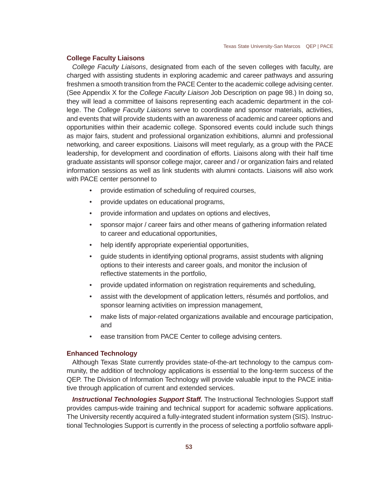# **College Faculty Liaisons**

*College Faculty Liaisons*, designated from each of the seven colleges with faculty, are charged with assisting students in exploring academic and career pathways and assuring freshmen a smooth transition from the PACE Center to the academic college advising center. (See Appendix X for the *College Faculty Liaison* Job Description on page 98.) In doing so, they will lead a committee of liaisons representing each academic department in the college. The *College Faculty Liaisons* serve to coordinate and sponsor materials, activities, and events that will provide students with an awareness of academic and career options and opportunities within their academic college. Sponsored events could include such things as major fairs, student and professional organization exhibitions, alumni and professional networking, and career expositions. Liaisons will meet regularly, as a group with the PACE leadership, for development and coordination of efforts. Liaisons along with their half time graduate assistants will sponsor college major, career and / or organization fairs and related information sessions as well as link students with alumni contacts. Liaisons will also work with PACE center personnel to

- provide estimation of scheduling of required courses,
- provide updates on educational programs,
- provide information and updates on options and electives,
- sponsor major / career fairs and other means of gathering information related to career and educational opportunities,
- help identify appropriate experiential opportunities,
- guide students in identifying optional programs, assist students with aligning options to their interests and career goals, and monitor the inclusion of reflective statements in the portfolio,
- provide updated information on registration requirements and scheduling,
- assist with the development of application letters, résumés and portfolios. and sponsor learning activities on impression management,
- make lists of major-related organizations available and encourage participation, and
- ease transition from PACE Center to college advising centers.

## **Enhanced Technology**

Although Texas State currently provides state-of-the-art technology to the campus community, the addition of technology applications is essential to the long-term success of the QEP. The Division of Information Technology will provide valuable input to the PACE initiative through application of current and extended services.

**Instructional Technologies Support Staff.** The Instructional Technologies Support staff provides campus-wide training and technical support for academic software applications. The University recently acquired a fully-integrated student information system (SIS). Instructional Technologies Support is currently in the process of selecting a portfolio software appli-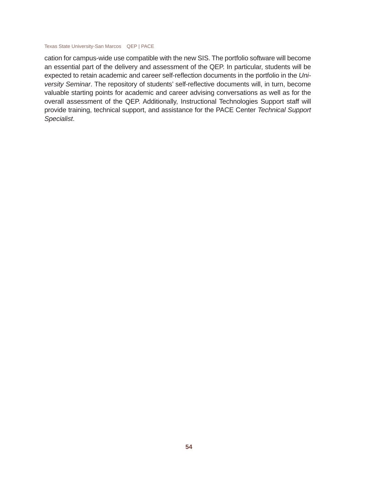cation for campus-wide use compatible with the new SIS. The portfolio software will become an essential part of the delivery and assessment of the QEP. In particular, students will be expected to retain academic and career self-reflection documents in the portfolio in the Uni*versity Seminar*. The repository of students' self-reflective documents will, in turn, become valuable starting points for academic and career advising conversations as well as for the overall assessment of the QEP. Additionally, Instructional Technologies Support staff will provide training, technical support, and assistance for the PACE Center *Technical Support Specialist*.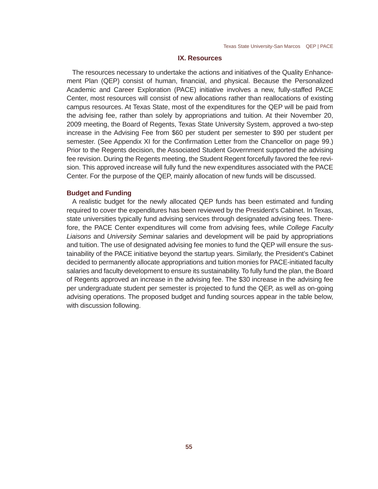## **IX. Resources**

The resources necessary to undertake the actions and initiatives of the Quality Enhancement Plan (QEP) consist of human, financial, and physical. Because the Personalized Academic and Career Exploration (PACE) initiative involves a new, fully-staffed PACE Center, most resources will consist of new allocations rather than reallocations of existing campus resources. At Texas State, most of the expenditures for the QEP will be paid from the advising fee, rather than solely by appropriations and tuition. At their November 20, 2009 meeting, the Board of Regents, Texas State University System, approved a two-step increase in the Advising Fee from \$60 per student per semester to \$90 per student per semester. (See Appendix XI for the Confirmation Letter from the Chancellor on page 99.) Prior to the Regents decision, the Associated Student Government supported the advising fee revision. During the Regents meeting, the Student Regent forcefully favored the fee revision. This approved increase will fully fund the new expenditures associated with the PACE Center. For the purpose of the QEP, mainly allocation of new funds will be discussed.

## **Budget and Funding**

A realistic budget for the newly allocated QEP funds has been estimated and funding required to cover the expenditures has been reviewed by the President's Cabinet. In Texas, state universities typically fund advising services through designated advising fees. Therefore, the PACE Center expenditures will come from advising fees, while *College Faculty Liaisons* and *University Seminar* salaries and development will be paid by appropriations and tuition. The use of designated advising fee monies to fund the QEP will ensure the sustainability of the PACE initiative beyond the startup years. Similarly, the President's Cabinet decided to permanently allocate appropriations and tuition monies for PACE-initiated faculty salaries and faculty development to ensure its sustainability. To fully fund the plan, the Board of Regents approved an increase in the advising fee. The \$30 increase in the advising fee per undergraduate student per semester is projected to fund the QEP, as well as on-going advising operations. The proposed budget and funding sources appear in the table below, with discussion following.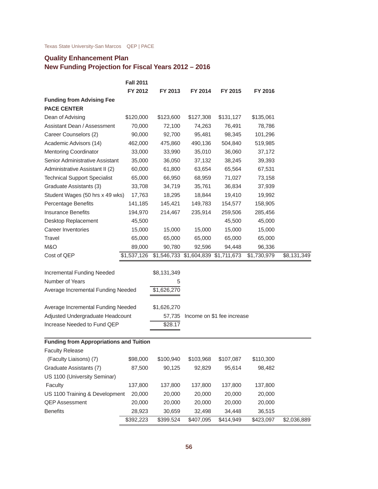# **Quality Enhancement Plan**

# **New Funding Projection for Fiscal Years 2012 – 2016**

| FY 2012<br>FY 2013<br>FY 2014<br>FY 2015<br>FY 2016<br>\$120,000<br>\$123,600<br>\$127,308<br>\$131,127<br>\$135,061<br>70,000<br>72,100<br>74,263<br>76,491<br>78,786<br>90,000<br>98,345<br>92,700<br>95,481<br>101,296<br>462,000<br>475,860<br>490,136<br>504,840<br>519,985<br>33,000<br>33,990<br>35,010<br>36,060<br>37,172<br>35,000<br>38,245<br>36,050<br>37,132<br>39,393<br>60,000<br>61,800<br>63,654<br>65,564<br>67,531<br>65,000<br>66,950<br>68,959<br>71,027<br>73,158<br>33,708<br>34,719<br>35,761<br>36,834<br>37,939<br>Student Wages (50 hrs x 49 wks)<br>17,763<br>18,295<br>18,844<br>19,410<br>19,992<br>Percentage Benefits<br>141,185<br>145,421<br>149,783<br>154,577<br>158,905<br>194,970<br>214,467<br>235,914<br>259,506<br>285,456<br>45,500<br>45,500<br>45,000<br>15,000<br>15,000<br>15,000<br>15,000<br>15,000<br>65,000<br>65,000<br>65,000<br>Travel<br>65,000<br>65,000<br>89,000<br>90,780<br>92,596<br>94,448<br>96,336<br>\$1,537,126<br>\$1,546,733 \$1,604,839<br>\$1,711,673<br>\$1,730,979<br>\$8,131,349<br><b>Incremental Funding Needed</b><br>\$8,131,349<br>5<br>Average Incremental Funding Needed<br>\$1,626,270<br>Average Incremental Funding Needed<br>\$1,626,270<br>Adjusted Undergraduate Headcount<br>57,735 Income on \$1 fee increase<br>Increase Needed to Fund QEP<br>\$28.17<br><b>Funding from Appropriations and Tuition</b><br><b>Faculty Release</b><br>(Faculty Liaisons) (7)<br>\$98,000<br>\$100,940<br>\$103,968<br>\$107,087<br>\$110,300<br>87,500<br>90,125<br>Graduate Assistants (7)<br>92,829<br>95,614<br>98,482<br>US 1100 (University Seminar)<br>137,800<br>Faculty<br>137,800<br>137,800<br>137,800<br>137,800<br>US 1100 Training & Development<br>20,000<br>20,000<br>20,000<br>20,000<br>20,000<br>20,000<br>20,000<br>20,000<br>20,000<br><b>QEP Assessment</b><br>20,000<br><b>Benefits</b><br>28,923<br>30,659<br>34,448<br>36,515<br>32,498<br>\$2,036,889<br>\$392,223<br>\$399.524<br>\$407,095<br>\$414,949<br>\$423,097 |                                     | <b>Fall 2011</b> |  |  |  |
|--------------------------------------------------------------------------------------------------------------------------------------------------------------------------------------------------------------------------------------------------------------------------------------------------------------------------------------------------------------------------------------------------------------------------------------------------------------------------------------------------------------------------------------------------------------------------------------------------------------------------------------------------------------------------------------------------------------------------------------------------------------------------------------------------------------------------------------------------------------------------------------------------------------------------------------------------------------------------------------------------------------------------------------------------------------------------------------------------------------------------------------------------------------------------------------------------------------------------------------------------------------------------------------------------------------------------------------------------------------------------------------------------------------------------------------------------------------------------------------------------------------------------------------------------------------------------------------------------------------------------------------------------------------------------------------------------------------------------------------------------------------------------------------------------------------------------------------------------------------------------------------------------------------------------------------------------------------------------------------------------------------------------|-------------------------------------|------------------|--|--|--|
|                                                                                                                                                                                                                                                                                                                                                                                                                                                                                                                                                                                                                                                                                                                                                                                                                                                                                                                                                                                                                                                                                                                                                                                                                                                                                                                                                                                                                                                                                                                                                                                                                                                                                                                                                                                                                                                                                                                                                                                                                          |                                     |                  |  |  |  |
|                                                                                                                                                                                                                                                                                                                                                                                                                                                                                                                                                                                                                                                                                                                                                                                                                                                                                                                                                                                                                                                                                                                                                                                                                                                                                                                                                                                                                                                                                                                                                                                                                                                                                                                                                                                                                                                                                                                                                                                                                          | <b>Funding from Advising Fee</b>    |                  |  |  |  |
|                                                                                                                                                                                                                                                                                                                                                                                                                                                                                                                                                                                                                                                                                                                                                                                                                                                                                                                                                                                                                                                                                                                                                                                                                                                                                                                                                                                                                                                                                                                                                                                                                                                                                                                                                                                                                                                                                                                                                                                                                          | <b>PACE CENTER</b>                  |                  |  |  |  |
|                                                                                                                                                                                                                                                                                                                                                                                                                                                                                                                                                                                                                                                                                                                                                                                                                                                                                                                                                                                                                                                                                                                                                                                                                                                                                                                                                                                                                                                                                                                                                                                                                                                                                                                                                                                                                                                                                                                                                                                                                          | Dean of Advising                    |                  |  |  |  |
|                                                                                                                                                                                                                                                                                                                                                                                                                                                                                                                                                                                                                                                                                                                                                                                                                                                                                                                                                                                                                                                                                                                                                                                                                                                                                                                                                                                                                                                                                                                                                                                                                                                                                                                                                                                                                                                                                                                                                                                                                          | Assistant Dean / Assessment         |                  |  |  |  |
|                                                                                                                                                                                                                                                                                                                                                                                                                                                                                                                                                                                                                                                                                                                                                                                                                                                                                                                                                                                                                                                                                                                                                                                                                                                                                                                                                                                                                                                                                                                                                                                                                                                                                                                                                                                                                                                                                                                                                                                                                          | Career Counselors (2)               |                  |  |  |  |
|                                                                                                                                                                                                                                                                                                                                                                                                                                                                                                                                                                                                                                                                                                                                                                                                                                                                                                                                                                                                                                                                                                                                                                                                                                                                                                                                                                                                                                                                                                                                                                                                                                                                                                                                                                                                                                                                                                                                                                                                                          | Academic Advisors (14)              |                  |  |  |  |
|                                                                                                                                                                                                                                                                                                                                                                                                                                                                                                                                                                                                                                                                                                                                                                                                                                                                                                                                                                                                                                                                                                                                                                                                                                                                                                                                                                                                                                                                                                                                                                                                                                                                                                                                                                                                                                                                                                                                                                                                                          | <b>Mentoring Coordinator</b>        |                  |  |  |  |
|                                                                                                                                                                                                                                                                                                                                                                                                                                                                                                                                                                                                                                                                                                                                                                                                                                                                                                                                                                                                                                                                                                                                                                                                                                                                                                                                                                                                                                                                                                                                                                                                                                                                                                                                                                                                                                                                                                                                                                                                                          | Senior Administrative Assistant     |                  |  |  |  |
|                                                                                                                                                                                                                                                                                                                                                                                                                                                                                                                                                                                                                                                                                                                                                                                                                                                                                                                                                                                                                                                                                                                                                                                                                                                                                                                                                                                                                                                                                                                                                                                                                                                                                                                                                                                                                                                                                                                                                                                                                          | Administrative Assistant II (2)     |                  |  |  |  |
|                                                                                                                                                                                                                                                                                                                                                                                                                                                                                                                                                                                                                                                                                                                                                                                                                                                                                                                                                                                                                                                                                                                                                                                                                                                                                                                                                                                                                                                                                                                                                                                                                                                                                                                                                                                                                                                                                                                                                                                                                          | <b>Technical Support Specialist</b> |                  |  |  |  |
|                                                                                                                                                                                                                                                                                                                                                                                                                                                                                                                                                                                                                                                                                                                                                                                                                                                                                                                                                                                                                                                                                                                                                                                                                                                                                                                                                                                                                                                                                                                                                                                                                                                                                                                                                                                                                                                                                                                                                                                                                          | Graduate Assistants (3)             |                  |  |  |  |
|                                                                                                                                                                                                                                                                                                                                                                                                                                                                                                                                                                                                                                                                                                                                                                                                                                                                                                                                                                                                                                                                                                                                                                                                                                                                                                                                                                                                                                                                                                                                                                                                                                                                                                                                                                                                                                                                                                                                                                                                                          |                                     |                  |  |  |  |
|                                                                                                                                                                                                                                                                                                                                                                                                                                                                                                                                                                                                                                                                                                                                                                                                                                                                                                                                                                                                                                                                                                                                                                                                                                                                                                                                                                                                                                                                                                                                                                                                                                                                                                                                                                                                                                                                                                                                                                                                                          |                                     |                  |  |  |  |
|                                                                                                                                                                                                                                                                                                                                                                                                                                                                                                                                                                                                                                                                                                                                                                                                                                                                                                                                                                                                                                                                                                                                                                                                                                                                                                                                                                                                                                                                                                                                                                                                                                                                                                                                                                                                                                                                                                                                                                                                                          | <b>Insurance Benefits</b>           |                  |  |  |  |
|                                                                                                                                                                                                                                                                                                                                                                                                                                                                                                                                                                                                                                                                                                                                                                                                                                                                                                                                                                                                                                                                                                                                                                                                                                                                                                                                                                                                                                                                                                                                                                                                                                                                                                                                                                                                                                                                                                                                                                                                                          | Desktop Replacement                 |                  |  |  |  |
|                                                                                                                                                                                                                                                                                                                                                                                                                                                                                                                                                                                                                                                                                                                                                                                                                                                                                                                                                                                                                                                                                                                                                                                                                                                                                                                                                                                                                                                                                                                                                                                                                                                                                                                                                                                                                                                                                                                                                                                                                          | <b>Career Inventories</b>           |                  |  |  |  |
|                                                                                                                                                                                                                                                                                                                                                                                                                                                                                                                                                                                                                                                                                                                                                                                                                                                                                                                                                                                                                                                                                                                                                                                                                                                                                                                                                                                                                                                                                                                                                                                                                                                                                                                                                                                                                                                                                                                                                                                                                          |                                     |                  |  |  |  |
|                                                                                                                                                                                                                                                                                                                                                                                                                                                                                                                                                                                                                                                                                                                                                                                                                                                                                                                                                                                                                                                                                                                                                                                                                                                                                                                                                                                                                                                                                                                                                                                                                                                                                                                                                                                                                                                                                                                                                                                                                          | M&O                                 |                  |  |  |  |
|                                                                                                                                                                                                                                                                                                                                                                                                                                                                                                                                                                                                                                                                                                                                                                                                                                                                                                                                                                                                                                                                                                                                                                                                                                                                                                                                                                                                                                                                                                                                                                                                                                                                                                                                                                                                                                                                                                                                                                                                                          | Cost of QEP                         |                  |  |  |  |
|                                                                                                                                                                                                                                                                                                                                                                                                                                                                                                                                                                                                                                                                                                                                                                                                                                                                                                                                                                                                                                                                                                                                                                                                                                                                                                                                                                                                                                                                                                                                                                                                                                                                                                                                                                                                                                                                                                                                                                                                                          |                                     |                  |  |  |  |
|                                                                                                                                                                                                                                                                                                                                                                                                                                                                                                                                                                                                                                                                                                                                                                                                                                                                                                                                                                                                                                                                                                                                                                                                                                                                                                                                                                                                                                                                                                                                                                                                                                                                                                                                                                                                                                                                                                                                                                                                                          | Number of Years                     |                  |  |  |  |
|                                                                                                                                                                                                                                                                                                                                                                                                                                                                                                                                                                                                                                                                                                                                                                                                                                                                                                                                                                                                                                                                                                                                                                                                                                                                                                                                                                                                                                                                                                                                                                                                                                                                                                                                                                                                                                                                                                                                                                                                                          |                                     |                  |  |  |  |
|                                                                                                                                                                                                                                                                                                                                                                                                                                                                                                                                                                                                                                                                                                                                                                                                                                                                                                                                                                                                                                                                                                                                                                                                                                                                                                                                                                                                                                                                                                                                                                                                                                                                                                                                                                                                                                                                                                                                                                                                                          |                                     |                  |  |  |  |
|                                                                                                                                                                                                                                                                                                                                                                                                                                                                                                                                                                                                                                                                                                                                                                                                                                                                                                                                                                                                                                                                                                                                                                                                                                                                                                                                                                                                                                                                                                                                                                                                                                                                                                                                                                                                                                                                                                                                                                                                                          |                                     |                  |  |  |  |
|                                                                                                                                                                                                                                                                                                                                                                                                                                                                                                                                                                                                                                                                                                                                                                                                                                                                                                                                                                                                                                                                                                                                                                                                                                                                                                                                                                                                                                                                                                                                                                                                                                                                                                                                                                                                                                                                                                                                                                                                                          |                                     |                  |  |  |  |
|                                                                                                                                                                                                                                                                                                                                                                                                                                                                                                                                                                                                                                                                                                                                                                                                                                                                                                                                                                                                                                                                                                                                                                                                                                                                                                                                                                                                                                                                                                                                                                                                                                                                                                                                                                                                                                                                                                                                                                                                                          |                                     |                  |  |  |  |
|                                                                                                                                                                                                                                                                                                                                                                                                                                                                                                                                                                                                                                                                                                                                                                                                                                                                                                                                                                                                                                                                                                                                                                                                                                                                                                                                                                                                                                                                                                                                                                                                                                                                                                                                                                                                                                                                                                                                                                                                                          |                                     |                  |  |  |  |
|                                                                                                                                                                                                                                                                                                                                                                                                                                                                                                                                                                                                                                                                                                                                                                                                                                                                                                                                                                                                                                                                                                                                                                                                                                                                                                                                                                                                                                                                                                                                                                                                                                                                                                                                                                                                                                                                                                                                                                                                                          |                                     |                  |  |  |  |
|                                                                                                                                                                                                                                                                                                                                                                                                                                                                                                                                                                                                                                                                                                                                                                                                                                                                                                                                                                                                                                                                                                                                                                                                                                                                                                                                                                                                                                                                                                                                                                                                                                                                                                                                                                                                                                                                                                                                                                                                                          |                                     |                  |  |  |  |
|                                                                                                                                                                                                                                                                                                                                                                                                                                                                                                                                                                                                                                                                                                                                                                                                                                                                                                                                                                                                                                                                                                                                                                                                                                                                                                                                                                                                                                                                                                                                                                                                                                                                                                                                                                                                                                                                                                                                                                                                                          |                                     |                  |  |  |  |
|                                                                                                                                                                                                                                                                                                                                                                                                                                                                                                                                                                                                                                                                                                                                                                                                                                                                                                                                                                                                                                                                                                                                                                                                                                                                                                                                                                                                                                                                                                                                                                                                                                                                                                                                                                                                                                                                                                                                                                                                                          |                                     |                  |  |  |  |
|                                                                                                                                                                                                                                                                                                                                                                                                                                                                                                                                                                                                                                                                                                                                                                                                                                                                                                                                                                                                                                                                                                                                                                                                                                                                                                                                                                                                                                                                                                                                                                                                                                                                                                                                                                                                                                                                                                                                                                                                                          |                                     |                  |  |  |  |
|                                                                                                                                                                                                                                                                                                                                                                                                                                                                                                                                                                                                                                                                                                                                                                                                                                                                                                                                                                                                                                                                                                                                                                                                                                                                                                                                                                                                                                                                                                                                                                                                                                                                                                                                                                                                                                                                                                                                                                                                                          |                                     |                  |  |  |  |
|                                                                                                                                                                                                                                                                                                                                                                                                                                                                                                                                                                                                                                                                                                                                                                                                                                                                                                                                                                                                                                                                                                                                                                                                                                                                                                                                                                                                                                                                                                                                                                                                                                                                                                                                                                                                                                                                                                                                                                                                                          |                                     |                  |  |  |  |
|                                                                                                                                                                                                                                                                                                                                                                                                                                                                                                                                                                                                                                                                                                                                                                                                                                                                                                                                                                                                                                                                                                                                                                                                                                                                                                                                                                                                                                                                                                                                                                                                                                                                                                                                                                                                                                                                                                                                                                                                                          |                                     |                  |  |  |  |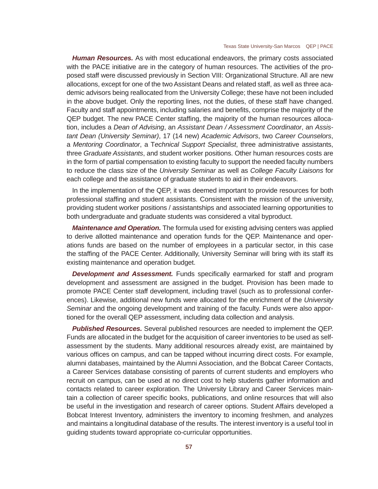*Human Resources.* As with most educational endeavors, the primary costs associated with the PACE initiative are in the category of human resources. The activities of the proposed staff were discussed previously in Section VIII: Organizational Structure. All are new allocations, except for one of the two Assistant Deans and related staff, as well as three academic advisors being reallocated from the University College; these have not been included in the above budget. Only the reporting lines, not the duties, of these staff have changed. Faculty and staff appointments, including salaries and benefits, comprise the majority of the QEP budget. The new PACE Center staffing, the majority of the human resources allocation, includes a *Dean of Advising*, an *Assistant Dean / Assessment Coordinator*, an *Assistant Dean (University Seminar)*, 17 (14 new) *Academic Advisors*, two *Career Counselors*, a *Mentoring Coordinator*, a T*echnical Support Specialist*, three administrative assistants, three *Graduate Assistants*, and student worker positions. Other human resources costs are in the form of partial compensation to existing faculty to support the needed faculty numbers to reduce the class size of the *University Seminar* as well as *College Faculty Liaisons* for each college and the assistance of graduate students to aid in their endeavors.

In the implementation of the QEP, it was deemed important to provide resources for both professional staffing and student assistants. Consistent with the mission of the university, providing student worker positions / assistantships and associated learning opportunities to both undergraduate and graduate students was considered a vital byproduct.

*Maintenance and Operation.* The formula used for existing advising centers was applied to derive allotted maintenance and operation funds for the QEP. Maintenance and operations funds are based on the number of employees in a particular sector, in this case the staffing of the PACE Center. Additionally, University Seminar will bring with its staff its existing maintenance and operation budget.

**Development and Assessment.** Funds specifically earmarked for staff and program development and assessment are assigned in the budget. Provision has been made to promote PACE Center staff development, including travel (such as to professional conferences). Likewise, additional new funds were allocated for the enrichment of the *University Seminar* and the ongoing development and training of the faculty. Funds were also apportioned for the overall QEP assessment, including data collection and analysis.

*Published Resources.* Several published resources are needed to implement the QEP. Funds are allocated in the budget for the acquisition of career inventories to be used as selfassessment by the students. Many additional resources already exist, are maintained by various offices on campus, and can be tapped without incurring direct costs. For example, alumni databases, maintained by the Alumni Association, and the Bobcat Career Contacts, a Career Services database consisting of parents of current students and employers who recruit on campus, can be used at no direct cost to help students gather information and contacts related to career exploration. The University Library and Career Services maintain a collection of career specific books, publications, and online resources that will also be useful in the investigation and research of career options. Student Affairs developed a Bobcat Interest Inventory, administers the inventory to incoming freshmen, and analyzes and maintains a longitudinal database of the results. The interest inventory is a useful tool in guiding students toward appropriate co-curricular opportunities.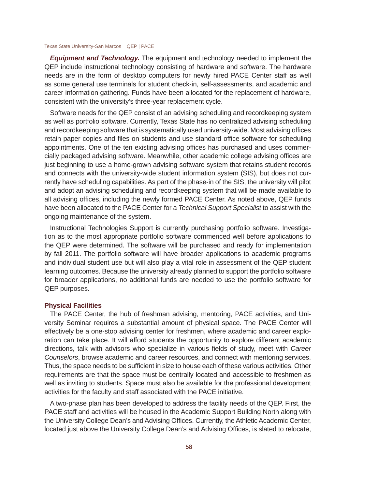*Equipment and Technology.* The equipment and technology needed to implement the QEP include instructional technology consisting of hardware and software. The hardware needs are in the form of desktop computers for newly hired PACE Center staff as well as some general use terminals for student check-in, self-assessments, and academic and career information gathering. Funds have been allocated for the replacement of hardware, consistent with the university's three-year replacement cycle.

Software needs for the QEP consist of an advising scheduling and recordkeeping system as well as portfolio software. Currently, Texas State has no centralized advising scheduling and recordkeeping software that is systematically used university-wide. Most advising offices retain paper copies and files on students and use standard office software for scheduling appointments. One of the ten existing advising offices has purchased and uses commercially packaged advising software. Meanwhile, other academic college advising offices are just beginning to use a home-grown advising software system that retains student records and connects with the university-wide student information system (SIS), but does not currently have scheduling capabilities. As part of the phase-in of the SIS, the university will pilot and adopt an advising scheduling and recordkeeping system that will be made available to all advising offices, including the newly formed PACE Center. As noted above, QEP funds have been allocated to the PACE Center for a *Technical Support Specialist* to assist with the ongoing maintenance of the system.

Instructional Technologies Support is currently purchasing portfolio software. Investigation as to the most appropriate portfolio software commenced well before applications to the QEP were determined. The software will be purchased and ready for implementation by fall 2011. The portfolio software will have broader applications to academic programs and individual student use but will also play a vital role in assessment of the QEP student learning outcomes. Because the university already planned to support the portfolio software for broader applications, no additional funds are needed to use the portfolio software for QEP purposes.

## **Physical Facilities**

The PACE Center, the hub of freshman advising, mentoring, PACE activities, and University Seminar requires a substantial amount of physical space. The PACE Center will effectively be a one-stop advising center for freshmen, where academic and career exploration can take place. It will afford students the opportunity to explore different academic directions, talk with advisors who specialize in various fields of study, meet with *Career Counselors*, browse academic and career resources, and connect with mentoring services. Thus, the space needs to be sufficient in size to house each of these various activities. Other requirements are that the space must be centrally located and accessible to freshmen as well as inviting to students. Space must also be available for the professional development activities for the faculty and staff associated with the PACE initiative.

A two-phase plan has been developed to address the facility needs of the QEP. First, the PACE staff and activities will be housed in the Academic Support Building North along with the University College Dean's and Advising Offices. Currently, the Athletic Academic Center, located just above the University College Dean's and Advising Offices, is slated to relocate,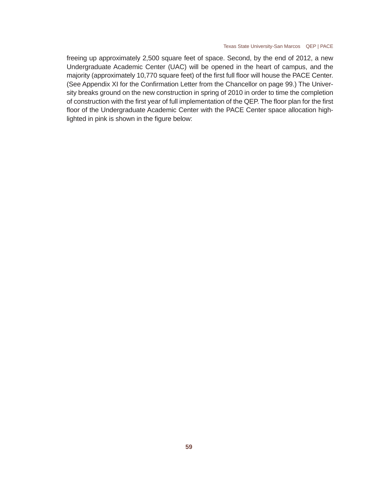freeing up approximately 2,500 square feet of space. Second, by the end of 2012, a new Undergraduate Academic Center (UAC) will be opened in the heart of campus, and the majority (approximately 10,770 square feet) of the first full floor will house the PACE Center. (See Appendix XI for the Confirmation Letter from the Chancellor on page 99.) The University breaks ground on the new construction in spring of 2010 in order to time the completion of construction with the first year of full implementation of the QEP. The floor plan for the first floor of the Undergraduate Academic Center with the PACE Center space allocation highlighted in pink is shown in the figure below: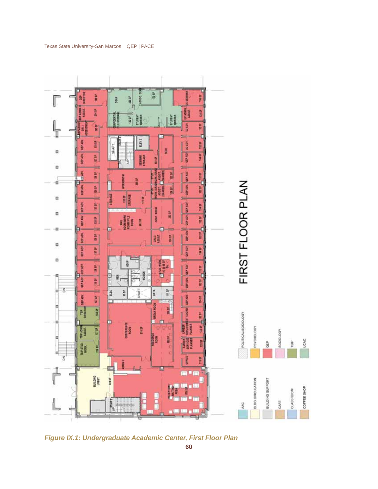

*Figure IX.1: Undergraduate Academic Center, First Floor Plan*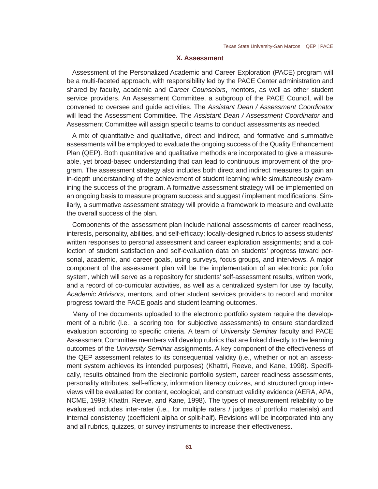## **X. Assessment**

Assessment of the Personalized Academic and Career Exploration (PACE) program will be a multi-faceted approach, with responsibility led by the PACE Center administration and shared by faculty, academic and *Career Counselors*, mentors, as well as other student service providers. An Assessment Committee, a subgroup of the PACE Council, will be convened to oversee and guide activities. The *Assistant Dean / Assessment Coordinator* will lead the Assessment Committee. The *Assistant Dean / Assessment Coordinator* and Assessment Committee will assign specific teams to conduct assessments as needed.

A mix of quantitative and qualitative, direct and indirect, and formative and summative assessments will be employed to evaluate the ongoing success of the Quality Enhancement Plan (QEP). Both quantitative and qualitative methods are incorporated to give a measureable, yet broad-based understanding that can lead to continuous improvement of the program. The assessment strategy also includes both direct and indirect measures to gain an in-depth understanding of the achievement of student learning while simultaneously examining the success of the program. A formative assessment strategy will be implemented on an ongoing basis to measure program success and suggest / implement modifications. Similarly, a summative assessment strategy will provide a framework to measure and evaluate the overall success of the plan.

Components of the assessment plan include national assessments of career readiness, interests, personality, abilities, and self-efficacy; locally-designed rubrics to assess students' written responses to personal assessment and career exploration assignments; and a collection of student satisfaction and self-evaluation data on students' progress toward personal, academic, and career goals, using surveys, focus groups, and interviews. A major component of the assessment plan will be the implementation of an electronic portfolio system, which will serve as a repository for students' self-assessment results, written work, and a record of co-curricular activities, as well as a centralized system for use by faculty, *Academic Advisors*, mentors, and other student services providers to record and monitor progress toward the PACE goals and student learning outcomes.

Many of the documents uploaded to the electronic portfolio system require the development of a rubric (i.e., a scoring tool for subjective assessments) to ensure standardized evaluation according to specific criteria. A team of *University Seminar* faculty and PACE Assessment Committee members will develop rubrics that are linked directly to the learning outcomes of the *University Seminar* assignments. A key component of the effectiveness of the QEP assessment relates to its consequential validity (i.e., whether or not an assessment system achieves its intended purposes) (Khattri, Reeve, and Kane, 1998). Specifi cally, results obtained from the electronic portfolio system, career readiness assessments, personality attributes, self-efficacy, information literacy quizzes, and structured group interviews will be evaluated for content, ecological, and construct validity evidence (AERA, APA, NCME, 1999; Khattri, Reeve, and Kane, 1998). The types of measurement reliability to be evaluated includes inter-rater (i.e., for multiple raters / judges of portfolio materials) and internal consistency (coefficient alpha or split-half). Revisions will be incorporated into any and all rubrics, quizzes, or survey instruments to increase their effectiveness.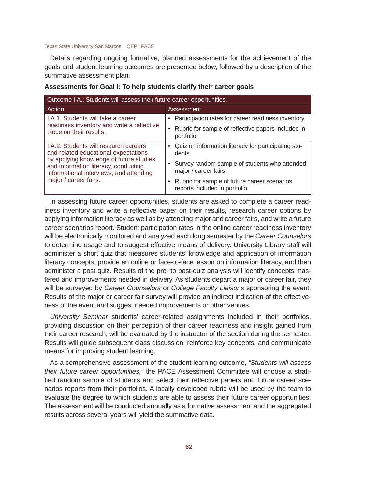Details regarding ongoing formative, planned assessments for the achievement of the goals and student learning outcomes are presented below, followed by a description of the summative assessment plan.

| Outcome I.A.: Students will assess their future career opportunities.                                                                                                                                      |                                                                               |  |  |
|------------------------------------------------------------------------------------------------------------------------------------------------------------------------------------------------------------|-------------------------------------------------------------------------------|--|--|
| Action                                                                                                                                                                                                     | Assessment                                                                    |  |  |
| L.A.1. Students will take a career                                                                                                                                                                         | Participation rates for career readiness inventory                            |  |  |
| readiness inventory and write a reflective<br>piece on their results.                                                                                                                                      | Rubric for sample of reflective papers included in<br>portfolio               |  |  |
| LA.2. Students will research careers<br>and related educational expectations<br>by applying knowledge of future studies<br>and information literacy, conducting<br>informational interviews, and attending | Quiz on information literacy for participating stu-<br>$\bullet$<br>dents     |  |  |
|                                                                                                                                                                                                            | • Survey random sample of students who attended<br>major / career fairs       |  |  |
| major / career fairs.                                                                                                                                                                                      | Rubric for sample of future career scenarios<br>reports included in portfolio |  |  |

## **Assessments for Goal I: To help students clarify their career goals**

In assessing future career opportunities, students are asked to complete a career readiness inventory and write a reflective paper on their results, research career options by applying information literacy as well as by attending major and career fairs, and write a future career scenarios report. Student participation rates in the online career readiness inventory will be electronically monitored and analyzed each long semester by the *Career Counselors* to determine usage and to suggest effective means of delivery. University Library staff will administer a short quiz that measures students' knowledge and application of information literacy concepts, provide an online or face-to-face lesson on information literacy, and then administer a post quiz. Results of the pre- to post-quiz analysis will identify concepts mastered and improvements needed in delivery. As students depart a major or career fair, they will be surveyed by *Career Counselors* or *College Faculty Liaisons* sponsoring the event. Results of the major or career fair survey will provide an indirect indication of the effectiveness of the event and suggest needed improvements or other venues.

*University Seminar* students' career-related assignments included in their portfolios, providing discussion on their perception of their career readiness and insight gained from their career research, will be evaluated by the instructor of the section during the semester. Results will guide subsequent class discussion, reinforce key concepts, and communicate means for improving student learning.

As a comprehensive assessment of the student learning outcome, *"Students will assess their future career opportunities,"* the PACE Assessment Committee will choose a stratified random sample of students and select their reflective papers and future career scenarios reports from their portfolios. A locally developed rubric will be used by the team to evaluate the degree to which students are able to assess their future career opportunities. The assessment will be conducted annually as a formative assessment and the aggregated results across several years will yield the summative data.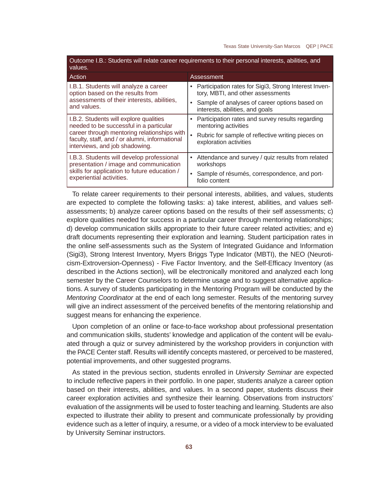| Outcome I.B.: Students will relate career requirements to their personal interests, abilities, and<br>values.                          |                                                                                            |  |
|----------------------------------------------------------------------------------------------------------------------------------------|--------------------------------------------------------------------------------------------|--|
| Action                                                                                                                                 | Assessment                                                                                 |  |
| I.B.1. Students will analyze a career<br>option based on the results from<br>assessments of their interests, abilities,<br>and values. | Participation rates for Sigi3, Strong Interest Inven-<br>tory, MBTI, and other assessments |  |
|                                                                                                                                        | Sample of analyses of career options based on<br>interests, abilities, and goals           |  |
| I.B.2. Students will explore qualities<br>needed to be successful in a particular                                                      | Participation rates and survey results regarding<br>mentoring activities                   |  |
| career through mentoring relationships with<br>faculty, staff, and / or alumni, informational<br>interviews, and job shadowing.        | Rubric for sample of reflective writing pieces on<br>exploration activities                |  |
| I.B.3. Students will develop professional<br>presentation / image and communication                                                    | Attendance and survey / quiz results from related<br>workshops                             |  |
| skills for application to future education /<br>experiential activities.                                                               | Sample of résumés, correspondence, and port-<br>folio content                              |  |

To relate career requirements to their personal interests, abilities, and values, students are expected to complete the following tasks: a) take interest, abilities, and values selfassessments; b) analyze career options based on the results of their self assessments; c) explore qualities needed for success in a particular career through mentoring relationships; d) develop communication skills appropriate to their future career related activities; and e) draft documents representing their exploration and learning. Student participation rates in the online self-assessments such as the System of Integrated Guidance and Information (Sigi3), Strong Interest Inventory, Myers Briggs Type Indicator (MBTI), the NEO (Neuroticism-Extroversion-Openness) - Five Factor Inventory, and the Self-Efficacy Inventory (as described in the Actions section), will be electronically monitored and analyzed each long semester by the Career Counselors to determine usage and to suggest alternative applications. A survey of students participating in the Mentoring Program will be conducted by the *Mentoring Coordinator* at the end of each long semester. Results of the mentoring survey will give an indirect assessment of the perceived benefits of the mentoring relationship and suggest means for enhancing the experience.

Upon completion of an online or face-to-face workshop about professional presentation and communication skills, students' knowledge and application of the content will be evaluated through a quiz or survey administered by the workshop providers in conjunction with the PACE Center staff. Results will identify concepts mastered, or perceived to be mastered, potential improvements, and other suggested programs.

As stated in the previous section, students enrolled in *University Seminar* are expected to include reflective papers in their portfolio. In one paper, students analyze a career option based on their interests, abilities, and values. In a second paper, students discuss their career exploration activities and synthesize their learning. Observations from instructors' evaluation of the assignments will be used to foster teaching and learning. Students are also expected to illustrate their ability to present and communicate professionally by providing evidence such as a letter of inquiry, a resume, or a video of a mock interview to be evaluated by University Seminar instructors.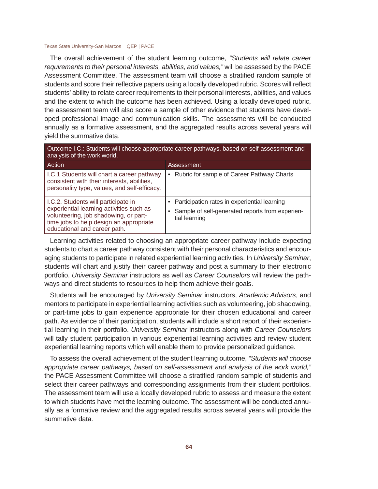The overall achievement of the student learning outcome, *"Students will relate career requirements to their personal interests, abilities, and values,"* will be assessed by the PACE Assessment Committee. The assessment team will choose a stratified random sample of students and score their reflective papers using a locally developed rubric. Scores will reflect students' ability to relate career requirements to their personal interests, abilities, and values and the extent to which the outcome has been achieved. Using a locally developed rubric, the assessment team will also score a sample of other evidence that students have developed professional image and communication skills. The assessments will be conducted annually as a formative assessment, and the aggregated results across several years will yield the summative data.

Outcome I.C.: Students will choose appropriate career pathways, based on self-assessment and analysis of the work world.

| Action                                                                                                                                                                                              | Assessment                                                                                                       |
|-----------------------------------------------------------------------------------------------------------------------------------------------------------------------------------------------------|------------------------------------------------------------------------------------------------------------------|
| I.C.1 Students will chart a career pathway<br>consistent with their interests, abilities,<br>personality type, values, and self-efficacy.                                                           | Rubric for sample of Career Pathway Charts                                                                       |
| I.C.2. Students will participate in<br>experiential learning activities such as<br>volunteering, job shadowing, or part-<br>time jobs to help design an appropriate<br>educational and career path. | Participation rates in experiential learning<br>Sample of self-generated reports from experien-<br>tial learning |

Learning activities related to choosing an appropriate career pathway include expecting students to chart a career pathway consistent with their personal characteristics and encouraging students to participate in related experiential learning activities. In *University Seminar*, students will chart and justify their career pathway and post a summary to their electronic portfolio. *University Seminar* instructors as well as *Career Counselors* will review the pathways and direct students to resources to help them achieve their goals.

Students will be encouraged by *University Seminar* instructors, *Academic Advisors*, and mentors to participate in experiential learning activities such as volunteering, job shadowing, or part-time jobs to gain experience appropriate for their chosen educational and career path. As evidence of their participation, students will include a short report of their experiential learning in their portfolio. *University Seminar* instructors along with *Career Counselors*  will tally student participation in various experiential learning activities and review student experiential learning reports which will enable them to provide personalized guidance.

To assess the overall achievement of the student learning outcome, *"Students will choose appropriate career pathways, based on self-assessment and analysis of the work world,"*  the PACE Assessment Committee will choose a stratified random sample of students and select their career pathways and corresponding assignments from their student portfolios. The assessment team will use a locally developed rubric to assess and measure the extent to which students have met the learning outcome. The assessment will be conducted annually as a formative review and the aggregated results across several years will provide the summative data.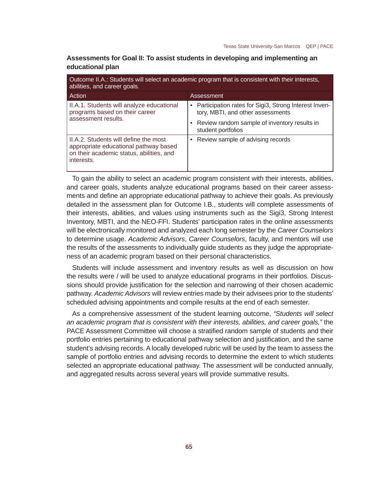| abilities, and career goals.                                                                                                             | Outcome II.A.: Students will select an academic program that is consistent with their interests, |
|------------------------------------------------------------------------------------------------------------------------------------------|--------------------------------------------------------------------------------------------------|
| Action                                                                                                                                   | Assessment                                                                                       |
| II.A.1. Students will analyze educational<br>programs based on their career                                                              | • Participation rates for Sigi3, Strong Interest Inven-<br>tory, MBTI, and other assessments     |
| assessment results.                                                                                                                      | • Review random sample of inventory results in<br>student portfolios                             |
| II.A.2. Students will define the most<br>appropriate educational pathway based<br>on their academic status, abilities, and<br>interests. | Review sample of advising records                                                                |

**Assessments for Goal II: To assist students in developing and implementing an educational plan**

To gain the ability to select an academic program consistent with their interests, abilities, and career goals, students analyze educational programs based on their career assessments and define an appropriate educational pathway to achieve their goals. As previously detailed in the assessment plan for Outcome I.B., students will complete assessments of their interests, abilities, and values using instruments such as the Sigi3, Strong Interest Inventory, MBTI, and the NEO-FFI. Students' participation rates in the online assessments will be electronically monitored and analyzed each long semester by the *Career Counselors* to determine usage. *Academic Advisors*, *Career Counselors*, faculty, and mentors will use the results of the assessments to individually guide students as they judge the appropriateness of an academic program based on their personal characteristics.

Students will include assessment and inventory results as well as discussion on how the results were / will be used to analyze educational programs in their portfolios. Discussions should provide justification for the selection and narrowing of their chosen academic pathway. *Academic Advisors* will review entries made by their advisees prior to the students' scheduled advising appointments and compile results at the end of each semester.

As a comprehensive assessment of the student learning outcome, *"Students will select an academic program that is consistent with their interests, abilities, and career goals,"* the PACE Assessment Committee will choose a stratified random sample of students and their portfolio entries pertaining to educational pathway selection and justification, and the same student's advising records. A locally developed rubric will be used by the team to assess the sample of portfolio entries and advising records to determine the extent to which students selected an appropriate educational pathway. The assessment will be conducted annually, and aggregated results across several years will provide summative results.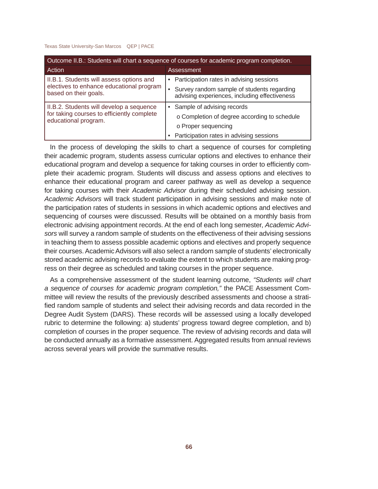| Outcome II.B.: Students will chart a sequence of courses for academic program completion.                      |                                                                                             |  |  |
|----------------------------------------------------------------------------------------------------------------|---------------------------------------------------------------------------------------------|--|--|
| Action                                                                                                         | Assessment                                                                                  |  |  |
| II.B.1. Students will assess options and                                                                       | • Participation rates in advising sessions                                                  |  |  |
| electives to enhance educational program<br>based on their goals.                                              | Survey random sample of students regarding<br>advising experiences, including effectiveness |  |  |
| II.B.2. Students will develop a sequence<br>for taking courses to efficiently complete<br>educational program. | • Sample of advising records                                                                |  |  |
|                                                                                                                | o Completion of degree according to schedule                                                |  |  |
|                                                                                                                | o Proper sequencing                                                                         |  |  |
|                                                                                                                | • Participation rates in advising sessions                                                  |  |  |

In the process of developing the skills to chart a sequence of courses for completing their academic program, students assess curricular options and electives to enhance their educational program and develop a sequence for taking courses in order to efficiently complete their academic program. Students will discuss and assess options and electives to enhance their educational program and career pathway as well as develop a sequence for taking courses with their *Academic Advisor* during their scheduled advising session. *Academic Advisors* will track student participation in advising sessions and make note of the participation rates of students in sessions in which academic options and electives and sequencing of courses were discussed. Results will be obtained on a monthly basis from electronic advising appointment records. At the end of each long semester, *Academic Advisors* will survey a random sample of students on the effectiveness of their advising sessions in teaching them to assess possible academic options and electives and properly sequence their courses. Academic Advisors will also select a random sample of students' electronically stored academic advising records to evaluate the extent to which students are making progress on their degree as scheduled and taking courses in the proper sequence.

As a comprehensive assessment of the student learning outcome, *"Students will chart a sequence of courses for academic program completion,"* the PACE Assessment Committee will review the results of the previously described assessments and choose a stratified random sample of students and select their advising records and data recorded in the Degree Audit System (DARS). These records will be assessed using a locally developed rubric to determine the following: a) students' progress toward degree completion, and b) completion of courses in the proper sequence. The review of advising records and data will be conducted annually as a formative assessment. Aggregated results from annual reviews across several years will provide the summative results.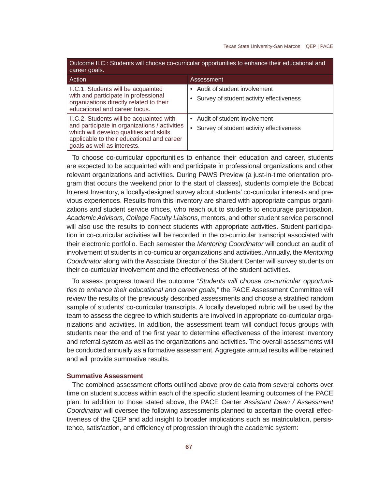| Outcome II.C.: Students will choose co-curricular opportunities to enhance their educational and<br>career goals.                                                                                                 |                                                                          |  |  |
|-------------------------------------------------------------------------------------------------------------------------------------------------------------------------------------------------------------------|--------------------------------------------------------------------------|--|--|
| Action                                                                                                                                                                                                            | Assessment                                                               |  |  |
| II.C.1. Students will be acquainted<br>with and participate in professional<br>organizations directly related to their<br>educational and career focus.                                                           | Audit of student involvement<br>Survey of student activity effectiveness |  |  |
| II.C.2. Students will be acquainted with<br>and participate in organizations / activities<br>which will develop qualities and skills<br>applicable to their educational and career<br>goals as well as interests. | Audit of student involvement<br>Survey of student activity effectiveness |  |  |

To choose co-curricular opportunities to enhance their education and career, students are expected to be acquainted with and participate in professional organizations and other relevant organizations and activities. During PAWS Preview (a just-in-time orientation program that occurs the weekend prior to the start of classes), students complete the Bobcat Interest Inventory, a locally-designed survey about students' co-curricular interests and previous experiences. Results from this inventory are shared with appropriate campus organizations and student service offices, who reach out to students to encourage participation. *Academic Advisors*, *College Faculty Liaisons*, mentors, and other student service personnel will also use the results to connect students with appropriate activities. Student participation in co-curricular activities will be recorded in the co-curricular transcript associated with their electronic portfolio. Each semester the *Mentoring Coordinator* will conduct an audit of involvement of students in co-curricular organizations and activities. Annually, the *Mentoring Coordinator* along with the Associate Director of the Student Center will survey students on their co-curricular involvement and the effectiveness of the student activities.

To assess progress toward the outcome *"Students will choose co-curricular opportunities to enhance their educational and career goals,"* the PACE Assessment Committee will review the results of the previously described assessments and choose a stratified random sample of students' co-curricular transcripts. A locally developed rubric will be used by the team to assess the degree to which students are involved in appropriate co-curricular organizations and activities. In addition, the assessment team will conduct focus groups with students near the end of the first year to determine effectiveness of the interest inventory and referral system as well as the organizations and activities. The overall assessments will be conducted annually as a formative assessment. Aggregate annual results will be retained and will provide summative results.

### **Summative Assessment**

The combined assessment efforts outlined above provide data from several cohorts over time on student success within each of the specific student learning outcomes of the PACE plan. In addition to those stated above, the PACE Center *Assistant Dean / Assessment Coordinator* will oversee the following assessments planned to ascertain the overall effectiveness of the QEP and add insight to broader implications such as matriculation, persistence, satisfaction, and efficiency of progression through the academic system: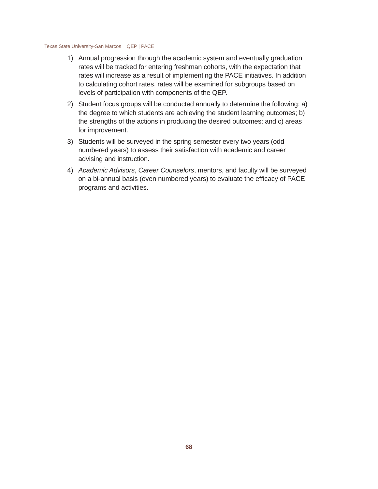- 1) Annual progression through the academic system and eventually graduation rates will be tracked for entering freshman cohorts, with the expectation that rates will increase as a result of implementing the PACE initiatives. In addition to calculating cohort rates, rates will be examined for subgroups based on levels of participation with components of the QEP.
- 2) Student focus groups will be conducted annually to determine the following: a) the degree to which students are achieving the student learning outcomes; b) the strengths of the actions in producing the desired outcomes; and c) areas for improvement.
- 3) Students will be surveyed in the spring semester every two years (odd numbered years) to assess their satisfaction with academic and career advising and instruction.
- 4) *Academic Advisors*, *Career Counselors*, mentors, and faculty will be surveyed on a bi-annual basis (even numbered years) to evaluate the efficacy of PACE programs and activities.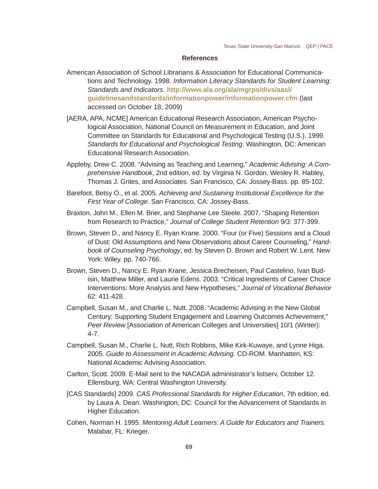### **References**

American Association of School Librarians & Association for Educational Communications and Technology. 1998. *Information Literacy Standards for Student Learning: Standards and Indicators.* **http://www.ala.org/ala/mgrps/divs/aasl/ guidelinesandstandards/informationpower/informationpower.cfm** (last accessed on October 18, 2009)

- [AERA, APA, NCME] American Educational Research Association, American Psychological Association, National Council on Measurement in Education, and Joint Committee on Standards for Educational and Psychological Testing (U.S.). 1999. *Standards for Educational and Psychological Testing*. Washington, DC: American Educational Research Association.
- Appleby, Drew C. 2008. "Advising as Teaching and Learning," *Academic Advising: A Comprehensive Handbook*, 2nd edition, ed. by Virginia N. Gordon, Wesley R. Habley, Thomas J. Grites, and Associates. San Francisco, CA: Jossey-Bass. pp. 85-102.
- Barefoot, Betsy O., et al. 2005. *Achieving and Sustaining Institutional Excellence for the First Year of College*. San Francisco, CA: Jossey-Bass.
- Braxton, John M., Ellen M. Brier, and Stephanie Lee Steele. 2007. "Shaping Retention from Research to Practice," *Journal of College Student Retention* 9/3: 377-399.
- Brown, Steven D., and Nancy E. Ryan Krane. 2000. "Four (or Five) Sessions and a Cloud of Dust: Old Assumptions and New Observations about Career Counseling," *Handbook of Counseling Psychology*, ed. by Steven D. Brown and Robert W. Lent. New York: Wiley. pp. 740-766.
- Brown, Steven D., Nancy E. Ryan Krane, Jessica Brecheisen, Paul Castelino, Ivan Budisin, Matthew Miller, and Laurie Edens. 2003. "Critical Ingredients of Career Choice Interventions: More Analysis and New Hypotheses," *Journal of Vocational Behavior* 62: 411-428.
- Campbell, Susan M., and Charlie L. Nutt. 2008. "Academic Advising in the New Global Century: Supporting Student Engagement and Learning Outcomes Achievement," *Peer Review* [Association of American Colleges and Universities] 10/1 (Winter): 4-7.
- Campbell, Susan M., Charlie L. Nutt, Rich Robbins, Mike Kirk-Kuwaye, and Lynne Higa. 2005. *Guide to Assessment in Academic Advising*. CD-ROM. Manhatten, KS: National Academic Advising Association.
- Carlton, Scott. 2009. E-Mail sent to the NACADA administrator's listserv, October 12. Ellensburg, WA: Central Washington University.
- [CAS Standards] 2009. *CAS Professional Standards for Higher Education*, 7th edition, ed. by Laura A. Dean. Washington, DC: Council for the Advancement of Standards in Higher Education.
- Cohen, Norman H. 1995. *Mentoring Adult Learners: A Guide for Educators and Trainers.*  Malabar, FL: Krieger.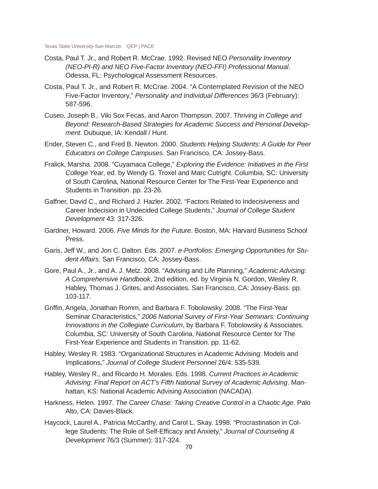- Costa, Paul T. Jr., and Robert R. McCrae. 1992. Revised NEO *Personality Inventory (NEO-PI-R) and NEO Five-Factor Inventory (NEO-FFI) Professional Manual*. Odessa, FL: Psychological Assessment Resources.
- Costa, Paul T. Jr., and Robert R. McCrae. 2004. "A Contemplated Revision of the NEO Five-Factor Inventory," *Personality and Individual Differences* 36/3 (February): 587-596.
- Cuseo, Joseph B., Viki Sox Fecas, and Aaron Thompson. 2007. T*hriving in College and Beyond: Research-Based Strategies for Academic Success and Personal Development*. Dubuque, IA: Kendall / Hunt.
- Ender, Steven C., and Fred B. Newton. 2000. *Students Helping Students: A Guide for Peer Educators on College Campuses*. San Francisco, CA: Jossey-Bass.
- Fralick, Marsha. 2008. "Cuyamaca College," *Exploring the Evidence: Initiatives in the First College Year*, ed. by Wendy G. Troxel and Marc Cutright. Columbia, SC: University of South Carolina, National Resource Center for The First-Year Experience and Students in Transition. pp. 23-26.
- Gaffner, David C., and Richard J. Hazler. 2002. "Factors Related to Indecisiveness and Career Indecision in Undecided College Students," *Journal of College Student Development* 43: 317-326.
- Gardner, Howard. 2006. *Five Minds for the Future*. Boston, MA: Harvard Business School Press.
- Garis, Jeff W., and Jon C. Dalton. Eds. 2007. *e-Portfolios: Emerging Opportunities for Student Affairs*. San Francisco, CA: Jossey-Bass.
- Gore, Paul A., Jr., and A. J. Metz. 2008. "Advising and Life Planning," *Academic Advising: A Comprehensive Handbook*, 2nd edition, ed. by Virginia N. Gordon, Wesley R. Habley, Thomas J. Grites, and Associates. San Francisco, CA: Jossey-Bass. pp. 103-117.
- Griffin, Angela, Jonathan Romm, and Barbara F. Tobolowsky. 2008. "The First-Year Seminar Characteristics," *2006 National Survey of First-Year Seminars: Continuing Innovations in the Collegiate Curriculum*, by Barbara F. Tobolowsky & Associates. Columbia, SC: University of South Carolina, National Resource Center for The First-Year Experience and Students in Transition. pp. 11-62.
- Habley, Wesley R. 1983. "Organizational Structures in Academic Advising: Models and Implications," *Journal of College Student Personnel* 26/4: 535-539.
- Habley, Wesley R., and Ricardo H. Morales. Eds. 1998. *Current Practices in Academic Advising: Final Report on ACT's Fifth National Survey of Academic Advising*. Manhattan, KS: National Academic Advising Association (NACADA).
- Harkness, Helen. 1997. *The Career Chase: Taking Creative Control in a Chaotic Age*. Palo Alto, CA: Davies-Black.
- Haycock, Laurel A., Patricia McCarthy, and Carol L. Skay. 1998. "Procrastination in College Students: The Role of Self-Efficacy and Anxiety," *Journal of Counseling & Development* 76/3 (Summer): 317-324.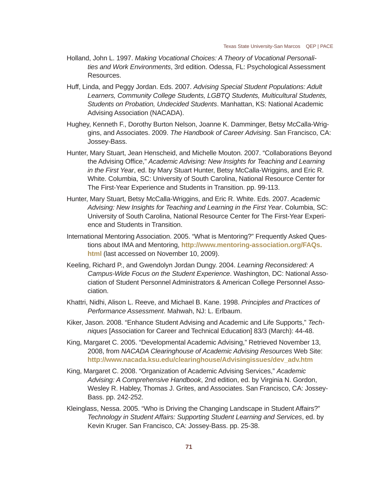- Holland, John L. 1997. *Making Vocational Choices: A Theory of Vocational Personalities and Work Environments*, 3rd edition. Odessa, FL: Psychological Assessment Resources.
- Huff, Linda, and Peggy Jordan. Eds. 2007. *Advising Special Student Populations: Adult Learners, Community College Students, LGBTQ Students, Multicultural Students, Students on Probation, Undecided Students*. Manhattan, KS: National Academic Advising Association (NACADA).
- Hughey, Kenneth F., Dorothy Burton Nelson, Joanne K. Damminger, Betsy McCalla-Wriggins, and Associates. 2009. *The Handbook of Career Advising*. San Francisco, CA: Jossey-Bass.
- Hunter, Mary Stuart, Jean Henscheid, and Michelle Mouton. 2007. "Collaborations Beyond the Advising Office," *Academic Advising: New Insights for Teaching and Learning in the First Year*, ed. by Mary Stuart Hunter, Betsy McCalla-Wriggins, and Eric R. White. Columbia, SC: University of South Carolina, National Resource Center for The First-Year Experience and Students in Transition. pp. 99-113.
- Hunter, Mary Stuart, Betsy McCalla-Wriggins, and Eric R. White. Eds. 2007. *Academic Advising: New Insights for Teaching and Learning in the First Year*. Columbia, SC: University of South Carolina, National Resource Center for The First-Year Experience and Students in Transition.
- International Mentoring Association. 2005. "What is Mentoring?" Frequently Asked Questions about IMA and Mentoring, **http://www.mentoring-association.org/FAQs. html** (last accessed on November 10, 2009).
- Keeling, Richard P., and Gwendolyn Jordan Dungy. 2004. *Learning Reconsidered: A Campus-Wide Focus on the Student Experience*. Washington, DC: National Association of Student Personnel Administrators & American College Personnel Association.
- Khattri, Nidhi, Alison L. Reeve, and Michael B. Kane. 1998. *Principles and Practices of Performance Assessment*. Mahwah, NJ: L. Erlbaum.
- Kiker, Jason. 2008. "Enhance Student Advising and Academic and Life Supports," *Techniques* [Association for Career and Technical Education] 83/3 (March): 44-48.
- King, Margaret C. 2005. "Developmental Academic Advising," Retrieved November 13, 2008, from *NACADA Clearinghouse of Academic Advising Resources* Web Site: **http://www.nacada.ksu.edu/clearinghouse/Advisingissues/dev\_adv.htm**
- King, Margaret C. 2008. "Organization of Academic Advising Services," *Academic Advising: A Comprehensive Handbook*, 2nd edition, ed. by Virginia N. Gordon, Wesley R. Habley, Thomas J. Grites, and Associates. San Francisco, CA: Jossey-Bass. pp. 242-252.
- Kleinglass, Nessa. 2005. "Who is Driving the Changing Landscape in Student Affairs?" *Technology in Student Affairs: Supporting Student Learning and Services*, ed. by Kevin Kruger. San Francisco, CA: Jossey-Bass. pp. 25-38.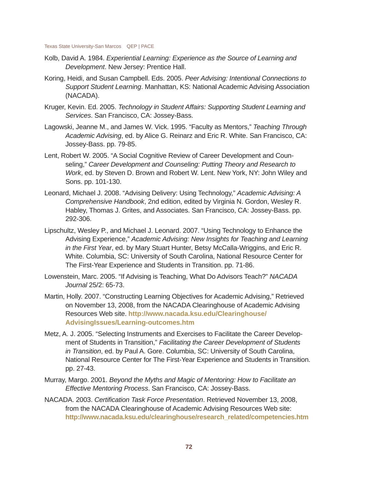- Kolb, David A. 1984. *Experiential Learning: Experience as the Source of Learning and Development*. New Jersey: Prentice Hall.
- Koring, Heidi, and Susan Campbell. Eds. 2005. *Peer Advising: Intentional Connections to Support Student Learning*. Manhattan, KS: National Academic Advising Association (NACADA).
- Kruger, Kevin. Ed. 2005. *Technology in Student Affairs: Supporting Student Learning and Services*. San Francisco, CA: Jossey-Bass.
- Lagowski, Jeanne M., and James W. Vick. 1995. "Faculty as Mentors," *Teaching Through Academic Advising*, ed. by Alice G. Reinarz and Eric R. White. San Francisco, CA: Jossey-Bass. pp. 79-85.
- Lent, Robert W. 2005. "A Social Cognitive Review of Career Development and Counseling," *Career Development and Counseling: Putting Theory and Research to Work*, ed. by Steven D. Brown and Robert W. Lent. New York, NY: John Wiley and Sons. pp. 101-130.
- Leonard, Michael J. 2008. "Advising Delivery: Using Technology," *Academic Advising: A Comprehensive Handbook*, 2nd edition, edited by Virginia N. Gordon, Wesley R. Habley, Thomas J. Grites, and Associates. San Francisco, CA: Jossey-Bass. pp. 292-306.
- Lipschultz, Wesley P., and Michael J. Leonard. 2007. "Using Technology to Enhance the Advising Experience," *Academic Advising: New Insights for Teaching and Learning in the First Year*, ed. by Mary Stuart Hunter, Betsy McCalla-Wriggins, and Eric R. White. Columbia, SC: University of South Carolina, National Resource Center for The First-Year Experience and Students in Transition. pp. 71-86.
- Lowenstein, Marc. 2005. "If Advising is Teaching, What Do Advisors Teach?" *NACADA Journal* 25/2: 65-73.
- Martin, Holly. 2007. "Constructing Learning Objectives for Academic Advising," Retrieved on November 13, 2008, from the NACADA Clearinghouse of Academic Advising Resources Web site. **http://www.nacada.ksu.edu/Clearinghouse/ AdvisingIssues/Learning-outcomes.htm**
- Metz, A. J. 2005. "Selecting Instruments and Exercises to Facilitate the Career Development of Students in Transition," *Facilitating the Career Development of Students in Transition*, ed. by Paul A. Gore. Columbia, SC: University of South Carolina, National Resource Center for The First-Year Experience and Students in Transition. pp. 27-43.
- Murray, Margo. 2001. *Beyond the Myths and Magic of Mentoring: How to Facilitate an Effective Mentoring Process*. San Francisco, CA: Jossey-Bass.
- NACADA. 2003. *Certifi cation Task Force Presentation*. Retrieved November 13, 2008, from the NACADA Clearinghouse of Academic Advising Resources Web site: **http://www.nacada.ksu.edu/clearinghouse/research\_related/competencies.htm**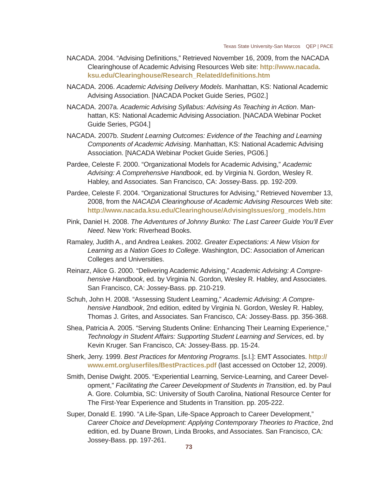- NACADA. 2004. "Advising Definitions," Retrieved November 16, 2009, from the NACADA Clearinghouse of Academic Advising Resources Web site: **http://www.nacada. ksu.edu/Clearinghouse/Research\_Related/defi nitions.htm**
- NACADA. 2006. *Academic Advising Delivery Models*. Manhattan, KS: National Academic Advising Association. [NACADA Pocket Guide Series, PG02.]
- NACADA. 2007a. *Academic Advising Syllabus: Advising As Teaching in Action*. Manhattan, KS: National Academic Advising Association. [NACADA Webinar Pocket Guide Series, PG04.]
- NACADA. 2007b. *Student Learning Outcomes: Evidence of the Teaching and Learning Components of Academic Advising*. Manhattan, KS: National Academic Advising Association. [NACADA Webinar Pocket Guide Series, PG06.]
- Pardee, Celeste F. 2000. "Organizational Models for Academic Advising," *Academic Advising: A Comprehensive Handbook*, ed. by Virginia N. Gordon, Wesley R. Habley, and Associates. San Francisco, CA: Jossey-Bass. pp. 192-209.
- Pardee, Celeste F. 2004. "Organizational Structures for Advising," Retrieved November 13, 2008, from the *NACADA Clearinghouse of Academic Advising Resources* Web site: **http://www.nacada.ksu.edu/Clearinghouse/AdvisingIssues/org\_models.htm**
- Pink, Daniel H. 2008. *The Adventures of Johnny Bunko: The Last Career Guide You'll Ever Need*. New York: Riverhead Books.
- Ramaley, Judith A., and Andrea Leakes. 2002. *Greater Expectations: A New Vision for Learning as a Nation Goes to College*. Washington, DC: Association of American Colleges and Universities.
- Reinarz, Alice G. 2000. "Delivering Academic Advising," *Academic Advising: A Comprehensive Handbook*, ed. by Virginia N. Gordon, Wesley R. Habley, and Associates. San Francisco, CA: Jossey-Bass. pp. 210-219.
- Schuh, John H. 2008. "Assessing Student Learning," *Academic Advising: A Comprehensive Handbook*, 2nd edition, edited by Virginia N. Gordon, Wesley R. Habley, Thomas J. Grites, and Associates. San Francisco, CA: Jossey-Bass. pp. 356-368.
- Shea, Patricia A. 2005. "Serving Students Online: Enhancing Their Learning Experience," *Technology in Student Affairs: Supporting Student Learning and Services*, ed. by Kevin Kruger. San Francisco, CA: Jossey-Bass. pp. 15-24.
- Sherk, Jerry. 1999. *Best Practices for Mentoring Programs*. [s.l.]: EMT Associates. **http:// www.emt.org/userfi les/BestPractices.pdf** (last accessed on October 12, 2009).
- Smith, Denise Dwight. 2005. "Experiential Learning, Service-Learning, and Career Development," *Facilitating the Career Development of Students in Transition*, ed. by Paul A. Gore. Columbia, SC: University of South Carolina, National Resource Center for The First-Year Experience and Students in Transition. pp. 205-222.
- Super, Donald E. 1990. "A Life-Span, Life-Space Approach to Career Development," *Career Choice and Development: Applying Contemporary Theories to Practice*, 2nd edition, ed. by Duane Brown, Linda Brooks, and Associates. San Francisco, CA: Jossey-Bass. pp. 197-261.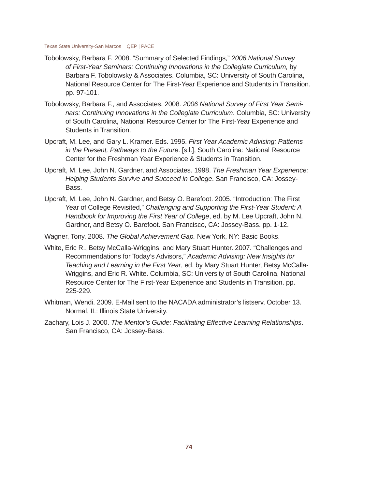- Tobolowsky, Barbara F. 2008. "Summary of Selected Findings," *2006 National Survey of First-Year Seminars: Continuing Innovations in the Collegiate Curriculum,* by Barbara F. Tobolowsky & Associates. Columbia, SC: University of South Carolina, National Resource Center for The First-Year Experience and Students in Transition. pp. 97-101.
- Tobolowsky, Barbara F., and Associates. 2008. *2006 National Survey of First Year Seminars: Continuing Innovations in the Collegiate Curriculum*. Columbia, SC: University of South Carolina, National Resource Center for The First-Year Experience and Students in Transition.
- Upcraft, M. Lee, and Gary L. Kramer. Eds. 1995. *First Year Academic Advising: Patterns in the Present, Pathways to the Future*. [s.l.], South Carolina: National Resource Center for the Freshman Year Experience & Students in Transition.
- Upcraft, M. Lee, John N. Gardner, and Associates. 1998. *The Freshman Year Experience: Helping Students Survive and Succeed in College*. San Francisco, CA: Jossey-Bass.
- Upcraft, M. Lee, John N. Gardner, and Betsy O. Barefoot. 2005. "Introduction: The First Year of College Revisited," *Challenging and Supporting the First-Year Student: A Handbook for Improving the First Year of College*, ed. by M. Lee Upcraft, John N. Gardner, and Betsy O. Barefoot. San Francisco, CA: Jossey-Bass. pp. 1-12.
- Wagner, Tony. 2008. *The Global Achievement Gap.* New York, NY: Basic Books.
- White, Eric R., Betsy McCalla-Wriggins, and Mary Stuart Hunter. 2007. "Challenges and Recommendations for Today's Advisors," *Academic Advising: New Insights for Teaching and Learning in the First Year*, ed. by Mary Stuart Hunter, Betsy McCalla-Wriggins, and Eric R. White. Columbia, SC: University of South Carolina, National Resource Center for The First-Year Experience and Students in Transition. pp. 225-229.
- Whitman, Wendi. 2009. E-Mail sent to the NACADA administrator's listserv, October 13. Normal, IL: Illinois State University.
- Zachary, Lois J. 2000. *The Mentor's Guide: Facilitating Effective Learning Relationships*. San Francisco, CA: Jossey-Bass.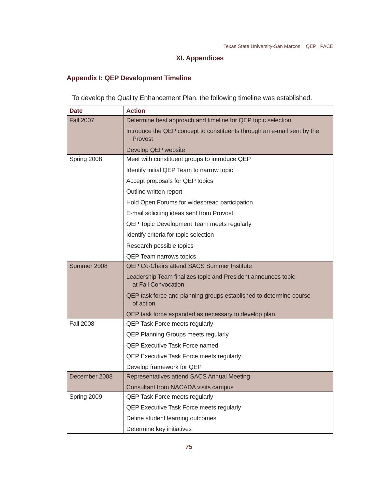# **XI. Appendices**

# **Appendix I: QEP Development Timeline**

To develop the Quality Enhancement Plan, the following timeline was established.

| Date             | <b>Action</b>                                                                        |
|------------------|--------------------------------------------------------------------------------------|
| <b>Fall 2007</b> | Determine best approach and timeline for QEP topic selection                         |
|                  | Introduce the QEP concept to constituents through an e-mail sent by the<br>Provost   |
|                  | Develop QEP website                                                                  |
| Spring 2008      | Meet with constituent groups to introduce QEP                                        |
|                  | Identify initial QEP Team to narrow topic                                            |
|                  | Accept proposals for QEP topics                                                      |
|                  | Outline written report                                                               |
|                  | Hold Open Forums for widespread participation                                        |
|                  | E-mail soliciting ideas sent from Provost                                            |
|                  | QEP Topic Development Team meets regularly                                           |
|                  | Identify criteria for topic selection                                                |
|                  | Research possible topics                                                             |
|                  | <b>QEP Team narrows topics</b>                                                       |
| Summer 2008      | <b>QEP Co-Chairs attend SACS Summer Institute</b>                                    |
|                  | Leadership Team finalizes topic and President announces topic<br>at Fall Convocation |
|                  | QEP task force and planning groups established to determine course<br>of action      |
|                  | QEP task force expanded as necessary to develop plan                                 |
| <b>Fall 2008</b> | QEP Task Force meets regularly                                                       |
|                  | <b>QEP Planning Groups meets regularly</b>                                           |
|                  | <b>QEP Executive Task Force named</b>                                                |
|                  | <b>QEP Executive Task Force meets regularly</b>                                      |
|                  | Develop framework for QEP                                                            |
| December 2008    | Representatives attend SACS Annual Meeting                                           |
|                  | <b>Consultant from NACADA visits campus</b>                                          |
| Spring 2009      | <b>QEP Task Force meets regularly</b>                                                |
|                  | QEP Executive Task Force meets regularly                                             |
|                  | Define student learning outcomes                                                     |
|                  | Determine key initiatives                                                            |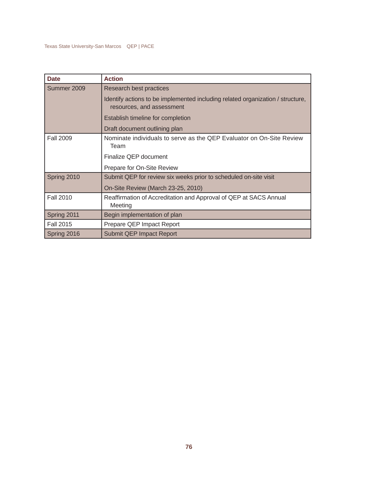| <b>Date</b>      | <b>Action</b>                                                                                               |
|------------------|-------------------------------------------------------------------------------------------------------------|
| Summer 2009      | Research best practices                                                                                     |
|                  | Identify actions to be implemented including related organization / structure,<br>resources, and assessment |
|                  | Establish timeline for completion                                                                           |
|                  | Draft document outlining plan                                                                               |
| <b>Fall 2009</b> | Nominate individuals to serve as the QEP Evaluator on On-Site Review<br>Team                                |
|                  | Finalize QEP document                                                                                       |
|                  | Prepare for On-Site Review                                                                                  |
| Spring 2010      | Submit QEP for review six weeks prior to scheduled on-site visit                                            |
|                  | On-Site Review (March 23-25, 2010)                                                                          |
| <b>Fall 2010</b> | Reaffirmation of Accreditation and Approval of QEP at SACS Annual<br>Meeting                                |
| Spring 2011      | Begin implementation of plan                                                                                |
| <b>Fall 2015</b> | Prepare QEP Impact Report                                                                                   |
| Spring 2016      | <b>Submit QEP Impact Report</b>                                                                             |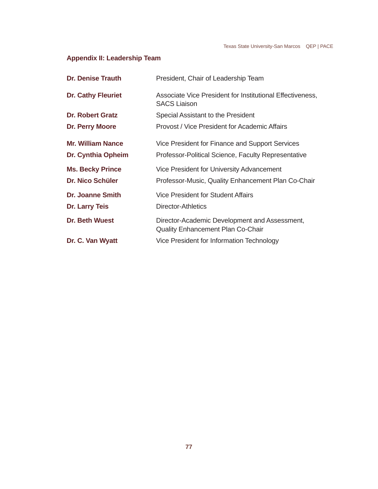# **Appendix II: Leadership Team**

| <b>Dr. Denise Trauth</b>                           | President, Chair of Leadership Team                                                                           |
|----------------------------------------------------|---------------------------------------------------------------------------------------------------------------|
| <b>Dr. Cathy Fleuriet</b>                          | Associate Vice President for Institutional Effectiveness,<br><b>SACS Liaison</b>                              |
| <b>Dr. Robert Gratz</b>                            | Special Assistant to the President                                                                            |
| Dr. Perry Moore                                    | Provost / Vice President for Academic Affairs                                                                 |
| <b>Mr. William Nance</b><br>Dr. Cynthia Opheim     | Vice President for Finance and Support Services<br><b>Professor-Political Science, Faculty Representative</b> |
| <b>Ms. Becky Prince</b><br><b>Dr. Nico Schüler</b> | Vice President for University Advancement<br>Professor-Music, Quality Enhancement Plan Co-Chair               |
| <b>Dr. Joanne Smith</b>                            | Vice President for Student Affairs                                                                            |
| <b>Dr. Larry Teis</b>                              | Director-Athletics                                                                                            |
| <b>Dr. Beth Wuest</b>                              | Director-Academic Development and Assessment,<br><b>Quality Enhancement Plan Co-Chair</b>                     |
| Dr. C. Van Wyatt                                   | Vice President for Information Technology                                                                     |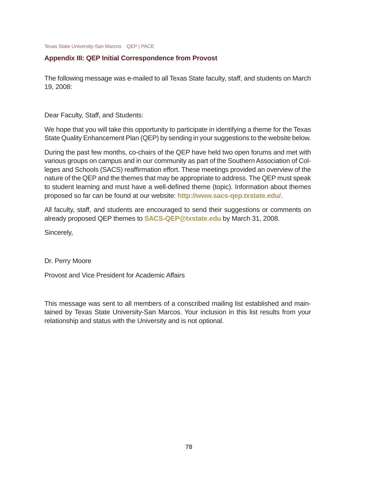# **Appendix III: QEP Initial Correspondence from Provost**

The following message was e-mailed to all Texas State faculty, staff, and students on March 19, 2008:

Dear Faculty, Staff, and Students:

We hope that you will take this opportunity to participate in identifying a theme for the Texas State Quality Enhancement Plan (QEP) by sending in your suggestions to the website below.

During the past few months, co-chairs of the QEP have held two open forums and met with various groups on campus and in our community as part of the Southern Association of Colleges and Schools (SACS) reaffirmation effort. These meetings provided an overview of the nature of the QEP and the themes that may be appropriate to address. The QEP must speak to student learning and must have a well-defined theme (topic). Information about themes proposed so far can be found at our website: **http://www.sacs-qep.txstate.edu/**.

All faculty, staff, and students are encouraged to send their suggestions or comments on already proposed QEP themes to **SACS-QEP@txstate.edu** by March 31, 2008.

Sincerely,

## Dr. Perry Moore

Provost and Vice President for Academic Affairs

This message was sent to all members of a conscribed mailing list established and maintained by Texas State University-San Marcos. Your inclusion in this list results from your relationship and status with the University and is not optional.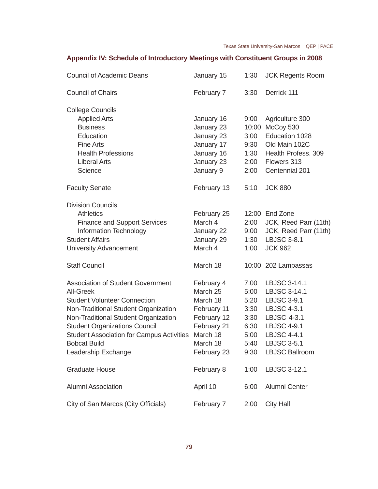# **Appendix IV: Schedule of Introductory Meetings with Constituent Groups in 2008**

| <b>Council of Academic Deans</b>                 | January 15  | 1:30 | <b>JCK Regents Room</b> |
|--------------------------------------------------|-------------|------|-------------------------|
| <b>Council of Chairs</b>                         | February 7  | 3:30 | Derrick 111             |
| <b>College Councils</b>                          |             |      |                         |
| <b>Applied Arts</b>                              | January 16  | 9:00 | Agriculture 300         |
| <b>Business</b>                                  | January 23  |      | 10:00 McCoy 530         |
| Education                                        | January 23  | 3:00 | Education 1028          |
| <b>Fine Arts</b>                                 | January 17  | 9:30 | Old Main 102C           |
| <b>Health Professions</b>                        | January 16  | 1:30 | Health Profess. 309     |
| <b>Liberal Arts</b>                              | January 23  | 2:00 | Flowers 313             |
| Science                                          | January 9   | 2:00 | Centennial 201          |
| <b>Faculty Senate</b>                            | February 13 | 5:10 | <b>JCK 880</b>          |
| <b>Division Councils</b>                         |             |      |                         |
| <b>Athletics</b>                                 | February 25 |      | 12:00 End Zone          |
| <b>Finance and Support Services</b>              | March 4     | 2:00 | JCK, Reed Parr (11th)   |
| <b>Information Technology</b>                    | January 22  | 9:00 | JCK, Reed Parr (11th)   |
| <b>Student Affairs</b>                           | January 29  | 1:30 | <b>LBJSC 3-8.1</b>      |
| <b>University Advancement</b>                    | March 4     | 1:00 | <b>JCK 962</b>          |
| <b>Staff Council</b>                             | March 18    |      | 10:00 202 Lampassas     |
| <b>Association of Student Government</b>         | February 4  | 7:00 | LBJSC 3-14.1            |
| <b>All-Greek</b>                                 | March 25    | 5:00 | LBJSC 3-14.1            |
| <b>Student Volunteer Connection</b>              | March 18    | 5:20 | <b>LBJSC 3-9.1</b>      |
| Non-Traditional Student Organization             | February 11 | 3:30 | <b>LBJSC 4-3.1</b>      |
| Non-Traditional Student Organization             | February 12 | 3:30 | <b>LBJSC 4-3.1</b>      |
| <b>Student Organizations Council</b>             | February 21 | 6:30 | <b>LBJSC 4-9.1</b>      |
| <b>Student Association for Campus Activities</b> | March 18    | 5:00 | <b>LBJSC 4-4.1</b>      |
| <b>Bobcat Build</b>                              | March 18    | 5:40 | <b>LBJSC 3-5.1</b>      |
| Leadership Exchange                              | February 23 | 9:30 | <b>LBJSC Ballroom</b>   |
| <b>Graduate House</b>                            | February 8  | 1:00 | <b>LBJSC 3-12.1</b>     |
| <b>Alumni Association</b>                        | April 10    | 6:00 | Alumni Center           |
| City of San Marcos (City Officials)              | February 7  | 2:00 | <b>City Hall</b>        |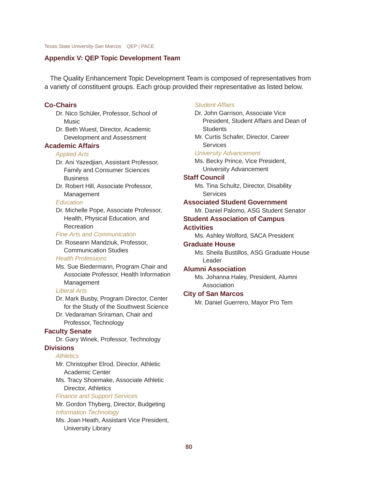### **Appendix V: QEP Topic Development Team**

The Quality Enhancement Topic Development Team is composed of representatives from a variety of constituent groups. Each group provided their representative as listed below.

### **Co-Chairs**

Dr. Nico Schüler, Professor, School of **Music** 

Dr. Beth Wuest, Director, Academic Development and Assessment

### **Academic Affairs**

#### *Applied Arts*

Dr. Ani Yazedjian, Assistant Professor, Family and Consumer Sciences **Business** 

Dr. Robert Hill, Associate Professor, Management

#### *Education*

Dr. Michelle Pope, Associate Professor, Health, Physical Education, and Recreation

#### *Fine Arts and Communication*

Dr. Roseann Mandziuk, Professor, Communication Studies

#### *Health Professions*

Ms. Sue Biedermann, Program Chair and Associate Professor, Health Information **Management** 

#### *Liberal Arts*

Dr. Mark Busby, Program Director, Center for the Study of the Southwest Science

Dr. Vedaraman Sriraman, Chair and Professor, Technology

### **Faculty Senate**

Dr. Gary Winek, Professor, Technology **Divisions**

# *Athletics*

Mr. Christopher Elrod, Director, Athletic Academic Center Ms. Tracy Shoemake, Associate Athletic Director, Athletics

*Finance and Support Services*

Mr. Gordon Thyberg, Director, Budgeting *Information Technology*

Ms. Joan Heath, Assistant Vice President, University Library

### *Student Affairs*

Dr. John Garrison, Associate Vice President, Student Affairs and Dean of **Students** 

Mr. Curtis Schafer, Director, Career **Services** 

### *University Advancement*

Ms. Becky Prince, Vice President, University Advancement

#### **Staff Council**

Ms. Tina Schultz, Director, Disability **Services** 

### **Associated Student Government**

Mr. Daniel Palomo, ASG Student Senator

### **Student Association of Campus**

### **Activities**

Ms. Ashley Wolford, SACA President

### **Graduate House**

Ms. Sheila Bustillos, ASG Graduate House Leader

### **Alumni Association**

Ms. Johanna Haley, President, Alumni Association

# **City of San Marcos**

Mr. Daniel Guerrero, Mayor Pro Tem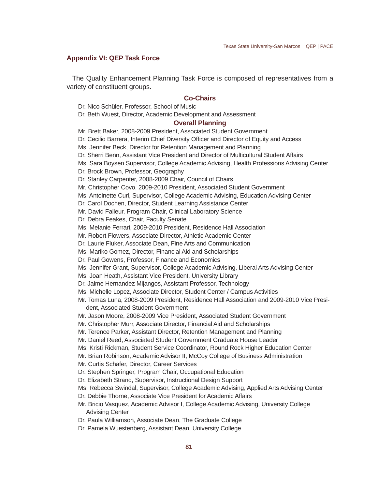### **Appendix VI: QEP Task Force**

The Quality Enhancement Planning Task Force is composed of representatives from a variety of constituent groups.

## **Co-Chairs**

Dr. Nico Schüler, Professor, School of Music

Dr. Beth Wuest, Director, Academic Development and Assessment

### **Overall Planning**

Mr. Brett Baker, 2008-2009 President, Associated Student Government Dr. Cecilio Barrera, Interim Chief Diversity Officer and Director of Equity and Access Ms. Jennifer Beck, Director for Retention Management and Planning Dr. Sherri Benn, Assistant Vice President and Director of Multicultural Student Affairs Ms. Sara Boysen Supervisor, College Academic Advising, Health Professions Advising Center Dr. Brock Brown, Professor, Geography Dr. Stanley Carpenter, 2008-2009 Chair, Council of Chairs Mr. Christopher Covo, 2009-2010 President, Associated Student Government Ms. Antoinette Curl, Supervisor, College Academic Advising, Education Advising Center Dr. Carol Dochen, Director, Student Learning Assistance Center Mr. David Falleur, Program Chair, Clinical Laboratory Science Dr. Debra Feakes, Chair, Faculty Senate Ms. Melanie Ferrari, 2009-2010 President, Residence Hall Association Mr. Robert Flowers, Associate Director, Athletic Academic Center Dr. Laurie Fluker, Associate Dean, Fine Arts and Communication Ms. Mariko Gomez, Director, Financial Aid and Scholarships Dr. Paul Gowens, Professor, Finance and Economics Ms. Jennifer Grant, Supervisor, College Academic Advising, Liberal Arts Advising Center Ms. Joan Heath, Assistant Vice President, University Library Dr. Jaime Hernandez Mijangos, Assistant Professor, Technology Ms. Michelle Lopez, Associate Director, Student Center / Campus Activities Mr. Tomas Luna, 2008-2009 President, Residence Hall Association and 2009-2010 Vice President, Associated Student Government Mr. Jason Moore, 2008-2009 Vice President, Associated Student Government Mr. Christopher Murr, Associate Director, Financial Aid and Scholarships Mr. Terence Parker, Assistant Director, Retention Management and Planning Mr. Daniel Reed, Associated Student Government Graduate House Leader Ms. Kristi Rickman, Student Service Coordinator, Round Rock Higher Education Center Mr. Brian Robinson, Academic Advisor II, McCoy College of Business Administration Mr. Curtis Schafer, Director, Career Services Dr. Stephen Springer, Program Chair, Occupational Education Dr. Elizabeth Strand, Supervisor, Instructional Design Support Ms. Rebecca Swindal, Supervisor, College Academic Advising, Applied Arts Advising Center Dr. Debbie Thorne, Associate Vice President for Academic Affairs Mr. Bricio Vasquez, Academic Advisor I, College Academic Advising, University College Advising Center Dr. Paula Williamson, Associate Dean, The Graduate College Dr. Pamela Wuestenberg, Assistant Dean, University College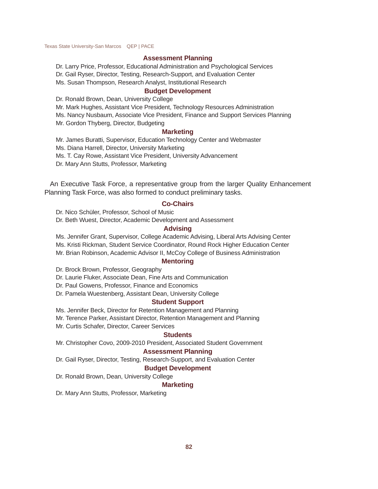#### **Assessment Planning**

Dr. Larry Price, Professor, Educational Administration and Psychological Services Dr. Gail Ryser, Director, Testing, Research-Support, and Evaluation Center Ms. Susan Thompson, Research Analyst, Institutional Research

### **Budget Development**

Dr. Ronald Brown, Dean, University College

Mr. Mark Hughes, Assistant Vice President, Technology Resources Administration

Ms. Nancy Nusbaum, Associate Vice President, Finance and Support Services Planning

Mr. Gordon Thyberg, Director, Budgeting

### **Marketing**

Mr. James Buratti, Supervisor, Education Technology Center and Webmaster Ms. Diana Harrell, Director, University Marketing Ms. T. Cay Rowe, Assistant Vice President, University Advancement Dr. Mary Ann Stutts, Professor, Marketing

An Executive Task Force, a representative group from the larger Quality Enhancement Planning Task Force, was also formed to conduct preliminary tasks.

### **Co-Chairs**

Dr. Nico Schüler, Professor, School of Music

Dr. Beth Wuest, Director, Academic Development and Assessment

### **Advising**

Ms. Jennifer Grant, Supervisor, College Academic Advising, Liberal Arts Advising Center

Ms. Kristi Rickman, Student Service Coordinator, Round Rock Higher Education Center

Mr. Brian Robinson, Academic Advisor II, McCoy College of Business Administration

### **Mentoring**

Dr. Brock Brown, Professor, Geography

Dr. Laurie Fluker, Associate Dean, Fine Arts and Communication

Dr. Paul Gowens, Professor, Finance and Economics

Dr. Pamela Wuestenberg, Assistant Dean, University College

#### **Student Support**

Ms. Jennifer Beck, Director for Retention Management and Planning

Mr. Terence Parker, Assistant Director, Retention Management and Planning Mr. Curtis Schafer, Director, Career Services

### **Students**

Mr. Christopher Covo, 2009-2010 President, Associated Student Government

#### **Assessment Planning**

Dr. Gail Ryser, Director, Testing, Research-Support, and Evaluation Center

#### **Budget Development**

Dr. Ronald Brown, Dean, University College

## **Marketing**

Dr. Mary Ann Stutts, Professor, Marketing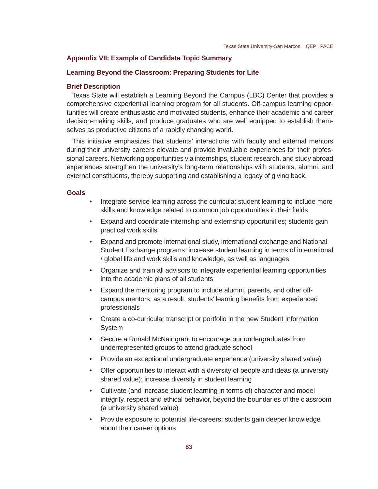### **Appendix VII: Example of Candidate Topic Summary**

### **Learning Beyond the Classroom: Preparing Students for Life**

### **Brief Description**

Texas State will establish a Learning Beyond the Campus (LBC) Center that provides a comprehensive experiential learning program for all students. Off-campus learning opportunities will create enthusiastic and motivated students, enhance their academic and career decision-making skills, and produce graduates who are well equipped to establish themselves as productive citizens of a rapidly changing world.

This initiative emphasizes that students' interactions with faculty and external mentors during their university careers elevate and provide invaluable experiences for their professional careers. Networking opportunities via internships, student research, and study abroad experiences strengthen the university's long-term relationships with students, alumni, and external constituents, thereby supporting and establishing a legacy of giving back.

#### **Goals**

- Integrate service learning across the curricula; student learning to include more skills and knowledge related to common job opportunities in their fields
- Expand and coordinate internship and externship opportunities; students gain practical work skills
- Expand and promote international study, international exchange and National Student Exchange programs; increase student learning in terms of international / global life and work skills and knowledge, as well as languages
- Organize and train all advisors to integrate experiential learning opportunities into the academic plans of all students
- Expand the mentoring program to include alumni, parents, and other offcampus mentors; as a result, students' learning benefits from experienced professionals
- Create a co-curricular transcript or portfolio in the new Student Information System
- Secure a Ronald McNair grant to encourage our undergraduates from underrepresented groups to attend graduate school
- Provide an exceptional undergraduate experience (university shared value)
- Offer opportunities to interact with a diversity of people and ideas (a university shared value); increase diversity in student learning
- Cultivate (and increase student learning in terms of) character and model integrity, respect and ethical behavior, beyond the boundaries of the classroom (a university shared value)
- Provide exposure to potential life-careers; students gain deeper knowledge about their career options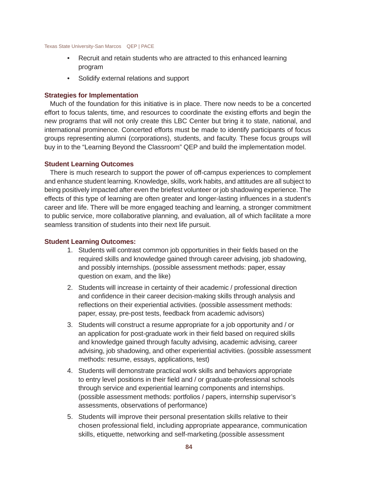- Recruit and retain students who are attracted to this enhanced learning program
- Solidify external relations and support

### **Strategies for Implementation**

Much of the foundation for this initiative is in place. There now needs to be a concerted effort to focus talents, time, and resources to coordinate the existing efforts and begin the new programs that will not only create this LBC Center but bring it to state, national, and international prominence. Concerted efforts must be made to identify participants of focus groups representing alumni (corporations), students, and faculty. These focus groups will buy in to the "Learning Beyond the Classroom" QEP and build the implementation model.

### **Student Learning Outcomes**

There is much research to support the power of off-campus experiences to complement and enhance student learning. Knowledge, skills, work habits, and attitudes are all subject to being positively impacted after even the briefest volunteer or job shadowing experience. The effects of this type of learning are often greater and longer-lasting influences in a student's career and life. There will be more engaged teaching and learning, a stronger commitment to public service, more collaborative planning, and evaluation, all of which facilitate a more seamless transition of students into their next life pursuit.

### **Student Learning Outcomes:**

- 1. Students will contrast common job opportunities in their fields based on the required skills and knowledge gained through career advising, job shadowing, and possibly internships. (possible assessment methods: paper, essay question on exam, and the like)
- 2. Students will increase in certainty of their academic / professional direction and confidence in their career decision-making skills through analysis and reflections on their experiential activities. (possible assessment methods: paper, essay, pre-post tests, feedback from academic advisors)
- 3. Students will construct a resume appropriate for a job opportunity and / or an application for post-graduate work in their field based on required skills and knowledge gained through faculty advising, academic advising, career advising, job shadowing, and other experiential activities. (possible assessment methods: resume, essays, applications, test)
- 4. Students will demonstrate practical work skills and behaviors appropriate to entry level positions in their field and / or graduate-professional schools through service and experiential learning components and internships. (possible assessment methods: portfolios / papers, internship supervisor's assessments, observations of performance)
- 5. Students will improve their personal presentation skills relative to their chosen professional field, including appropriate appearance, communication skills, etiquette, networking and self-marketing.(possible assessment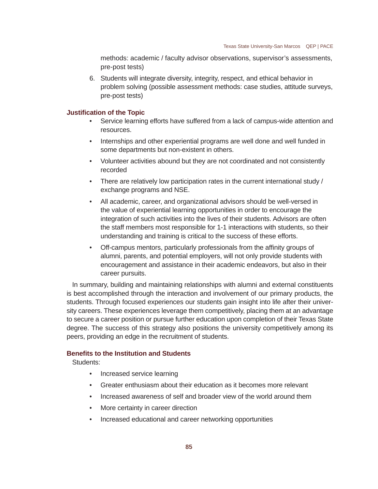methods: academic / faculty advisor observations, supervisor's assessments, pre-post tests)

6. Students will integrate diversity, integrity, respect, and ethical behavior in problem solving (possible assessment methods: case studies, attitude surveys, pre-post tests)

### **Justifi cation of the Topic**

- Service learning efforts have suffered from a lack of campus-wide attention and resources.
- Internships and other experiential programs are well done and well funded in some departments but non-existent in others.
- Volunteer activities abound but they are not coordinated and not consistently recorded
- There are relatively low participation rates in the current international study / exchange programs and NSE.
- All academic, career, and organizational advisors should be well-versed in the value of experiential learning opportunities in order to encourage the integration of such activities into the lives of their students. Advisors are often the staff members most responsible for 1-1 interactions with students, so their understanding and training is critical to the success of these efforts.
- Off-campus mentors, particularly professionals from the affinity groups of alumni, parents, and potential employers, will not only provide students with encouragement and assistance in their academic endeavors, but also in their career pursuits.

In summary, building and maintaining relationships with alumni and external constituents is best accomplished through the interaction and involvement of our primary products, the students. Through focused experiences our students gain insight into life after their university careers. These experiences leverage them competitively, placing them at an advantage to secure a career position or pursue further education upon completion of their Texas State degree. The success of this strategy also positions the university competitively among its peers, providing an edge in the recruitment of students.

### **Benefits to the Institution and Students**

Students:

- Increased service learning
- Greater enthusiasm about their education as it becomes more relevant
- Increased awareness of self and broader view of the world around them
- More certainty in career direction
- Increased educational and career networking opportunities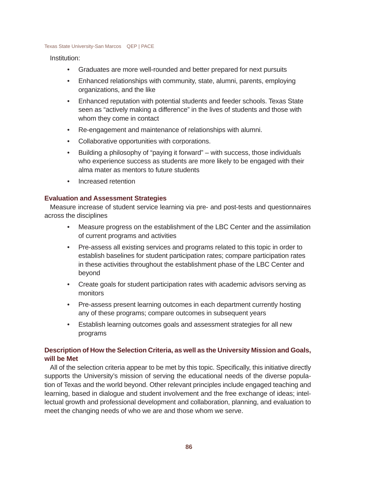### Institution:

- Graduates are more well-rounded and better prepared for next pursuits
- Enhanced relationships with community, state, alumni, parents, employing organizations, and the like
- Enhanced reputation with potential students and feeder schools. Texas State seen as "actively making a difference" in the lives of students and those with whom they come in contact
- Re-engagement and maintenance of relationships with alumni.
- Collaborative opportunities with corporations.
- Building a philosophy of "paying it forward" with success, those individuals who experience success as students are more likely to be engaged with their alma mater as mentors to future students
- Increased retention

## **Evaluation and Assessment Strategies**

Measure increase of student service learning via pre- and post-tests and questionnaires across the disciplines

- Measure progress on the establishment of the LBC Center and the assimilation of current programs and activities
- Pre-assess all existing services and programs related to this topic in order to establish baselines for student participation rates; compare participation rates in these activities throughout the establishment phase of the LBC Center and beyond
- Create goals for student participation rates with academic advisors serving as monitors
- Pre-assess present learning outcomes in each department currently hosting any of these programs; compare outcomes in subsequent years
- Establish learning outcomes goals and assessment strategies for all new programs

# **Description of How the Selection Criteria, as well as the University Mission and Goals, will be Met**

All of the selection criteria appear to be met by this topic. Specifically, this initiative directly supports the University's mission of serving the educational needs of the diverse population of Texas and the world beyond. Other relevant principles include engaged teaching and learning, based in dialogue and student involvement and the free exchange of ideas; intellectual growth and professional development and collaboration, planning, and evaluation to meet the changing needs of who we are and those whom we serve.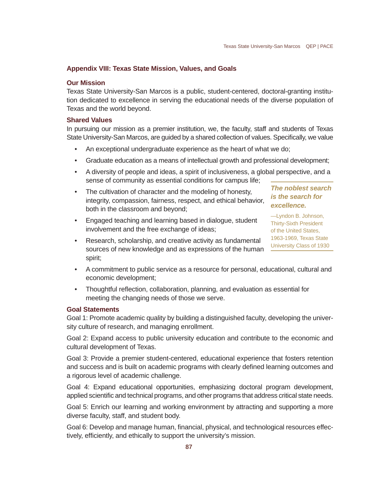## **Appendix VIII: Texas State Mission, Values, and Goals**

### **Our Mission**

Texas State University-San Marcos is a public, student-centered, doctoral-granting institution dedicated to excellence in serving the educational needs of the diverse population of Texas and the world beyond.

### **Shared Values**

In pursuing our mission as a premier institution, we, the faculty, staff and students of Texas State University-San Marcos, are guided by a shared collection of values. Specifically, we value

- An exceptional undergraduate experience as the heart of what we do;
- Graduate education as a means of intellectual growth and professional development;
- A diversity of people and ideas, a spirit of inclusiveness, a global perspective, and a sense of community as essential conditions for campus life;
- The cultivation of character and the modeling of honesty, integrity, compassion, fairness, respect, and ethical behavior, both in the classroom and beyond;
- Engaged teaching and learning based in dialogue, student involvement and the free exchange of ideas;

*The noblest search is the search for excellence.*

—Lyndon B. Johnson, Thirty-Sixth President of the United States, 1963-1969, Texas State University Class of 1930

- Research, scholarship, and creative activity as fundamental sources of new knowledge and as expressions of the human spirit;
- A commitment to public service as a resource for personal, educational, cultural and economic development;
- Thoughtful reflection, collaboration, planning, and evaluation as essential for meeting the changing needs of those we serve.

### **Goal Statements**

Goal 1: Promote academic quality by building a distinguished faculty, developing the university culture of research, and managing enrollment.

Goal 2: Expand access to public university education and contribute to the economic and cultural development of Texas.

Goal 3: Provide a premier student-centered, educational experience that fosters retention and success and is built on academic programs with clearly defined learning outcomes and a rigorous level of academic challenge.

Goal 4: Expand educational opportunities, emphasizing doctoral program development, applied scientific and technical programs, and other programs that address critical state needs.

Goal 5: Enrich our learning and working environment by attracting and supporting a more diverse faculty, staff, and student body.

Goal 6: Develop and manage human, financial, physical, and technological resources effectively, efficiently, and ethically to support the university's mission.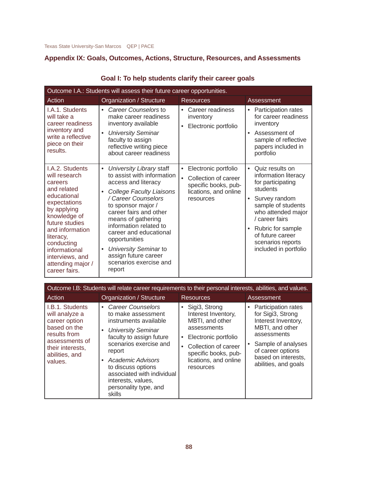# **Appendix IX: Goals, Outcomes, Actions, Structure, Resources, and Assessments**

| Outcome I.A.: Students will assess their future career opportunities.                                                                                                                                                                                             |                                                                                                                                                                                                                                                                                                                                                                                                                |                                                                                                                 |                                                                                                                                                                                                                                                                               |  |
|-------------------------------------------------------------------------------------------------------------------------------------------------------------------------------------------------------------------------------------------------------------------|----------------------------------------------------------------------------------------------------------------------------------------------------------------------------------------------------------------------------------------------------------------------------------------------------------------------------------------------------------------------------------------------------------------|-----------------------------------------------------------------------------------------------------------------|-------------------------------------------------------------------------------------------------------------------------------------------------------------------------------------------------------------------------------------------------------------------------------|--|
| Action                                                                                                                                                                                                                                                            | Organization / Structure                                                                                                                                                                                                                                                                                                                                                                                       | <b>Resources</b>                                                                                                | Assessment                                                                                                                                                                                                                                                                    |  |
| I.A.1. Students<br>will take a<br>career readiness<br>inventory and<br>write a reflective<br>piece on their<br>results.                                                                                                                                           | Career Counselors to<br>$\bullet$<br>make career readiness<br>inventory available<br><b>University Seminar</b><br>$\bullet$<br>faculty to assign<br>reflective writing piece<br>about career readiness                                                                                                                                                                                                         | Career readiness<br>$\bullet$<br>inventory<br>Electronic portfolio                                              | Participation rates<br>٠<br>for career readiness<br>inventory<br>Assessment of<br>$\bullet$<br>sample of reflective<br>papers included in<br>portfolio                                                                                                                        |  |
| LA.2. Students<br>will research<br>careers<br>and related<br>educational<br>expectations<br>by applying<br>knowledge of<br>future studies<br>and information<br>literacy,<br>conducting<br>informational<br>interviews, and<br>attending major /<br>career fairs. | University Library staff<br>$\bullet$<br>to assist with information<br>access and literacy<br><b>College Faculty Liaisons</b><br>$\bullet$<br>/ Career Counselors<br>to sponsor major /<br>career fairs and other<br>means of gathering<br>information related to<br>career and educational<br>opportunities<br>University Seminar to<br>$\bullet$<br>assign future career<br>scenarios exercise and<br>report | Electronic portfolio<br>٠<br>Collection of career<br>specific books, pub-<br>lications, and online<br>resources | Quiz results on<br>$\bullet$<br>information literacy<br>for participating<br>students<br>Survey random<br>٠<br>sample of students<br>who attended major<br>/ career fairs<br>Rubric for sample<br>$\bullet$<br>of future career<br>scenarios reports<br>included in portfolio |  |

| Goal I: To help students clarify their career goals |  |  |  |  |
|-----------------------------------------------------|--|--|--|--|
|-----------------------------------------------------|--|--|--|--|

| Outcome I.B: Students will relate career requirements to their personal interests, abilities, and values.                                             |                                                                                                                                                                                                                                                                                                                          |                                                                                                                                                                                                   |                                                                                                                                                                                               |
|-------------------------------------------------------------------------------------------------------------------------------------------------------|--------------------------------------------------------------------------------------------------------------------------------------------------------------------------------------------------------------------------------------------------------------------------------------------------------------------------|---------------------------------------------------------------------------------------------------------------------------------------------------------------------------------------------------|-----------------------------------------------------------------------------------------------------------------------------------------------------------------------------------------------|
| Action                                                                                                                                                | Organization / Structure                                                                                                                                                                                                                                                                                                 | <b>Resources</b>                                                                                                                                                                                  | Assessment                                                                                                                                                                                    |
| I.B.1. Students<br>will analyze a<br>career option<br>based on the<br>results from<br>assessments of<br>their interests,<br>abilities, and<br>values. | <b>Career Counselors</b><br>$\bullet$<br>to make assessment<br>instruments available<br><b>University Seminar</b><br>faculty to assign future<br>scenarios exercise and<br>report<br>Academic Advisors<br>٠<br>to discuss options<br>associated with individual<br>interests, values,<br>personality type, and<br>skills | Sigi3, Strong<br>Interest Inventory,<br>MBTI, and other<br>assessments<br>Electronic portfolio<br>$\bullet$<br>Collection of career<br>specific books, pub-<br>lications, and online<br>resources | • Participation rates<br>for Sigi3, Strong<br>Interest Inventory,<br>MBTI, and other<br>assessments<br>Sample of analyses<br>of career options<br>based on interests,<br>abilities, and goals |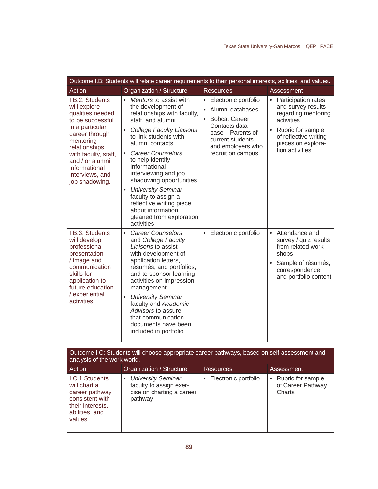| Outcome I.B: Students will relate career requirements to their personal interests, abilities, and values.                                                                                                                                    |                                                                                                                                                                                                                                                                                                                                                                                                                                                                                             |                                                                                                                                                                                                   |                                                                                                                                                                       |
|----------------------------------------------------------------------------------------------------------------------------------------------------------------------------------------------------------------------------------------------|---------------------------------------------------------------------------------------------------------------------------------------------------------------------------------------------------------------------------------------------------------------------------------------------------------------------------------------------------------------------------------------------------------------------------------------------------------------------------------------------|---------------------------------------------------------------------------------------------------------------------------------------------------------------------------------------------------|-----------------------------------------------------------------------------------------------------------------------------------------------------------------------|
| Action                                                                                                                                                                                                                                       | Organization / Structure                                                                                                                                                                                                                                                                                                                                                                                                                                                                    | <b>Resources</b>                                                                                                                                                                                  | Assessment                                                                                                                                                            |
| I.B.2. Students<br>will explore<br>qualities needed<br>to be successful<br>in a particular<br>career through<br>mentoring<br>relationships<br>with faculty, staff,<br>and / or alumni,<br>informational<br>interviews, and<br>job shadowing. | • Mentors to assist with<br>the development of<br>relationships with faculty,<br>staff, and alumni<br><b>College Faculty Liaisons</b><br>$\bullet$<br>to link students with<br>alumni contacts<br><b>Career Counselors</b><br>$\bullet$<br>to help identify<br>informational<br>interviewing and job<br>shadowing opportunities<br><b>University Seminar</b><br>$\bullet$<br>faculty to assign a<br>reflective writing piece<br>about information<br>gleaned from exploration<br>activities | • Electronic portfolio<br>Alumni databases<br>$\bullet$<br><b>Bobcat Career</b><br>$\bullet$<br>Contacts data-<br>base - Parents of<br>current students<br>and employers who<br>recruit on campus | Participation rates<br>and survey results<br>regarding mentoring<br>activities<br>Rubric for sample<br>of reflective writing<br>pieces on explora-<br>tion activities |
| I.B.3. Students<br>will develop<br>professional<br>presentation<br>/ image and<br>communication<br>skills for<br>application to<br>future education<br>/ experiential<br>activities.                                                         | <b>Career Counselors</b><br>$\bullet$<br>and College Faculty<br>Liaisons to assist<br>with development of<br>application letters,<br>résumés, and portfolios,<br>and to sponsor learning<br>activities on impression<br>management<br><b>University Seminar</b><br>$\bullet$<br>faculty and Academic<br>Advisors to assure<br>that communication<br>documents have been<br>included in portfolio                                                                                            | • Electronic portfolio                                                                                                                                                                            | Attendance and<br>$\bullet$<br>survey / quiz results<br>from related work-<br>shops<br>Sample of résumés,<br>correspondence,<br>and portfolio content                 |

| Outcome I.C: Students will choose appropriate career pathways, based on self-assessment and<br>analysis of the work world.  |                                                                                                           |                      |                                                    |
|-----------------------------------------------------------------------------------------------------------------------------|-----------------------------------------------------------------------------------------------------------|----------------------|----------------------------------------------------|
| Action                                                                                                                      | Organization / Structure                                                                                  | <b>Resources</b>     | Assessment                                         |
| <b>I.C.1 Students</b><br>will chart a<br>career pathway<br>consistent with<br>their interests,<br>abilities, and<br>values. | <b>University Seminar</b><br>$\bullet$<br>faculty to assign exer-<br>cise on charting a career<br>pathway | Electronic portfolio | • Rubric for sample<br>of Career Pathway<br>Charts |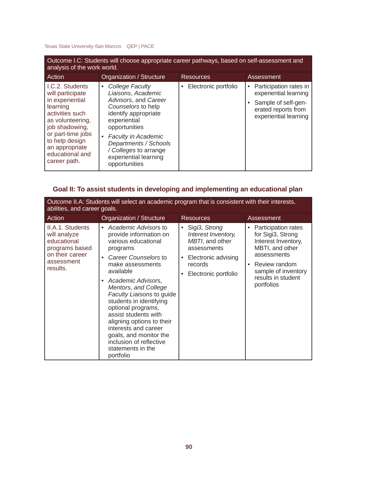| Outcome I.C: Students will choose appropriate career pathways, based on self-assessment and<br>analysis of the work world.                                                                                              |                                                                                                                                                                                                                                                                             |                           |                                                                                                                        |  |
|-------------------------------------------------------------------------------------------------------------------------------------------------------------------------------------------------------------------------|-----------------------------------------------------------------------------------------------------------------------------------------------------------------------------------------------------------------------------------------------------------------------------|---------------------------|------------------------------------------------------------------------------------------------------------------------|--|
| Action                                                                                                                                                                                                                  | Organization / Structure                                                                                                                                                                                                                                                    | <b>Resources</b>          | Assessment                                                                                                             |  |
| I.C.2. Students<br>will participate<br>in experiential<br>learning<br>activities such<br>as volunteering,<br>job shadowing,<br>or part-time jobs<br>to help design<br>an appropriate<br>educational and<br>career path. | College Faculty<br>٠<br>Liaisons, Academic<br>Advisors, and Career<br>Counselors to help<br>identify appropriate<br>experiential<br>opportunities<br><b>Faculty in Academic</b><br>Departments / Schools<br>/ Colleges to arrange<br>experiential learning<br>opportunities | Electronic portfolio<br>٠ | Participation rates in<br>experiential learning<br>Sample of self-gen-<br>erated reports from<br>experiential learning |  |

# **Goal II: To assist students in developing and implementing an educational plan**

| Outcome II.A: Students will select an academic program that is consistent with their interests,<br>abilities, and career goals. |                                                                                                                                                                                                                                                                                                                                                                                                                                                         |                                                                                                                                    |                                                                                                                                                                                                              |  |
|---------------------------------------------------------------------------------------------------------------------------------|---------------------------------------------------------------------------------------------------------------------------------------------------------------------------------------------------------------------------------------------------------------------------------------------------------------------------------------------------------------------------------------------------------------------------------------------------------|------------------------------------------------------------------------------------------------------------------------------------|--------------------------------------------------------------------------------------------------------------------------------------------------------------------------------------------------------------|--|
| Action                                                                                                                          | Organization / Structure                                                                                                                                                                                                                                                                                                                                                                                                                                | <b>Resources</b>                                                                                                                   | Assessment                                                                                                                                                                                                   |  |
| II.A.1. Students<br>will analyze<br>educational<br>programs based<br>on their career<br>assessment<br>results.                  | Academic Advisors to<br>$\bullet$<br>provide information on<br>various educational<br>programs<br>Career Counselors to<br>make assessments<br>available<br>Academic Advisors,<br>Mentors, and College<br>Faculty Liaisons to guide<br>students in identifying<br>optional programs,<br>assist students with<br>aligning options to their<br>interests and career<br>goals, and monitor the<br>inclusion of reflective<br>statements in the<br>portfolio | • Sigi3, Strong<br>Interest Inventory,<br>MBTI, and other<br>assessments<br>Electronic advising<br>records<br>Electronic portfolio | Participation rates<br>٠<br>for Sigi <sub>3</sub> , Strong<br>Interest Inventory,<br>MBTI, and other<br>assessments<br>Review random<br>$\bullet$<br>sample of inventory<br>results in student<br>portfolios |  |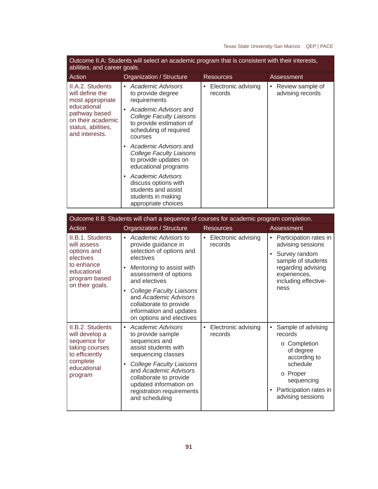| Outcome II.A: Students will select an academic program that is consistent with their interests,<br>abilities, and career goals.                      |                                                                                                                            |                                |                                           |  |  |
|------------------------------------------------------------------------------------------------------------------------------------------------------|----------------------------------------------------------------------------------------------------------------------------|--------------------------------|-------------------------------------------|--|--|
| Action                                                                                                                                               | Organization / Structure                                                                                                   | <b>Resources</b>               | Assessment                                |  |  |
| II.A.2. Students<br>will define the<br>most appropriate<br>educational<br>pathway based<br>on their academic<br>status, abilities,<br>and interests. | Academic Advisors<br>$\bullet$<br>to provide degree<br>requirements                                                        | Electronic advising<br>records | Review sample of<br>٠<br>advising records |  |  |
|                                                                                                                                                      | Academic Advisors and<br>College Faculty Liaisons<br>to provide estimation of<br>scheduling of required<br>courses         |                                |                                           |  |  |
|                                                                                                                                                      | Academic Advisors and<br>College Faculty Liaisons<br>to provide updates on<br>educational programs                         |                                |                                           |  |  |
|                                                                                                                                                      | Academic Advisors<br>$\bullet$<br>discuss options with<br>students and assist<br>students in making<br>appropriate choices |                                |                                           |  |  |

| Outcome II.B: Students will chart a sequence of courses for academic program completion.                                     |                                                                                                                                                                                                                                                                                                                             |                                     |                                                                                                                                                                      |  |  |
|------------------------------------------------------------------------------------------------------------------------------|-----------------------------------------------------------------------------------------------------------------------------------------------------------------------------------------------------------------------------------------------------------------------------------------------------------------------------|-------------------------------------|----------------------------------------------------------------------------------------------------------------------------------------------------------------------|--|--|
| Action                                                                                                                       | Organization / Structure                                                                                                                                                                                                                                                                                                    | <b>Resources</b>                    | Assessment                                                                                                                                                           |  |  |
| II.B.1. Students<br>will assess<br>options and<br>electives<br>to enhance<br>educational<br>program based<br>on their goals. | • Academic Advisors to<br>provide guidance in<br>selection of options and<br>electives<br>Mentoring to assist with<br>$\bullet$<br>assessment of options<br>and electives<br><b>College Faculty Liaisons</b><br>٠<br>and Academic Advisors<br>collaborate to provide<br>information and updates<br>on options and electives | Electronic advising<br>records      | Participation rates in<br>٠<br>advising sessions<br>Survey random<br>sample of students<br>regarding advising<br>experiences,<br>including effective-<br>ness        |  |  |
| II.B.2. Students<br>will develop a<br>sequence for<br>taking courses<br>to efficiently<br>complete<br>educational<br>program | Academic Advisors<br>$\bullet$<br>to provide sample<br>sequences and<br>assist students with<br>sequencing classes<br><b>College Faculty Liaisons</b><br>٠<br>and Academic Advisors<br>collaborate to provide<br>updated information on<br>registration requirements<br>and scheduling                                      | Electronic advising<br>٠<br>records | Sample of advising<br>records<br>o Completion<br>of degree<br>according to<br>schedule<br>o Proper<br>sequencing<br>Participation rates in<br>٠<br>advising sessions |  |  |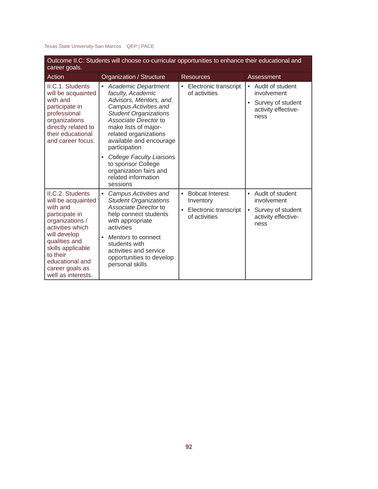| Outcome II.C: Students will choose co-curricular opportunities to enhance their educational and<br>career goals.                                                                                                                          |                                                                                                                                                                                                                                                                                                                                                                                              |                                                                                            |                                                                                                               |  |  |
|-------------------------------------------------------------------------------------------------------------------------------------------------------------------------------------------------------------------------------------------|----------------------------------------------------------------------------------------------------------------------------------------------------------------------------------------------------------------------------------------------------------------------------------------------------------------------------------------------------------------------------------------------|--------------------------------------------------------------------------------------------|---------------------------------------------------------------------------------------------------------------|--|--|
| Action                                                                                                                                                                                                                                    | Organization / Structure                                                                                                                                                                                                                                                                                                                                                                     | <b>Resources</b>                                                                           | Assessment                                                                                                    |  |  |
| II.C.1. Students<br>will be acquainted<br>with and<br>participate in<br>professional<br>organizations<br>directly related to<br>their educational<br>and career focus.                                                                    | <b>Academic Department</b><br>$\bullet$<br>faculty, Academic<br>Advisors, Mentors, and<br>Campus Activities and<br><b>Student Organizations</b><br>Associate Director to<br>make lists of major-<br>related organizations<br>available and encourage<br>participation<br><b>College Faculty Liaisons</b><br>$\bullet$<br>to sponsor College<br>organization fairs and<br>related information | Electronic transcript<br>$\bullet$<br>of activities                                        | Audit of student<br>$\bullet$<br>involvement<br>Survey of student<br>$\bullet$<br>activity effective-<br>ness |  |  |
| II.C.2. Students<br>will be acquainted<br>with and<br>participate in<br>organizations /<br>activities which<br>will develop<br>qualities and<br>skills applicable<br>to their<br>educational and<br>career goals as<br>well as interests. | sessions<br>Campus Activities and<br>$\bullet$<br><b>Student Organizations</b><br>Associate Director to<br>help connect students<br>with appropriate<br>activities<br>Mentors to connect<br>$\bullet$<br>students with<br>activities and service<br>opportunities to develop<br>personal skills                                                                                              | <b>Bobcat Interest</b><br>$\bullet$<br>Inventory<br>Electronic transcript<br>of activities | Audit of student<br>$\bullet$<br>involvement<br>Survey of student<br>$\bullet$<br>activity effective-<br>ness |  |  |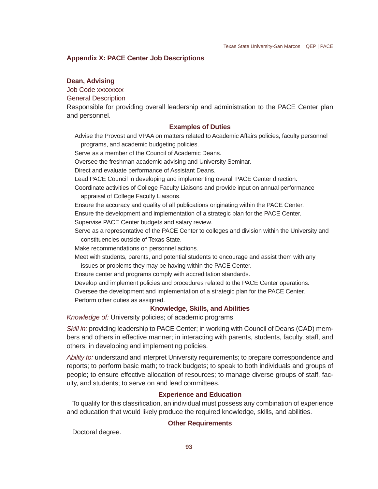### **Appendix X: PACE Center Job Descriptions**

### **Dean, Advising**

Job Code xxxxxxxx

General Description

Responsible for providing overall leadership and administration to the PACE Center plan and personnel.

### **Examples of Duties**

Advise the Provost and VPAA on matters related to Academic Affairs policies, faculty personnel programs, and academic budgeting policies.

Serve as a member of the Council of Academic Deans.

Oversee the freshman academic advising and University Seminar.

Direct and evaluate performance of Assistant Deans.

Lead PACE Council in developing and implementing overall PACE Center direction.

Coordinate activities of College Faculty Liaisons and provide input on annual performance appraisal of College Faculty Liaisons.

Ensure the accuracy and quality of all publications originating within the PACE Center.

Ensure the development and implementation of a strategic plan for the PACE Center.

Supervise PACE Center budgets and salary review.

Serve as a representative of the PACE Center to colleges and division within the University and constituencies outside of Texas State.

Make recommendations on personnel actions.

Meet with students, parents, and potential students to encourage and assist them with any issues or problems they may be having within the PACE Center.

Ensure center and programs comply with accreditation standards.

Develop and implement policies and procedures related to the PACE Center operations.

Oversee the development and implementation of a strategic plan for the PACE Center.

Perform other duties as assigned.

### **Knowledge, Skills, and Abilities**

*Knowledge of:* University policies; of academic programs

*Skill in:* providing leadership to PACE Center; in working with Council of Deans (CAD) members and others in effective manner; in interacting with parents, students, faculty, staff, and others; in developing and implementing policies.

*Ability to:* understand and interpret University requirements; to prepare correspondence and reports; to perform basic math; to track budgets; to speak to both individuals and groups of people; to ensure effective allocation of resources; to manage diverse groups of staff, faculty, and students; to serve on and lead committees.

### **Experience and Education**

To qualify for this classification, an individual must possess any combination of experience and education that would likely produce the required knowledge, skills, and abilities.

#### **Other Requirements**

Doctoral degree.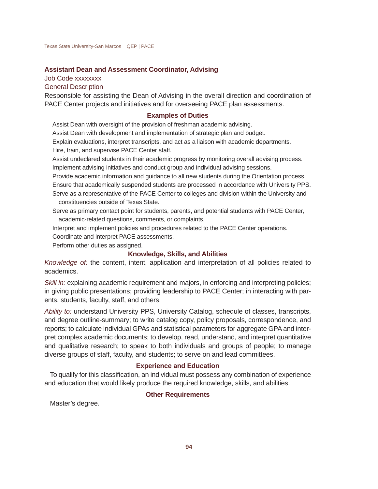### **Assistant Dean and Assessment Coordinator, Advising**

Job Code xxxxxxxx General Description

Responsible for assisting the Dean of Advising in the overall direction and coordination of PACE Center projects and initiatives and for overseeing PACE plan assessments.

### **Examples of Duties**

Assist Dean with oversight of the provision of freshman academic advising.

Assist Dean with development and implementation of strategic plan and budget.

Explain evaluations, interpret transcripts, and act as a liaison with academic departments. Hire, train, and supervise PACE Center staff.

Assist undeclared students in their academic progress by monitoring overall advising process. Implement advising initiatives and conduct group and individual advising sessions.

Provide academic information and guidance to all new students during the Orientation process.

Ensure that academically suspended students are processed in accordance with University PPS.

- Serve as a representative of the PACE Center to colleges and division within the University and constituencies outside of Texas State.
- Serve as primary contact point for students, parents, and potential students with PACE Center, academic-related questions, comments, or complaints.

Interpret and implement policies and procedures related to the PACE Center operations.

Coordinate and interpret PACE assessments.

Perform other duties as assigned.

### **Knowledge, Skills, and Abilities**

*Knowledge of:* the content, intent, application and interpretation of all policies related to academics.

*Skill in:* explaining academic requirement and majors, in enforcing and interpreting policies; in giving public presentations; providing leadership to PACE Center; in interacting with parents, students, faculty, staff, and others.

*Ability to:* understand University PPS, University Catalog, schedule of classes, transcripts, and degree outline-summary; to write catalog copy, policy proposals, correspondence, and reports; to calculate individual GPAs and statistical parameters for aggregate GPA and interpret complex academic documents; to develop, read, understand, and interpret quantitative and qualitative research; to speak to both individuals and groups of people; to manage diverse groups of staff, faculty, and students; to serve on and lead committees.

### **Experience and Education**

To qualify for this classification, an individual must possess any combination of experience and education that would likely produce the required knowledge, skills, and abilities.

### **Other Requirements**

Master's degree.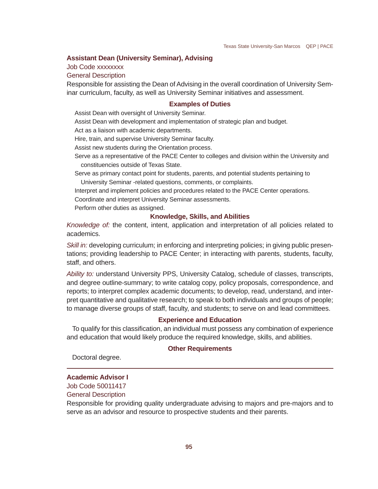### **Assistant Dean (University Seminar), Advising**

Job Code xxxxxxxx

General Description

Responsible for assisting the Dean of Advising in the overall coordination of University Seminar curriculum, faculty, as well as University Seminar initiatives and assessment.

### **Examples of Duties**

Assist Dean with oversight of University Seminar.

Assist Dean with development and implementation of strategic plan and budget.

Act as a liaison with academic departments.

Hire, train, and supervise University Seminar faculty.

Assist new students during the Orientation process.

Serve as a representative of the PACE Center to colleges and division within the University and constituencies outside of Texas State.

Serve as primary contact point for students, parents, and potential students pertaining to University Seminar -related questions, comments, or complaints.

Interpret and implement policies and procedures related to the PACE Center operations. Coordinate and interpret University Seminar assessments.

Perform other duties as assigned.

### **Knowledge, Skills, and Abilities**

*Knowledge of:* the content, intent, application and interpretation of all policies related to academics.

*Skill in:* developing curriculum; in enforcing and interpreting policies; in giving public presentations; providing leadership to PACE Center; in interacting with parents, students, faculty, staff, and others.

*Ability to:* understand University PPS, University Catalog, schedule of classes, transcripts, and degree outline-summary; to write catalog copy, policy proposals, correspondence, and reports; to interpret complex academic documents; to develop, read, understand, and interpret quantitative and qualitative research; to speak to both individuals and groups of people; to manage diverse groups of staff, faculty, and students; to serve on and lead committees.

### **Experience and Education**

To qualify for this classification, an individual must possess any combination of experience and education that would likely produce the required knowledge, skills, and abilities.

#### **Other Requirements**

Doctoral degree.

## **Academic Advisor I**

Job Code 50011417

General Description

Responsible for providing quality undergraduate advising to majors and pre-majors and to serve as an advisor and resource to prospective students and their parents.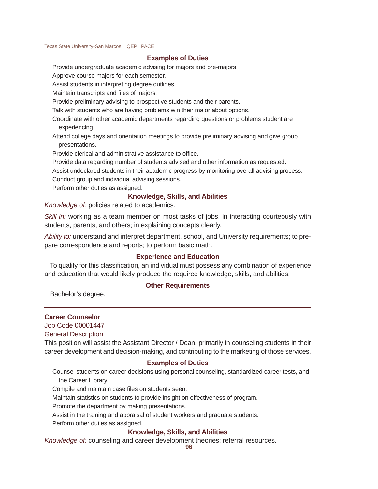### **Examples of Duties**

Provide undergraduate academic advising for majors and pre-majors.

Approve course majors for each semester.

Assist students in interpreting degree outlines.

Maintain transcripts and files of majors.

Provide preliminary advising to prospective students and their parents.

Talk with students who are having problems win their major about options.

Coordinate with other academic departments regarding questions or problems student are experiencing.

Attend college days and orientation meetings to provide preliminary advising and give group presentations.

Provide clerical and administrative assistance to office.

Provide data regarding number of students advised and other information as requested. Assist undeclared students in their academic progress by monitoring overall advising process.

Conduct group and individual advising sessions.

Perform other duties as assigned.

### **Knowledge, Skills, and Abilities**

*Knowledge of:* policies related to academics.

*Skill in:* working as a team member on most tasks of jobs, in interacting courteously with students, parents, and others; in explaining concepts clearly.

*Ability to:* understand and interpret department, school, and University requirements; to prepare correspondence and reports; to perform basic math.

### **Experience and Education**

To qualify for this classification, an individual must possess any combination of experience and education that would likely produce the required knowledge, skills, and abilities.

### **Other Requirements**

Bachelor's degree.

### **Career Counselor**

Job Code 00001447

#### General Description

This position will assist the Assistant Director / Dean, primarily in counseling students in their career development and decision-making, and contributing to the marketing of those services.

#### **Examples of Duties**

Counsel students on career decisions using personal counseling, standardized career tests, and the Career Library.

Compile and maintain case files on students seen.

Maintain statistics on students to provide insight on effectiveness of program.

Promote the department by making presentations.

Assist in the training and appraisal of student workers and graduate students.

Perform other duties as assigned.

### **Knowledge, Skills, and Abilities**

*Knowledge of:* counseling and career development theories; referral resources.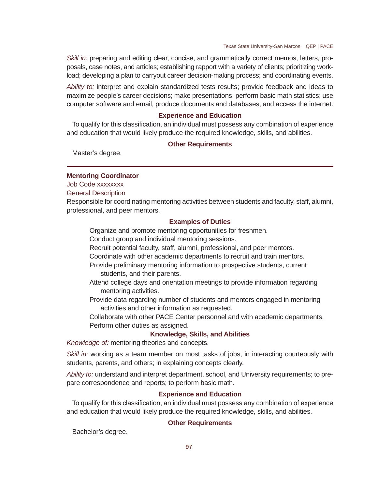*Skill in:* preparing and editing clear, concise, and grammatically correct memos, letters, proposals, case notes, and articles; establishing rapport with a variety of clients; prioritizing workload; developing a plan to carryout career decision-making process; and coordinating events.

*Ability to:* interpret and explain standardized tests results; provide feedback and ideas to maximize people's career decisions; make presentations; perform basic math statistics; use computer software and email, produce documents and databases, and access the internet.

### **Experience and Education**

To qualify for this classification, an individual must possess any combination of experience and education that would likely produce the required knowledge, skills, and abilities.

### **Other Requirements**

Master's degree.

### **Mentoring Coordinator**

Job Code xxxxxxxx

General Description

Responsible for coordinating mentoring activities between students and faculty, staff, alumni, professional, and peer mentors.

#### **Examples of Duties**

Organize and promote mentoring opportunities for freshmen.

Conduct group and individual mentoring sessions.

Recruit potential faculty, staff, alumni, professional, and peer mentors.

Coordinate with other academic departments to recruit and train mentors.

Provide preliminary mentoring information to prospective students, current students, and their parents.

- Attend college days and orientation meetings to provide information regarding mentoring activities.
- Provide data regarding number of students and mentors engaged in mentoring activities and other information as requested.

Collaborate with other PACE Center personnel and with academic departments. Perform other duties as assigned.

### **Knowledge, Skills, and Abilities**

*Knowledge of:* mentoring theories and concepts.

*Skill in:* working as a team member on most tasks of jobs, in interacting courteously with students, parents, and others; in explaining concepts clearly.

*Ability to:* understand and interpret department, school, and University requirements; to prepare correspondence and reports; to perform basic math.

### **Experience and Education**

To qualify for this classification, an individual must possess any combination of experience and education that would likely produce the required knowledge, skills, and abilities.

### **Other Requirements**

Bachelor's degree.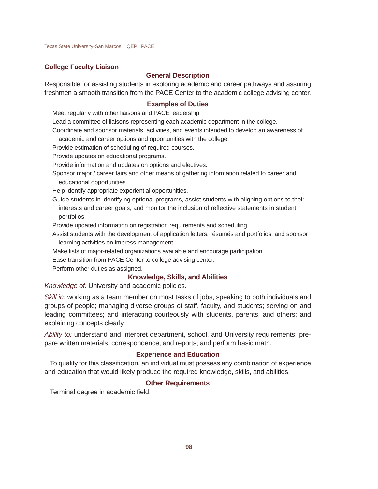### **College Faculty Liaison**

# **General Description**

Responsible for assisting students in exploring academic and career pathways and assuring freshmen a smooth transition from the PACE Center to the academic college advising center.

#### **Examples of Duties**

Meet regularly with other liaisons and PACE leadership.

Lead a committee of liaisons representing each academic department in the college.

Coordinate and sponsor materials, activities, and events intended to develop an awareness of

academic and career options and opportunities with the college.

Provide estimation of scheduling of required courses.

Provide updates on educational programs.

Provide information and updates on options and electives.

Sponsor major / career fairs and other means of gathering information related to career and educational opportunities.

Help identify appropriate experiential opportunities.

Guide students in identifying optional programs, assist students with aligning options to their interests and career goals, and monitor the inclusion of reflective statements in student portfolios.

Provide updated information on registration requirements and scheduling.

Assist students with the development of application letters, résumés and portfolios, and sponsor learning activities on impress management.

Make lists of major-related organizations available and encourage participation.

Ease transition from PACE Center to college advising center.

Perform other duties as assigned.

### **Knowledge, Skills, and Abilities**

*Knowledge of:* University and academic policies.

*Skill in:* working as a team member on most tasks of jobs, speaking to both individuals and groups of people; managing diverse groups of staff, faculty, and students; serving on and leading committees; and interacting courteously with students, parents, and others; and explaining concepts clearly.

*Ability to:* understand and interpret department, school, and University requirements; prepare written materials, correspondence, and reports; and perform basic math.

### **Experience and Education**

To qualify for this classification, an individual must possess any combination of experience and education that would likely produce the required knowledge, skills, and abilities.

### **Other Requirements**

Terminal degree in academic field.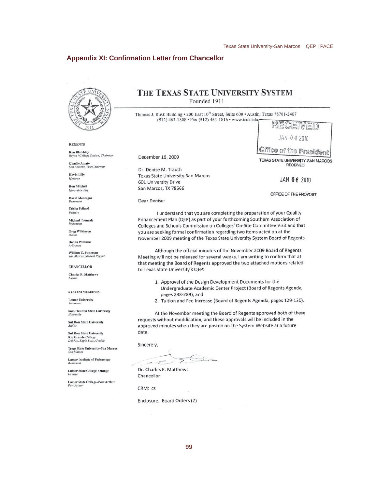## **Appendix XI: Confirmation Letter from Chancellor**